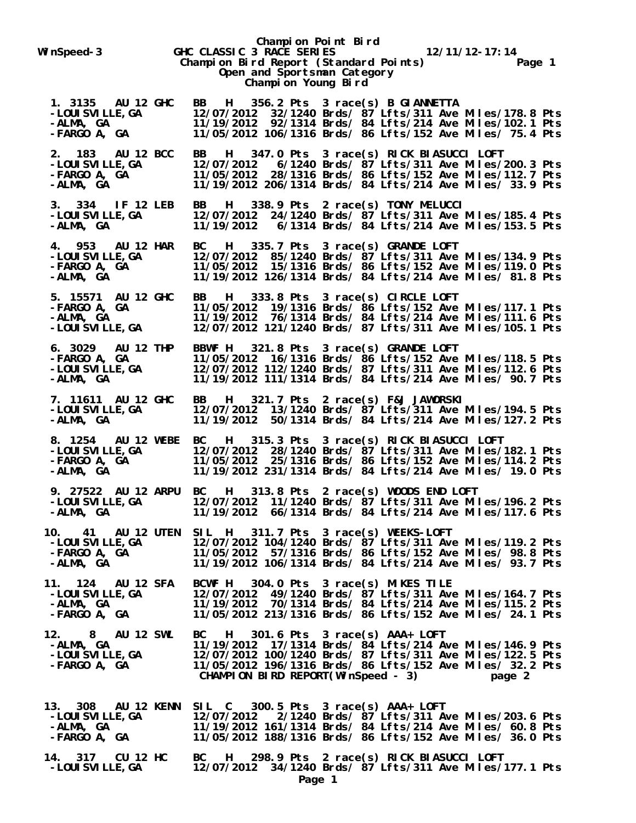**Champion Point Bird** WinSpeed-3 **GHC CLASSIC 3 RACE SERIES** 12/11/12-17:14<br>Champion Bird Report (Standard Points) Page 1 **Champion Bird Report (Standard Points) Open and Sportsman Category Champion Young Bird 1. 3135 AU 12 GHC BB H 356.2 Pts 3 race(s) B GIANNETTA -LOUISVILLE,GA 12/07/2012 32/1240 Brds/ 87 Lfts/311 Ave Miles/178.8 Pts -ALMA, GA 11/19/2012 92/1314 Brds/ 84 Lfts/214 Ave Miles/102.1 Pts -FARGO A, GA 11/05/2012 106/1316 Brds/ 86 Lfts/152 Ave Miles/ 75.4 Pts 2. 183 AU 12 BCC BB H 347.0 Pts 3 race(s) RICK BIASUCCI LOFT -LOUISVILLE,GA 12/07/2012 6/1240 Brds/ 87 Lfts/311 Ave Miles/200.3 Pts -FARGO A, GA 11/05/2012 28/1316 Brds/ 86 Lfts/152 Ave Miles/112.7 Pts -ALMA, GA 11/19/2012 206/1314 Brds/ 84 Lfts/214 Ave Miles/ 33.9 Pts 3. 334 IF 12 LEB BB H 338.9 Pts 2 race(s) TONY MELUCCI -LOUISVILLE,GA 12/07/2012 24/1240 Brds/ 87 Lfts/311 Ave Miles/185.4 Pts -ALMA, GA 11/19/2012 6/1314 Brds/ 84 Lfts/214 Ave Miles/153.5 Pts 4. 953 AU 12 HAR BC H 335.7 Pts 3 race(s) GRANDE LOFT -LOUISVILLE,GA 12/07/2012 85/1240 Brds/ 87 Lfts/311 Ave Miles/134.9 Pts -FARGO A, GA 11/05/2012 15/1316 Brds/ 86 Lfts/152 Ave Miles/119.0 Pts -ALMA, GA 11/19/2012 126/1314 Brds/ 84 Lfts/214 Ave Miles/ 81.8 Pts 5. 15571 AU 12 GHC BB H 333.8 Pts 3 race(s) CIRCLE LOFT -FARGO A, GA 11/05/2012 19/1316 Brds/ 86 Lfts/152 Ave Miles/117.1 Pts -ALMA, GA 11/19/2012 76/1314 Brds/ 84 Lfts/214 Ave Miles/111.6 Pts -LOUISVILLE,GA 12/07/2012 121/1240 Brds/ 87 Lfts/311 Ave Miles/105.1 Pts 6. 3029 AU 12 THP BBWF H 321.8 Pts 3 race(s) GRANDE LOFT -FARGO A, GA 11/05/2012 16/1316 Brds/ 86 Lfts/152 Ave Miles/118.5 Pts -LOUISVILLE,GA 12/07/2012 112/1240 Brds/ 87 Lfts/311 Ave Miles/112.6 Pts -ALMA, GA 11/19/2012 111/1314 Brds/ 84 Lfts/214 Ave Miles/ 90.7 Pts 7. 11611 AU 12 GHC BB H 321.7 Pts 2 race(s) F&J JAWORSKI -LOUISVILLE,GA 12/07/2012 13/1240 Brds/ 87 Lfts/311 Ave Miles/194.5 Pts -ALMA, GA 11/19/2012 50/1314 Brds/ 84 Lfts/214 Ave Miles/127.2 Pts 8. 1254 AU 12 WEBE BC H 315.3 Pts 3 race(s) RICK BIASUCCI LOFT -LOUISVILLE,GA 12/07/2012 28/1240 Brds/ 87 Lfts/311 Ave Miles/182.1 Pts -FARGO A, GA 11/05/2012 25/1316 Brds/ 86 Lfts/152 Ave Miles/114.2 Pts -ALMA, GA 11/19/2012 231/1314 Brds/ 84 Lfts/214 Ave Miles/ 19.0 Pts 9. 27522 AU 12 ARPU BC H 313.8 Pts 2 race(s) WOODS END LOFT -LOUISVILLE,GA 12/07/2012 11/1240 Brds/ 87 Lfts/311 Ave Miles/196.2 Pts -ALMA, GA 11/19/2012 66/1314 Brds/ 84 Lfts/214 Ave Miles/117.6 Pts 10. 41 AU 12 UTEN SIL H 311.7 Pts 3 race(s) WEEKS-LOFT -LOUISVILLE,GA 12/07/2012 104/1240 Brds/ 87 Lfts/311 Ave Miles/119.2 Pts -FARGO A, GA 11/05/2012 57/1316 Brds/ 86 Lfts/152 Ave Miles/ 98.8 Pts -ALMA, GA 11/19/2012 106/1314 Brds/ 84 Lfts/214 Ave Miles/ 93.7 Pts 11. 124 AU 12 SFA BCWF H 304.0 Pts 3 race(s) MIKES TILE -LOUISVILLE,GA 12/07/2012 49/1240 Brds/ 87 Lfts/311 Ave Miles/164.7 Pts -ALMA, GA 11/19/2012 70/1314 Brds/ 84 Lfts/214 Ave Miles/115.2 Pts -FARGO A, GA 11/05/2012 213/1316 Brds/ 86 Lfts/152 Ave Miles/ 24.1 Pts 12. 8 AU 12 SWL BC H 301.6 Pts 3 race(s) AAA+ LOFT -ALMA, GA 11/19/2012 17/1314 Brds/ 84 Lfts/214 Ave Miles/146.9 Pts -LOUISVILLE,GA 12/07/2012 100/1240 Brds/ 87 Lfts/311 Ave Miles/122.5 Pts -FARGO A, GA 11/05/2012 196/1316 Brds/ 86 Lfts/152 Ave Miles/ 32.2 Pts CHAMPION BIRD REPORT(WinSpeed - 3) page 2 13. 308 AU 12 KENN SIL C 300.5 Pts 3 race(s) AAA+ LOFT -LOUISVILLE,GA 12/07/2012 2/1240 Brds/ 87 Lfts/311 Ave Miles/203.6 Pts -ALMA, GA 11/19/2012 161/1314 Brds/ 84 Lfts/214 Ave Miles/ 60.8 Pts -FARGO A, GA 11/05/2012 188/1316 Brds/ 86 Lfts/152 Ave Miles/ 36.0 Pts 14. 317 CU 12 HC BC H 298.9 Pts 2 race(s) RICK BIASUCCI LOFT -LOUISVILLE,GA 12/07/2012 34/1240 Brds/ 87 Lfts/311 Ave Miles/177.1 Pts**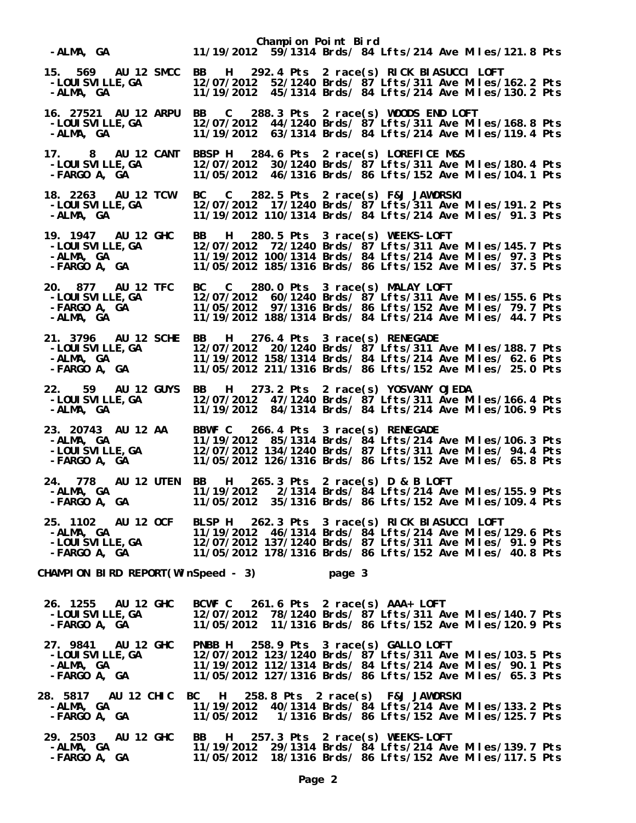| -ALMA, GA                                                                         | Champion Point Bird<br>11/19/2012 59/1314 Brds/ 84 Lfts/214 Ave Miles/121.8 Pts                                                                                                                                                                                                                                                                                                                                                                          |  |
|-----------------------------------------------------------------------------------|----------------------------------------------------------------------------------------------------------------------------------------------------------------------------------------------------------------------------------------------------------------------------------------------------------------------------------------------------------------------------------------------------------------------------------------------------------|--|
| -LOUI SVI LLE, GA<br>-ALMA, GA                                                    | 15. 569 AU 12 SMCC BB H 292.4 Pts 2 race(s) RICK BIASUCCI LOFT<br>12/07/2012 52/1240 Brds/ 87 Lfts/311 Ave Miles/162.2 Pts<br>11/19/2012 45/1314 Brds/ 84 Lfts/214 Ave Miles/130.2 Pts                                                                                                                                                                                                                                                                   |  |
| 16. 27521 AU 12 ARPU<br>$\frac{6.61351}{2.140}$ CA<br>-ALMA, GA                   | BB C<br>288.3 Pts 2 race(s) WOODS END LOFT<br>12/07/2012 44/1240 Brds/ 87 Lfts/311 Ave Miles/168.8 Pts<br>11/19/2012 63/1314 Brds/ 84 Lfts/214 Ave Miles/119.4 Pts                                                                                                                                                                                                                                                                                       |  |
| 17. 8 AU 12 CANT<br>-LOUI SVI LLE, GA<br>-FARGO A, GA                             | BBSP H 284.6 Pts 2 race(s) LOREFICE M&S<br>12/07/2012 30/1240 Brds/ 87 Lfts/311 Ave Miles/180.4 Pts<br>11/05/2012 46/1316 Brds/ 86 Lfts/152 Ave Miles/104.1 Pts                                                                                                                                                                                                                                                                                          |  |
| 18. 2263 AU 12 TCW<br>-LOUI SVI LLE, GA<br>-ALMA, GA                              | C 282.5 Pts 2 race(s) F&J JAWORSKI<br><b>BC</b><br>12/07/2012 17/1240 Brds/ 87 Lfts/311 Ave Miles/191.2 Pts<br>11/19/2012 110/1314 Brds/ 84 Lfts/214 Ave Miles/ 91.3 Pts                                                                                                                                                                                                                                                                                 |  |
| 19. 1947 AU 12 GHC<br>-LOUI SVI LLE, GA<br>$-FARGO A, GA$                         | H 280.5 Pts 3 race(s) WEEKS-LOFT<br>BB and the set of the set of the set of the set of the set of the set of the set of the set of the set of the set of the set of the set of the set of the set of the set of the set of the set of the set of the set of the se<br>12/07/2012 72/1240 Brds/ 87 Lfts/311 Ave Miles/145.7 Pts<br>11/19/2012 100/1314 Brds/ 84 Lfts/214 Ave Miles/ 97.3 Pts<br>11/05/2012 185/1316 Brds/ 86 Lfts/152 Ave Miles/ 37.5 Pts |  |
| 20. 877 AU 12 TFC<br>-LOUI SVI LLE, GA<br>-FARGO $A_i$ GA<br>-ALMA, GA            | BC C 280.0 Pts 3 race(s) MALAY LOFT<br>12/07/2012 60/1240 Brds/ 87 Lfts/311 Ave Miles/155.6 Pts<br>11/05/2012 97/1316 Brds/ 86 Lfts/152 Ave Miles/ 79.7 Pts<br>11/19/2012 188/1314 Brds/ 84 Lfts/214 Ave Miles/ 44.7 Pts                                                                                                                                                                                                                                 |  |
| 21. 3796 AU 12 SCHE<br>-LOUI SVI LLE, GA<br>-ALMA, GA<br>-FARGO A, GA             | H 276.4 Pts 3 race(s) RENEGADE<br><b>BB</b><br>12/07/2012 20/1240 Brds/ 87 Lfts/311 Ave Miles/188.7 Pts<br>11/19/2012 158/1314 Brds/ 84 Lfts/214 Ave Miles/ 62.6 Pts<br>11/05/2012 211/1316 Brds/ 86 Lfts/152 Ave Miles/ 25.0 Pts                                                                                                                                                                                                                        |  |
| 22. 59 AU 12 GUYS<br>-LOUI SVI LLE, GA<br>-ALMA, GA                               | H 273.2 Pts 2 race(s) YOSVANY OJEDA<br><b>BB</b><br>12/07/2012 47/1240 Brds/ 87 Lfts/311 Ave Miles/166.4 Pts<br>11/19/2012 84/1314 Brds/ 84 Lfts/214 Ave Miles/106.9 Pts                                                                                                                                                                                                                                                                                 |  |
| 23. 20743 AU 12 AA<br>-ALMA, GA<br>-ALWA, GA<br>-LOUI SVI LLE, GA<br>-FARGO A, GA | BBWF C 266.4 Pts 3 race(s) RENEGADE<br>11/19/2012 85/1314 Brds/ 84 Lfts/214 Ave Miles/106.3 Pts<br>12/07/2012 134/1240 Brds/ 87 Lfts/311 Ave Miles/ 94.4 Pts<br>11/05/2012 126/1316 Brds/ 86 Lfts/152 Ave Miles/ 65.8 Pts                                                                                                                                                                                                                                |  |
| <b>24. 778 AU 12 UTEN</b><br>-ALMA, GA<br><b>-FARGO A, GA</b>                     | 265.3 Pts 2 race(s) D & B LOFT<br>BB<br>H<br>11/19/2012  2/1314 Brds/ 84 Lfts/214 Ave Miles/155.9 Pts<br>11/05/2012 35/1316 Brds/ 86 Lfts/152 Ave Miles/109.4 Pts                                                                                                                                                                                                                                                                                        |  |
|                                                                                   | 25. 1102 AU 12 OCF BLSP H 262.3 Pts 3 race(s) RICK BIASUCCI LOFT<br>-ALMA, GA 11/19/2012 46/1314 Brds/ 84 Lfts/214 Ave Miles/129.6 Pts<br>-LOUISVILLE,GA 12/07/2012 137/1240 Brds/ 87 Lfts/311 Ave Miles/ 91.9 Pts<br>-FARGO A, GA 11/0                                                                                                                                                                                                                  |  |
| CHAMPION BIRD REPORT(WinSpeed - 3)                                                | page 3                                                                                                                                                                                                                                                                                                                                                                                                                                                   |  |
| -FARGO A, GA                                                                      | 26. 1255 AU 12 GHC BCWF C 261.6 Pts 2 race(s) AAA+ LOFT<br>-LOUISVILLE,GA     12/07/2012 78/1240 Brds/ 87 Lfts/311 A<br>12/07/2012 78/1240 Brds/ 87 Lfts/311 Ave Miles/140.7 Pts<br>11/05/2012 11/1316 Brds/ 86 Lfts/152 Ave Miles/120.9 Pts                                                                                                                                                                                                             |  |
| 27. 9841 AU 12 GHC<br>-LOUI SVI LLE, GA<br>-ALMA, GA<br>-FARGO A, GA              | 258.9 Pts 3 race(s) GALLO LOFT<br><b>PNBB H</b><br>12/07/2012 123/1240 Brds/ 87 Lfts/311 Ave Miles/103.5 Pts<br>11/19/2012 112/1314 Brds/ 84 Lfts/214 Ave Miles/ 90.1 Pts<br>11/05/2012 127/1316 Brds/ 86 Lfts/152 Ave Miles/ 65.3 Pts                                                                                                                                                                                                                   |  |
| 28. 5817 AU 12 CHIC BC H<br>-ALMA, GA<br>-FARGO A, GA                             | 258.8 Pts 2 race(s) F&J JAWORSKI<br>11/19/2012 40/1314 Brds/ 84 Lfts/214 Ave Miles/133.2 Pts<br>11/05/2012  1/1316 Brds/ 86 Lfts/152 Ave Miles/125.7 Pts                                                                                                                                                                                                                                                                                                 |  |
| 29. 2503<br><b>AU 12 GHC</b><br>-ALMA, GA<br>-FARGO A, GA                         | 257.3 Pts 2 race(s) WEEKS-LOFT<br>BB<br>H<br>11/19/2012 29/1314 Brds/ 84 Lfts/214 Ave Miles/139.7 Pts<br>11/05/2012 18/1316 Brds/ 86 Lfts/152 Ave Miles/117.5 Pts                                                                                                                                                                                                                                                                                        |  |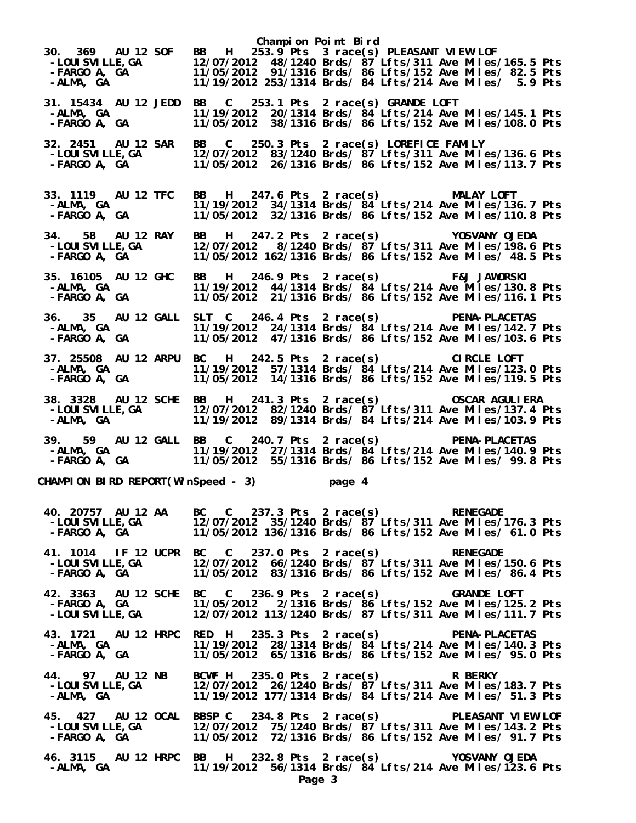**Champion Point Bird 30. 369 AU 12 SOF BB H 253.9 Pts 3 race(s) PLEASANT VIEW LOF -LOUISVILLE,GA 12/07/2012 48/1240 Brds/ 87 Lfts/311 Ave Miles/165.5 Pts -FARGO A, GA 11/05/2012 91/1316 Brds/ 86 Lfts/152 Ave Miles/ 82.5 Pts -ALMA, GA 11/19/2012 253/1314 Brds/ 84 Lfts/214 Ave Miles/ 5.9 Pts 31. 15434 AU 12 JEDD BB C 253.1 Pts 2 race(s) GRANDE LOFT -ALMA, GA 11/19/2012 20/1314 Brds/ 84 Lfts/214 Ave Miles/145.1 Pts -FARGO A, GA 11/05/2012 38/1316 Brds/ 86 Lfts/152 Ave Miles/108.0 Pts 32. 2451 AU 12 SAR BB C 250.3 Pts 2 race(s) LOREFICE FAMILY -LOUISVILLE,GA 12/07/2012 83/1240 Brds/ 87 Lfts/311 Ave Miles/136.6 Pts -FARGO A, GA 11/05/2012 26/1316 Brds/ 86 Lfts/152 Ave Miles/113.7 Pts 33. 1119 AU 12 TFC BB H 247.6 Pts 2 race(s) MALAY LOFT -ALMA, GA 11/19/2012 34/1314 Brds/ 84 Lfts/214 Ave Miles/136.7 Pts -FARGO A, GA 11/05/2012 32/1316 Brds/ 86 Lfts/152 Ave Miles/110.8 Pts 34. 58 AU 12 RAY BB H 247.2 Pts 2 race(s) YOSVANY OJEDA -LOUISVILLE,GA 12/07/2012 8/1240 Brds/ 87 Lfts/311 Ave Miles/198.6 Pts -FARGO A, GA 11/05/2012 162/1316 Brds/ 86 Lfts/152 Ave Miles/ 48.5 Pts 35. 16105 AU 12 GHC BB H 246.9 Pts 2 race(s) F&J JAWORSKI -ALMA, GA 11/19/2012 44/1314 Brds/ 84 Lfts/214 Ave Miles/130.8 Pts -FARGO A, GA 11/05/2012 21/1316 Brds/ 86 Lfts/152 Ave Miles/116.1 Pts 36. 35 AU 12 GALL SLT C 246.4 Pts 2 race(s) PENA-PLACETAS -ALMA, GA 11/19/2012 24/1314 Brds/ 84 Lfts/214 Ave Miles/142.7 Pts -FARGO A, GA 11/05/2012 47/1316 Brds/ 86 Lfts/152 Ave Miles/103.6 Pts 37. 25508 AU 12 ARPU BC H 242.5 Pts 2 race(s) CIRCLE LOFT -ALMA, GA 11/19/2012 57/1314 Brds/ 84 Lfts/214 Ave Miles/123.0 Pts -FARGO A, GA 11/05/2012 14/1316 Brds/ 86 Lfts/152 Ave Miles/119.5 Pts 38. 3328 AU 12 SCHE BB H 241.3 Pts 2 race(s) OSCAR AGULIERA -LOUISVILLE,GA 12/07/2012 82/1240 Brds/ 87 Lfts/311 Ave Miles/137.4 Pts -ALMA, GA 11/19/2012 89/1314 Brds/ 84 Lfts/214 Ave Miles/103.9 Pts 39. 59 AU 12 GALL BB C 240.7 Pts 2 race(s) PENA-PLACETAS -ALMA, GA 11/19/2012 27/1314 Brds/ 84 Lfts/214 Ave Miles/140.9 Pts -FARGO A, GA 11/05/2012 55/1316 Brds/ 86 Lfts/152 Ave Miles/ 99.8 Pts CHAMPION BIRD REPORT(WinSpeed - 3) page 4 40. 20757 AU 12 AA BC C 237.3 Pts 2 race(s) RENEGADE -LOUISVILLE,GA 12/07/2012 35/1240 Brds/ 87 Lfts/311 Ave Miles/176.3 Pts -FARGO A, GA 11/05/2012 136/1316 Brds/ 86 Lfts/152 Ave Miles/ 61.0 Pts 41. 1014 IF 12 UCPR BC C 237.0 Pts 2 race(s) RENEGADE -LOUISVILLE,GA 12/07/2012 66/1240 Brds/ 87 Lfts/311 Ave Miles/150.6 Pts -FARGO A, GA 11/05/2012 83/1316 Brds/ 86 Lfts/152 Ave Miles/ 86.4 Pts 42. 3363 AU 12 SCHE BC C 236.9 Pts 2 race(s) GRANDE LOFT -FARGO A, GA 11/05/2012 2/1316 Brds/ 86 Lfts/152 Ave Miles/125.2 Pts -LOUISVILLE,GA 12/07/2012 113/1240 Brds/ 87 Lfts/311 Ave Miles/111.7 Pts 43. 1721 AU 12 HRPC RED H 235.3 Pts 2 race(s) PENA-PLACETAS -ALMA, GA 11/19/2012 28/1314 Brds/ 84 Lfts/214 Ave Miles/140.3 Pts -FARGO A, GA 11/05/2012 65/1316 Brds/ 86 Lfts/152 Ave Miles/ 95.0 Pts 44. 97 AU 12 NB BCWF H 235.0 Pts 2 race(s) R BERKY -LOUISVILLE,GA 12/07/2012 26/1240 Brds/ 87 Lfts/311 Ave Miles/183.7 Pts -ALMA, GA 11/19/2012 177/1314 Brds/ 84 Lfts/214 Ave Miles/ 51.3 Pts 45. 427 AU 12 OCAL BBSP C 234.8 Pts 2 race(s) PLEASANT VIEW LOF -LOUISVILLE,GA 12/07/2012 75/1240 Brds/ 87 Lfts/311 Ave Miles/143.2 Pts -FARGO A, GA 11/05/2012 72/1316 Brds/ 86 Lfts/152 Ave Miles/ 91.7 Pts 46. 3115 AU 12 HRPC BB H 232.8 Pts 2 race(s) YOSVANY OJEDA -ALMA, GA 11/19/2012 56/1314 Brds/ 84 Lfts/214 Ave Miles/123.6 Pts Page 3**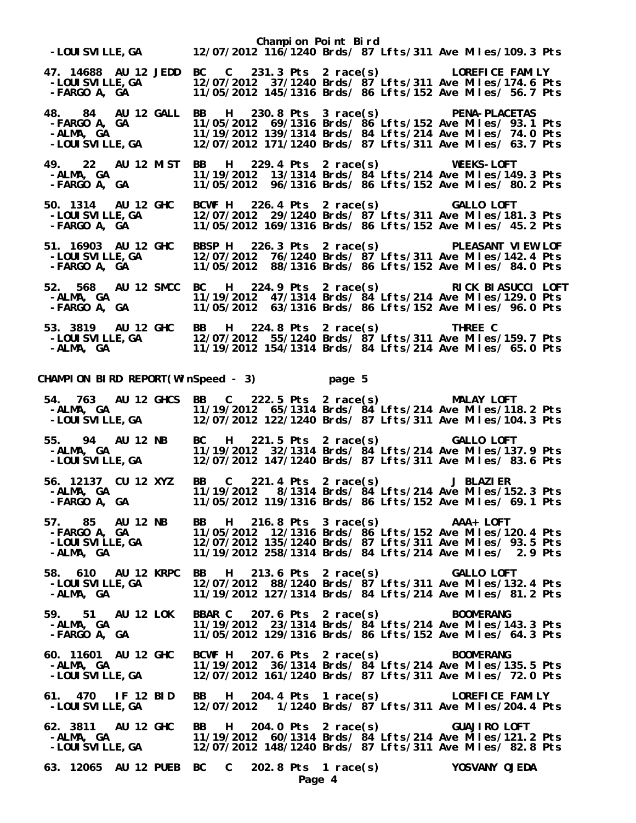| -LOUISVILLE, GA 12/07/2012 116/1240 Brds/ 87 Lfts/311 Ave Miles/109.3 Pts                                                                                                                                                          | Champion Point Bird                                                                                                                                                  |                                |                                                                                                                      |
|------------------------------------------------------------------------------------------------------------------------------------------------------------------------------------------------------------------------------------|----------------------------------------------------------------------------------------------------------------------------------------------------------------------|--------------------------------|----------------------------------------------------------------------------------------------------------------------|
| 47. 14688 AU 12 JEDD BC C 231.3 Pts 2 race(s) LOREFICE FAMILY<br>LUREFILE, GA - ---- 12/07/2012 37/1240 Brds/ 87 Lfts/311 Ave Miles/174.6 Pts<br>FARGO A, GA ---- 11/05/2012 145/1316 Brds/ 86 Lfts/152 Ave Miles/ 56.7 Pts        |                                                                                                                                                                      |                                |                                                                                                                      |
| 48. 84 AU 12 GALL BB H 230.8 Pts 3 race(s) PENA-PLACETAS<br>-FARGO A, GA 11/05/2012 69/1316 Brds/ 86 Lfts/152 Ave Miles/ 93.1 Pts<br>-FARGO A, GA<br>-ALMA, GA<br>-LOUISVILLE,GA                                                   | 11/19/2012 139/1314 Brds/ 84 Lfts/214 Ave Miles/ 74.0 Pts<br>12/07/2012 171/1240 Brds/ 87 Lfts/311 Ave Miles/ 63.7 Pts                                               |                                |                                                                                                                      |
| 49. 22 AU 12 MIST BB H 229.4 Pts 2 race(s) WEEKS-LOFT<br>-ALMA, GA<br>-FARGO A, GA                                                                                                                                                 | 11/19/2012 13/1314 Brds/ 84 Lfts/214 Ave Miles/149.3 Pts<br>11/05/2012 96/1316 Brds/ 86 Lfts/152 Ave Miles/ 80.2 Pts                                                 |                                |                                                                                                                      |
| 50. 1314 AU 12 GHC<br>-LOUI SVI LLE, GA<br>-FARGO   A,    GA                                                                                                                                                                       | BCWF H 226.4 Pts 2 race(s) GALLO LOFT<br>12/07/2012 29/1240 Brds/ 87 Lfts/311 Ave Miles/181.3 Pts<br>11/05/2012 169/1316 Brds/ 86 Lfts/152 Ave Miles/ 45.2 Pts       |                                |                                                                                                                      |
| 51. 16903 AU 12 GHC<br>-LOUI SVI LLE, GA<br>-FARGO   A,   GA                                                                                                                                                                       | BBSP H 226.3 Pts 2 race(s) PLEASANT VIEW LOF<br>12/07/2012 76/1240 Brds/ 87 Lfts/311 Ave Miles/142.4 Pts<br>11/05/2012 88/1316 Brds/ 86 Lfts/152 Ave Miles/ 84.0 Pts |                                |                                                                                                                      |
| 52. 568 AU 12 SMCC BC H 224.9 Pts 2 race(s) RICK BIASUCCI LOFT<br>-ALMA, GA<br>-FARGO A, GA                                                                                                                                        |                                                                                                                                                                      |                                | 11/19/2012 47/1314 Brds/ 84 Lfts/214 Ave Miles/129.0 Pts<br>11/05/2012 63/1316 Brds/ 86 Lfts/152 Ave Miles/ 96.0 Pts |
|                                                                                                                                                                                                                                    |                                                                                                                                                                      |                                |                                                                                                                      |
| CHAMPION BIRD REPORT(WinSpeed - 3) page 5                                                                                                                                                                                          |                                                                                                                                                                      |                                |                                                                                                                      |
| 54. 763 AU 12 GHCS BB C 222.5 Pts 2 race(s) MALAY LOFT<br>-ALMA, GA               11/19/2012  65/1314 Brds/ 84 Lfts/214 Ave Miles/118.2 Pts<br>-LOUISVILLE,GA         12/07/2012 122/1240 Brds/ 87 Lfts/311 Ave Miles/104.3 Pts    |                                                                                                                                                                      |                                |                                                                                                                      |
| 55. 94 AU 12 NB<br>-ALMA, GA<br><b>-LOUI SVILLE, GA</b>                                                                                                                                                                            | BC H 221.5 Pts 2 race(s) GALLO LOFT<br>11/19/2012 32/1314 Brds/ 84 Lfts/214 Ave Miles/137.9 Pts                                                                      |                                | 12/07/2012 147/1240 Brds/ 87 Lfts/311 Ave Miles/ 83.6 Pts                                                            |
| 56. 12137 CU 12 XYZ<br>-ALMA, GA<br>- EARCO A CA<br>-FARGO A, GA       11/05/2012 119/1316 Brds/ 86 Lfts/152 Ave Miles/ 69.1 Pts                                                                                                   | BB<br>$\mathbf{c}$<br>11/19/2012 8/1314 Brds/ 84 Lfts/214 Ave Miles/152.3 Pts                                                                                        | 221.4 Pts 2 race(s) J BLAZIER  |                                                                                                                      |
| 57. 85 AU 12 NB BB H 216.8 Pts 3 race(s) AAA+ LOFT<br>-FARGO A, GA         11/05/2012 12/1316 Brds/ 86 Lfts/152 Ave Miles/120.4 Pts<br>-LOUISVILLE,GA       12/07/2012 135/1240 Brds/ 87 Lfts/311 Ave Miles/ 93.5 Pts<br>-ALMA, GA |                                                                                                                                                                      |                                |                                                                                                                      |
| 58. 610 AU 12 KRPC BB H<br>-LOUI SVI LLE, GA<br>-ALMA, GA                                                                                                                                                                          | GA 12/07/2012 88/1240 Brds/ 87 Lfts/311 Ave Miles/132.4 Pts<br>11/19/2012 127/1314 Brds/ 87 Lfts/311 Ave Miles/132.4 Pts                                             | 213.6 Pts 2 race(s) GALLO LOFT |                                                                                                                      |
| 59. 51 AU 12 LOK<br>-ALMA, GA<br>-FARGO A, GA                                                                                                                                                                                      | BBAR C 207.6 Pts 2 race(s) BOOMERANG<br>11/19/2012 23/1314 Brds/ 84 Lfts/214 Ave Miles/143.3 Pts<br>11/05/2012 129/1316 Brds/ 86 Lfts/152 Ave Miles/ 64.3 Pts        |                                |                                                                                                                      |
| 60. 11601 AU 12 GHC BCWF H 207.6 Pts 2 race(s) BOOMERANG<br>11/19/2012 36/1314 Brds/84 Lfts/214 Ave Miles/1:4 --<br>12/07/2012 161/1240 Brds/87 Lfts/311 Ave Miles/                                                                | 11/19/2012 36/1314 Brds/ 84 Lfts/214 Ave Miles/135.5 Pts<br>12/07/2012 161/1240 Brds/ 87 Lfts/311 Ave Miles/ 72.0 Pts                                                |                                |                                                                                                                      |
| 61. 470 IF 12 BID<br>-LOUI SVI LLE, GA                                                                                                                                                                                             | BB H 204.4 Pts 1 race(s) LOREFICE FAMILY                                                                                                                             |                                |                                                                                                                      |
| 62. 3811 AU 12 GHC BB H 204.0 Pts 2 race(s)      GUAJIRO LOFT<br>-ALMA, GA      11/19/2012 60/1314 Brds/ 84 Lfts/214 Ave Miles/121.2 Pts<br>-LOUISVILLE,GA     12/07/2012 148/1240 Brds/ 87 Lfts/311 Ave Miles/ 82.8 Pts           |                                                                                                                                                                      |                                |                                                                                                                      |
| 63. 12065 AU 12 PUEB BC C 202.8 Pts 1 race(s) YOSVANY OJEDA                                                                                                                                                                        | Page 4                                                                                                                                                               |                                |                                                                                                                      |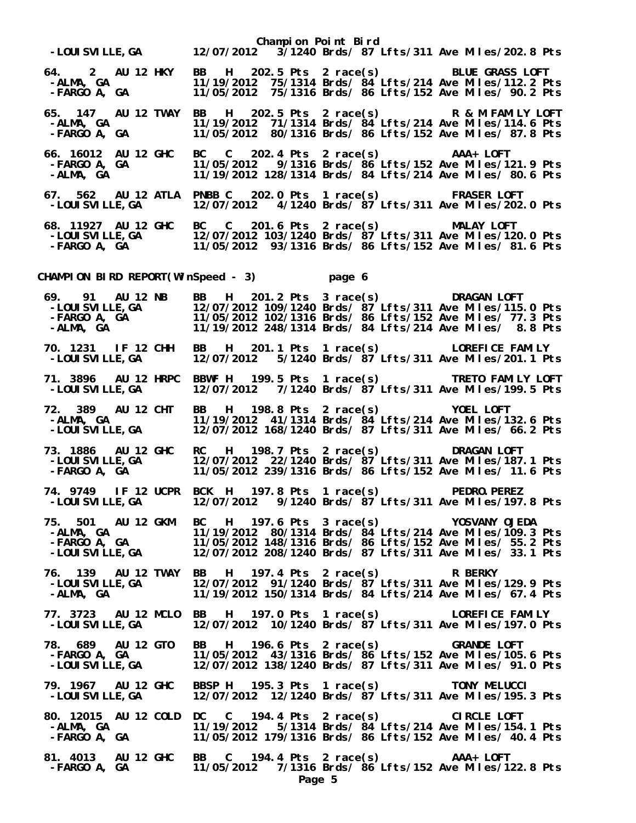|                                                               | Champion Point Bird<br>LOUISVILLE,GA    12/07/2012  3/1240 Brds/ 87 Lf<br>3/1240 Brds/ 87 Lfts/311 Ave Miles/202.8 Pts                                                                                                                  |
|---------------------------------------------------------------|-----------------------------------------------------------------------------------------------------------------------------------------------------------------------------------------------------------------------------------------|
| 64. 2 AU 12 HKY<br>-ALMA, GA<br>-ALMA, GA<br>-FARGO A, GA     | BB H 202.5 Pts 2 race(s) BLUE GRASS LOFT<br>11/19/2012 75/1314 Brds/ $\frac{3}{4}$ Lfts/214 Ave Miles/112.2 Pts<br>11/05/2012 75/1316 Brds/ 86 Lfts/152 Ave Miles/ 90.2 Pts                                                             |
| 65. 147 AU 12 TWAY<br>-ALMA, GA<br>-аlша, ча<br>-FARGO A, GA  | BB H 202.5 Pts 2 race(s) R & M FAMILY LOFT<br>11/19/2012 71/1314 Brds/ $\frac{3}{4}$ Lfts/214 Ave Miles/114.6 Pts<br>11/05/2012 80/1316 Brds/ 86 Lfts/152 Ave Miles/ 87.8 Pts                                                           |
| 66. 16012 AU 12 GHC<br>-FARGO A, GA<br>-ALMA, GA              | BC C 202.4 Pts 2 race(s) AAA+ LOFT<br>11/05/2012 9/1316 Brds/ 86 Lfts/152 Ave Miles/121.9 Pts<br>11/19/2012 128/1314 Brds/ 84 Lfts/214 Ave Miles/ 80.6 Pts                                                                              |
| 67. 562 AU 12 ATLA<br>-LOUI SVI LLE, GA                       | PNBB C<br>202.0 Pts 1 race(s) FRASER LOFT<br>12/07/2012 4/1240 Brds/ 87 Lfts/311 Ave Miles/202.0 Pts                                                                                                                                    |
|                                                               | 68. 11927 AU 12 GHC BC C 201.6 Pts 2 race(s) MALAY LOFT<br>-LOUISVILLE,GA 12/07/2012 103/1240 Brds/ 87 Lfts/311 Ave Miles/120.0 Pts<br>-FARGO A, GA 11/05/2012 93/1316 Brds/ 86 Lfts/152 Ave Miles/ 81.6 Pts                            |
|                                                               | CHAMPION BIRD REPORT(WinSpeed - 3) page 6                                                                                                                                                                                               |
|                                                               | 69. 91 AU 12 NB BB H 201.2 Pts 3 race(s) DRAGAN LOFT<br>-LOUISVILLE,GA 12/07/2012 109/1240 Brds/ 87 Lfts/311 Ave Miles/115.0 Pts<br>-FARGO A, GA 11/05/2012 102/1316 Brds/ 86 Lfts/152 Ave Miles/ 77.3 Pts<br>-ALMA, GA 11/19/2012 248/ |
| 70. 1231 IF 12 CHH<br>-LOUI SVI LLE, GA                       | BB H 201.1 Pts 1 race(s) LOREFICE FAMILY<br>12/07/2012  5/1240 Brds/ $87$ Lfts/311 Ave Miles/201.1 Pts                                                                                                                                  |
| 71. 3896 AU 12 HRPC<br>-LOUI SVI LLE, GA                      | BBWF H 199.5 Pts 1 race(s) TRETO FAMILY LOFT<br>12/07/2012  7/1240 Brds/ 87 Lfts/311 Ave Miles/199.5 Pts                                                                                                                                |
| 72. 389 AU 12 CHT<br>-ALMA, GA<br>-ALMA, GA<br>-LOUISVILLE,GA | H 198.8 Pts 2 race(s) YOEL LOFT<br><b>BB</b><br>11/19/2012 41/1314 Brds/ $84$ Lfts/214 Ave Miles/132.6 Pts<br>12/07/2012 168/1240 Brds/ 87 Lfts/311 Ave Miles/ 66.2 Pts                                                                 |
| 73. 1886 AU 12 GHC<br>-LOUI SVI LLE, GA<br>-FARGO   A,    GA  | RC H 198.7 Pts 2 race(s) DRAGAN LOFT<br>12/07/2012 22/1240 Brds/ 87 Lfts/311 Ave Miles/187.1 Pts<br>11/05/2012 239/1316 Brds/ 86 Lfts/152 Ave Miles/ 11.6 Pts                                                                           |
|                                                               | 74. 9749 IF 12 UCPR BCK H 197.8 Pts 1 race(s) PEDRO.PEREZ<br>-LOUISVILLE,GA     12/07/2012   9/1240 Brds/ 87 Lfts/311 Ave Miles/197.8 Pts                                                                                               |
|                                                               | 75. 501 AU 12 GKM BC H 197.6 Pts 3 race(s) YOSVANY OJEDA<br>-ALMA, GA             11/19/2012 80/1314 Brds/ 84 Lfts/214 Ave Miles/109.3 Pts<br>-FARGO A, GA         11/05/2012 148/1316 Brds/ 86 Lfts/152 Ave Miles/ 55.2 Pts<br>-LOUISV |
| -LOUI SVI LLE, GA<br>-ALMA, GA                                | 76. 139 AU 12 TWAY BB H 197.4 Pts 2 race(s) R BERKY<br>12/07/2012 91/1240 Brds/ 87 Lfts/311 Ave Miles/129.9 Pts<br>11/19/2012 150/1314 Brds/ 84 Lfts/214 Ave Miles/ 67.4 Pts                                                            |
| -LOUI SVI LLE, GA                                             | 77. 3723 AU 12 MCLO BB H 197.0 Pts 1 race(s) LOREFICE FAMILY<br>12/07/2012 10/1240 Brds/ 87 Lfts/311 Ave Miles/197.0 Pts                                                                                                                |
|                                                               | 78. 689 AU 12 GTO BB H 196.6 Pts 2 race(s) GRANDE LOFT<br>FARGO A, GA         11/05/2012 43/1316 Brds/ 86 Lfts/152 Ave Miles/105.6 Pts<br>LOUISVILLE,GA       12/07/2012 138/1240 Brds/ 87 Lfts/311 Ave Miles/ 91.0 Pts                 |
| -LOUI SVI LLE, GA                                             | 79. 1967 AU 12 GHC BBSP H 195.3 Pts 1 race(s) TONY MELUCCI<br>-LOUISVILLE,GA 12/07/2012 12/1240 Brds/ 87 Lfts/311 Ave Miles/195.<br>12/07/2012 12/1240 Brds/ 87 Lfts/311 Ave Miles/195.3 Pts                                            |
| -ALMA, GA<br>-ALMA, GA<br>-FARGO A, GA                        | 80. 12015 AU 12 COLD DC C 194.4 Pts 2 race(s) CIRCLE LOFT<br>11/19/2012  5/1314 Brds/ 84 Lfts/214 Ave Miles/154.1 Pts<br>11/05/2012 179/1316 Brds/ 86 Lfts/152 Ave Miles/ 40.4 Pts                                                      |
| -FARGO A, GA                                                  | 81. 4013 AU 12 GHC BB C 194.4 Pts 2 race(s) AAA+ LOFT<br>11/05/2012 7/1316 Brds/ 86 Lfts/152 Ave Miles/122.8 Pts<br>Page 5                                                                                                              |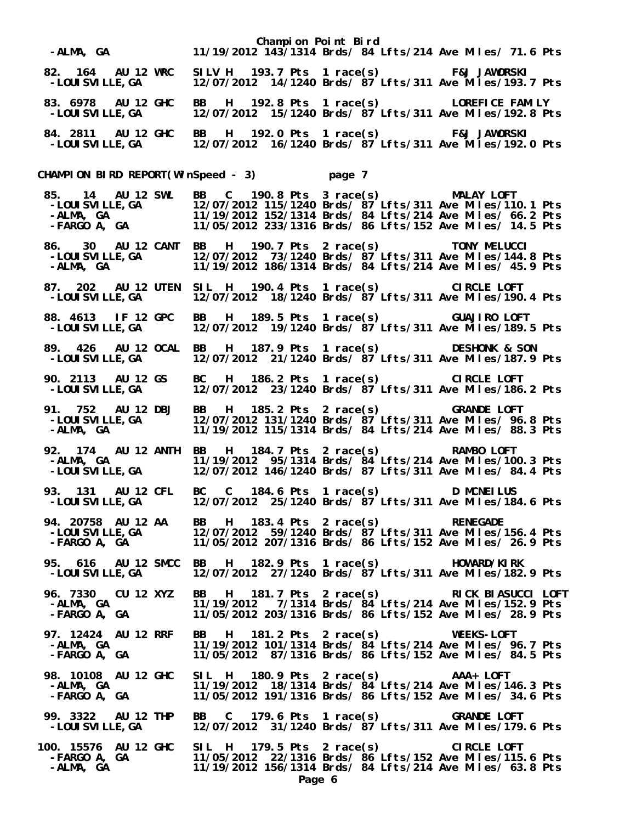|                                                     |                                                                                                                                                                                                                                                                               |                                    | Champion Point Bird<br>-ALMA, GA                 11/19/2012 143/1314 Brds/ 84 Lfts/214 Ave Miles/ 71.6 Pts                                                                                                                           |  |
|-----------------------------------------------------|-------------------------------------------------------------------------------------------------------------------------------------------------------------------------------------------------------------------------------------------------------------------------------|------------------------------------|--------------------------------------------------------------------------------------------------------------------------------------------------------------------------------------------------------------------------------------|--|
| 82. 164 AU 12 WRC<br>-LOUI SVI LLE, GA              |                                                                                                                                                                                                                                                                               |                                    |                                                                                                                                                                                                                                      |  |
| 83. 6978 AU 12 GHC<br>-LOUI SVI LLE, GA             | BB H 192.8 Pts 1 race(s) LOREFICE FAMILY<br>12/07/2012 15/1240 Brds/ $87$ Lfts/311 Ave Miles/192.8 Pts                                                                                                                                                                        |                                    |                                                                                                                                                                                                                                      |  |
|                                                     | 84. 2811 AU 12 GHC BB H 192.0 Pts 1 race(s) F&J JAWORSKI<br>-LOUISVILLE,GA 12/07/2012 16/1240 Brds/ 87 Lfts/311 Ave Miles/192.0 Pts                                                                                                                                           |                                    |                                                                                                                                                                                                                                      |  |
|                                                     | CHAMPION BIRD REPORT(WinSpeed - 3) page 7                                                                                                                                                                                                                                     |                                    |                                                                                                                                                                                                                                      |  |
|                                                     | 85. 14 AU 12 SWL BB C 190.8 Pts 3 race(s) MALAY LOFT<br>-LOUISVILLE,GA 12/07/2012 115/1240 Brds/ 87 Lfts/311 Ave Miles/110.1 Pts<br>-ALMA, GA 11/19/2012 152/1314 Brds/ 84 Lfts/214 Ave Miles/ 66.2 Pts<br>-FARGO A, GA 11/05/2012 233/                                       |                                    |                                                                                                                                                                                                                                      |  |
| -LOUISVILLE,GA<br>-ALMA, GA                         | 86. 30 AU 12 CANT BB H 190.7 Pts 2 race(s) TONY MELUCCI<br>-LOUISVILLE,GA 12/07/2012 73/1240 Brds/ 87 Lfts/311 Ave Miles/144.8 Pts<br>11/19/2012 186/1314 Brds/ 84 Lfts/214 Ave Miles/ 45.9 Pts                                                                               |                                    |                                                                                                                                                                                                                                      |  |
|                                                     | 87. 202 AU 12 UTEN SIL H 190.4 Pts 1 race(s)      CIRCLE LOFT<br>-LOUISVILLE,GA    12/07/2012 18/1240 Brds/ 87 Lfts/311 Ave Miles/190.4 Pts                                                                                                                                   |                                    |                                                                                                                                                                                                                                      |  |
| 88. 4613 IF 12 GPC<br>-LOUI SVI LLE, GA             | <b>BB</b><br>12/07/2012 19/1240 Brds/ 87 Lfts/311 Ave Miles/189.5 Pts                                                                                                                                                                                                         | H 189.5 Pts 1 race(s) GUAJIRO LOFT |                                                                                                                                                                                                                                      |  |
| 89. 426 AU 12 OCAL<br>-LOUI SVI LLE, GA             | BB H 187.9 Pts 1 race(s) DESHONK & SON<br>12/07/2012 21/1240 Brds/ 87 Lfts/311 Ave Miles/187.9 Pts                                                                                                                                                                            |                                    |                                                                                                                                                                                                                                      |  |
| 90. 2113 AU 12 GS<br>-LOUI SVI LLE, GA              | BC H 186.2 Pts 1 race(s) CIRCLE LOFT<br>12/07/2012 23/1240 Brds/ 87 Lfts/311 Ave Miles/186.2 Pts                                                                                                                                                                              |                                    |                                                                                                                                                                                                                                      |  |
| 91. 752 AU 12 DBJ<br>-LOUI SVI LLE, GA<br>-ALMA, GA | BB H 185.2 Pts 2 race(s) GRANDE LOFT<br>12/07/2012 131/1240 Brds/ $\frac{3}{7}$ Lfts/311 Ave Miles/ 96.8 Pts<br>11/19/2012 115/1314 Brds/ 84 Lfts/214 Ave Miles/ 88.3 Pts                                                                                                     |                                    |                                                                                                                                                                                                                                      |  |
|                                                     | 92. 174 AU 12 ANTH BB H 184.7 Pts 2 race(s) RAMBO LOFT<br>11/19/2012 95/1314 Brds/ 84 Lfts/214 Ave Miles/100.3 Pts<br>-ALMA, GA       11/19/2012 95/1314 Brds/ 84 Lfts/214 Ave Miles/100.3 Pts<br>-LOUISVILLE,GA    12/07/2012 146/1240 Brds/ 87 Lfts/311 Ave Miles/ 84.4 Pts |                                    |                                                                                                                                                                                                                                      |  |
| 93. 131 AU 12 CFL                                   | BC C 184.6 Pts 1 race(s) D MCNEILUS<br>-LOUISVILLE,GA     12/07/2012 25/1240 Brds/ $\dot{87}$ Lfts/311 Ave Miles/184.6 Pts                                                                                                                                                    |                                    |                                                                                                                                                                                                                                      |  |
|                                                     | 94. 20758 AU 12 AA BB H 183.4 Pts 2 race(s) RENEGADE<br>-LOUISVILLE,GA 12/07/2012 59/1240 Brds/ 87 Lfts/311 Ave Miles/156.4 Pts<br>-FARGO A, GA 11/05/2012 207/1316 Brds/ 86 Lfts/152 Ave Miles/ 26.9 Pts                                                                     |                                    |                                                                                                                                                                                                                                      |  |
| -LOUI SVI LLE, GA                                   | 95. 616 AU 12 SMCC BB H 182.9 Pts 1 race(s) HOWARD/KIRK<br>12/07/2012 27/1240 Brds/ 87 Lfts/311 Ave Miles/182.9 Pts                                                                                                                                                           |                                    |                                                                                                                                                                                                                                      |  |
|                                                     |                                                                                                                                                                                                                                                                               |                                    | 96. 7330 CU 12 XYZ BB H 181.7 Pts 2 race(s) RICK BIASUCCI LOFT<br>-ALMA, GA                 11/19/2012   7/1314 Brds/ 84 Lfts/214 Ave Miles/152.9 Pts<br>-FARGO A, GA               11/05/2012 203/1316 Brds/ 86 Lfts/152 Ave Miles/ |  |
|                                                     | 97. 12424 AU 12 RRF BB H 181.2 Pts 2 race(s) WEEKS-LOFT<br>-ALMA, GA               11/19/2012 101/1314 Brds/ 84 Lfts/214 Ave Miles/ 96.7 Pts<br>-FARGO A, GA             11/05/2012  87/1316 Brds/ 86 Lfts/152 Ave Miles/ 84.5 Pts                                            |                                    |                                                                                                                                                                                                                                      |  |
|                                                     | 98. 10108 AU 12 GHC SIL H 180.9 Pts 2 race(s) AAA+ LOFT<br>-ALMA, GA               11/19/2012 18/1314 Brds/ 84 Lfts/214 Ave Miles/146.3 Pts<br>-FARGO A, GA             11/05/2012 191/1316 Brds/ 86 Lfts/152 Ave Miles/ 34.6 Pts                                             |                                    |                                                                                                                                                                                                                                      |  |
|                                                     | 99. 3322 AU 12 THP BB C 179.6 Pts 1 race(s) GRANDE LOFT<br>-LOUISVILLE,GA 12/07/2012 31/1240 Brds/ 87 Lfts/311 Ave Miles/179.6 Pts                                                                                                                                            |                                    |                                                                                                                                                                                                                                      |  |
| -ALMA, GA                                           | 100. 15576 AU 12 GHC SIL H 179.5 Pts 2 race(s)      CIRCLE LOFT<br>FARGO A, GA      11/05/2012 22/1316 Brds/ 86 Lfts/152 Ave Miles/115.6 Pts              11/19/2012 156/1314 Brds/ 84 Lfts/214 Ave Miles/ 63.8 Pts                                                           |                                    |                                                                                                                                                                                                                                      |  |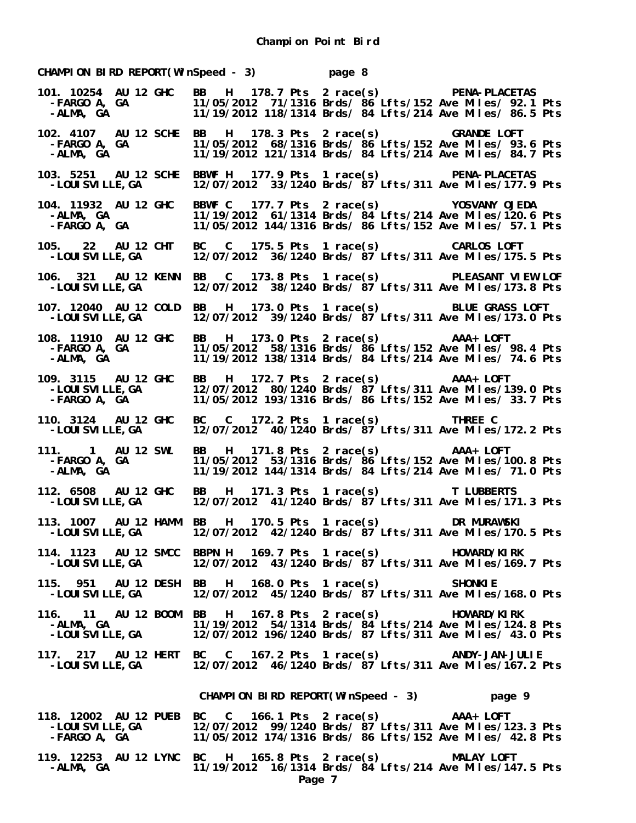**CHAMPION BIRD REPORT(WinSpeed - 3) page 8 101. 10254 AU 12 GHC BB H 178.7 Pts 2 race(s) PENA-PLACETAS -FARGO A, GA 11/05/2012 71/1316 Brds/ 86 Lfts/152 Ave Miles/ 92.1 Pts -ALMA, GA 11/19/2012 118/1314 Brds/ 84 Lfts/214 Ave Miles/ 86.5 Pts 102. 4107 AU 12 SCHE BB H 178.3 Pts 2 race(s) GRANDE LOFT -FARGO A, GA 11/05/2012 68/1316 Brds/ 86 Lfts/152 Ave Miles/ 93.6 Pts** 11/19/2012 121/1314 Brds/ 84 Lfts/214 Ave Miles/ 84.7 Pts **103. 5251 AU 12 SCHE BBWF H 177.9 Pts 1 race(s) PENA-PLACETAS**  12/07/2012 33/1240 Brds/ 87 Lfts/311 Ave Miles/177.9 Pts **104. 11932 AU 12 GHC BBWF C 177.7 Pts 2 race(s) YOSVANY OJEDA -ALMA, GA 11/19/2012 61/1314 Brds/ 84 Lfts/214 Ave Miles/120.6 Pts -FARGO A, GA 11/05/2012 144/1316 Brds/ 86 Lfts/152 Ave Miles/ 57.1 Pts 105. 22 AU 12 CHT BC C 175.5 Pts 1 race(s) CARLOS LOFT -LOUISVILLE,GA 12/07/2012 36/1240 Brds/ 87 Lfts/311 Ave Miles/175.5 Pts 106. 321 AU 12 KENN BB C 173.8 Pts 1 race(s) PLEASANT VIEW LOF -LOUISVILLE,GA 12/07/2012 38/1240 Brds/ 87 Lfts/311 Ave Miles/173.8 Pts 107. 12040 AU 12 COLD BB H 173.0 Pts 1 race(s) BLUE GRASS LOFT -LOUISVILLE,GA 12/07/2012 39/1240 Brds/ 87 Lfts/311 Ave Miles/173.0 Pts 108. 11910 AU 12 GHC BB H 173.0 Pts 2 race(s) AAA+ LOFT -FARGO A, GA 11/05/2012 58/1316 Brds/ 86 Lfts/152 Ave Miles/ 98.4 Pts** 108. 11910 AU 12 GHC BB H 173.0 Pts 2 race(s) **AAA+ LOFT**<br>FARGO A, GA 11/05/2012 58/1316 Brds/ 86 Lfts/152 Ave Miles/ 98.4 Pts-<br>ALMA, GA 11/19/2012 138/1314 Brds/ 84 Lfts/214 Ave Miles/ 74.6 Pts-**109. 3115 AU 12 GHC BB H 172.7 Pts 2 race(s) AAA+ LOFT -LOUISVILLE,GA 12/07/2012 80/1240 Brds/ 87 Lfts/311 Ave Miles/139.0 Pts -FARGO A, GA 11/05/2012 193/1316 Brds/ 86 Lfts/152 Ave Miles/ 33.7 Pts 110. 3124 AU 12 GHC BC C 172.2 Pts 1 race(s) THREE C -LOUISVILLE, GA** 12/07/2012 40/1240 Brds/ 87 Lfts/311 Ave Miles/172.2 Pts<br>|1. | AU 12 SWL BB | H 171.8 Pts 2 race(s) AAA+ LOFT<br>|-FARGO A, GA | 11/05/2012 53/1316 Brds/ 86 Lfts/152 Ave Miles/100.8 Pts<br>|-ALMA, GA | 11/19/20 **111. 1 AU 12 SWL BB H 171.8 Pts 2 race(s) AAA+ LOFT -FARGO A, GA 11/05/2012 53/1316 Brds/ 86 Lfts/152 Ave Miles/100.8 Pts -ALMA, GA 11/19/2012 144/1314 Brds/ 84 Lfts/214 Ave Miles/ 71.0 Pts 112. 6508 AU 12 GHC BB H 171.3 Pts 1 race(s) T LUBBERTS**  12/07/2012 41/1240 Brds/  $87$ <sup>'</sup>Lfts/311 Ave Miles/171.3 Pts **113. 1007 AU 12 HAMM BB H 170.5 Pts 1 race(s) DR MURAWSKI -LOUISVILLE,GA 12/07/2012 42/1240 Brds/ 87 Lfts/311 Ave Miles/170.5 Pts 114. 1123 AU 12 SMCC BBPN H 169.7 Pts 1 race(s) HOWARD/KIRK -LOUISVILLE,GA 12/07/2012 43/1240 Brds/ 87 Lfts/311 Ave Miles/169.7 Pts 115. 951 AU 12 DESH BB H 168.0 Pts 1 race(s) SHONKIE -LOUISVILLE,GA 12/07/2012 45/1240 Brds/ 87 Lfts/311 Ave Miles/168.0 Pts 116. 11 AU 12 BOOM BB H 167.8 Pts 2 race(s) HOWARD/KIRK -ALMA, GA 11/19/2012 54/1314 Brds/ 84 Lfts/214 Ave Miles/124.8 Pts -LOUISVILLE,GA 12/07/2012 196/1240 Brds/ 87 Lfts/311 Ave Miles/ 43.0 Pts 117. 217 AU 12 HERT BC C 167.2 Pts 1 race(s) ANDY-JAN-JULIE -LOUISVILLE,GA 12/07/2012 46/1240 Brds/ 87 Lfts/311 Ave Miles/167.2 Pts CHAMPION BIRD REPORT(WinSpeed - 3) page 9 118. 12002 AU 12 PUEB BC C 166.1 Pts 2 race(s) AAA+ LOFT -LOUISVILLE,GA 12/07/2012 99/1240 Brds/ 87 Lfts/311 Ave Miles/123.3 Pts -FARGO A, GA 11/05/2012 174/1316 Brds/ 86 Lfts/152 Ave Miles/ 42.8 Pts 119. 12253 AU 12 LYNC BC H 165.8 Pts 2 race(s) MALAY LOFT**  11/19/2012 16/1314 Brds/  $84$  Lfts/214 Ave Miles/147.5 Pts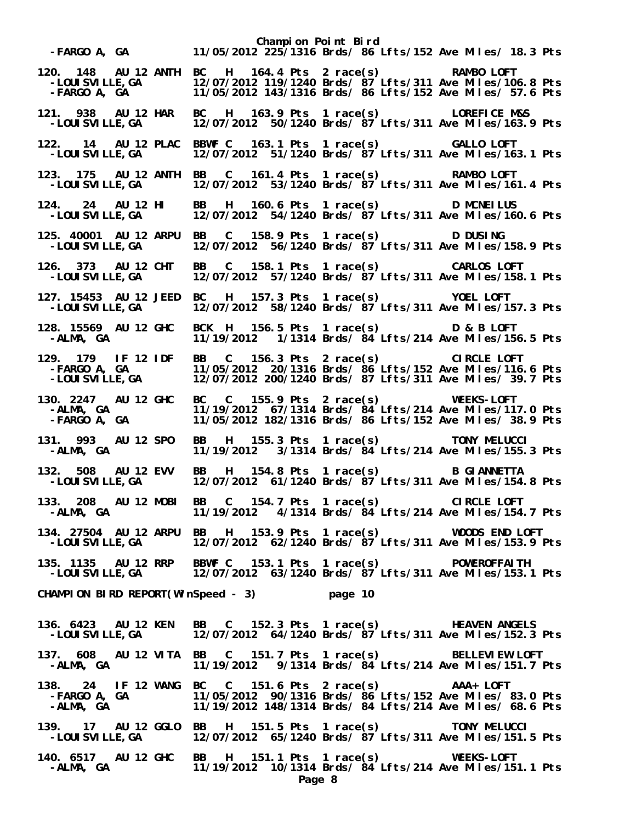**Champion Point Bird -FARGO A, GA 11/05/2012 225/1316 Brds/ 86 Lfts/152 Ave Miles/ 18.3 Pts 120. 148 AU 12 ANTH BC H 164.4 Pts 2 race(s) RAMBO LOFT -LOUISVILLE,GA 12/07/2012 119/1240 Brds/ 87 Lfts/311 Ave Miles/106.8 Pts -FARGO A, GA 11/05/2012 143/1316 Brds/ 86 Lfts/152 Ave Miles/ 57.6 Pts 121. 938 AU 12 HAR BC H 163.9 Pts 1 race(s) LOREFICE M&S -LOUISVILLE,GA 12/07/2012 50/1240 Brds/ 87 Lfts/311 Ave Miles/163.9 Pts 122. 14 AU 12 PLAC BBWF C 163.1 Pts 1 race(s) GALLO LOFT -LOUISVILLE,GA 12/07/2012 51/1240 Brds/ 87 Lfts/311 Ave Miles/163.1 Pts 123. 175 AU 12 ANTH BB C 161.4 Pts 1 race(s) RAMBO LOFT**  12/07/2012 53/1240 Brds/ 87 Lfts/311 Ave Miles/161.4 Pts **124. 24 AU 12 HI BB H 160.6 Pts 1 race(s) D MCNEILUS -LOUISVILLE,GA 12/07/2012 54/1240 Brds/ 87 Lfts/311 Ave Miles/160.6 Pts 125. 40001 AU 12 ARPU BB C 158.9 Pts 1 race(s) D DUSING -LOUISVILLE,GA 12/07/2012 56/1240 Brds/ 87 Lfts/311 Ave Miles/158.9 Pts 126. 373 AU 12 CHT BB C 158.1 Pts 1 race(s) CARLOS LOFT -LOUISVILLE,GA 12/07/2012 57/1240 Brds/ 87 Lfts/311 Ave Miles/158.1 Pts 127. 15453 AU 12 JEED BC H 157.3 Pts 1 race(s) YOEL LOFT -LOUISVILLE,GA 12/07/2012 58/1240 Brds/ 87 Lfts/311 Ave Miles/157.3 Pts 128. 15569 AU 12 GHC BCK H 156.5 Pts 1 race(s) D & B LOFT -ALMA, GA 11/19/2012 1/1314 Brds/ 84 Lfts/214 Ave Miles/156.5 Pts 129. 179 IF 12 IDF BB C 156.3 Pts 2 race(s) CIRCLE LOFT -FARGO A, GA 11/05/2012 20/1316 Brds/ 86 Lfts/152 Ave Miles/116.6 Pts -LOUISVILLE,GA 12/07/2012 200/1240 Brds/ 87 Lfts/311 Ave Miles/ 39.7 Pts 130. 2247 AU 12 GHC BC C 155.9 Pts 2 race(s) WEEKS-LOFT -ALMA, GA 11/19/2012 67/1314 Brds/ 84 Lfts/214 Ave Miles/117.0 Pts -FARGO A, GA 11/05/2012 182/1316 Brds/ 86 Lfts/152 Ave Miles/ 38.9 Pts 131. 993 AU 12 SPO BB H 155.3 Pts 1 race(s) TONY MELUCCI**  11/19/2012 3/1314 Brds/ 84 Lfts/214 Ave Miles/155.3 Pts **132. 508 AU 12 EVV BB H 154.8 Pts 1 race(s) B GIANNETTA -LOUISVILLE,GA 12/07/2012 61/1240 Brds/ 87 Lfts/311 Ave Miles/154.8 Pts 133. 208 AU 12 MOBI BB C 154.7 Pts 1 race(s) CIRCLE LOFT -ALMA, GA 11/19/2012 4/1314 Brds/ 84 Lfts/214 Ave Miles/154.7 Pts 134. 27504 AU 12 ARPU BB H 153.9 Pts 1 race(s) WOODS END LOFT -LOUISVILLE,GA 12/07/2012 62/1240 Brds/ 87 Lfts/311 Ave Miles/153.9 Pts 135. 1135 AU 12 RRP BBWF C 153.1 Pts 1 race(s) POWEROFFAITH -LOUISVILLE,GA 12/07/2012 63/1240 Brds/ 87 Lfts/311 Ave Miles/153.1 Pts CHAMPION BIRD REPORT(WinSpeed - 3) page 10** 136. 6423 AU 12 KEN BB C 152.3 Pts 1 race(s) HEAVEN ANGELS<br>2.152.3 LOUISVILLE,GA 12/07/2012 64/1240 Brds/ 87 Lfts/311 Ave Miles/152.3  **-LOUISVILLE,GA 12/07/2012 64/1240 Brds/ 87 Lfts/311 Ave Miles/152.3 Pts 137. 608 AU 12 VITA BB C 151.7 Pts 1 race(s) BELLEVIEW LOFT -ALMA, GA 11/19/2012 9/1314 Brds/ 84 Lfts/214 Ave Miles/151.7 Pts 138. 24 IF 12 WANG BC C 151.6 Pts 2 race(s) AAA+ LOFT -FARGO A, GA 11/05/2012 90/1316 Brds/ 86 Lfts/152 Ave Miles/ 83.0 Pts -ALMA, GA 11/19/2012 148/1314 Brds/ 84 Lfts/214 Ave Miles/ 68.6 Pts 139. 17 AU 12 GGLO BB H 151.5 Pts 1 race(s) TONY MELUCCI -LOUISVILLE,GA 12/07/2012 65/1240 Brds/ 87 Lfts/311 Ave Miles/151.5 Pts 140. 6517 AU 12 GHC BB H 151.1 Pts 1 race(s) WEEKS-LOFT**  11/19/2012 10/1314 Brds/ 84 Lfts/214 Ave Miles/151.1 Pts **Page 8**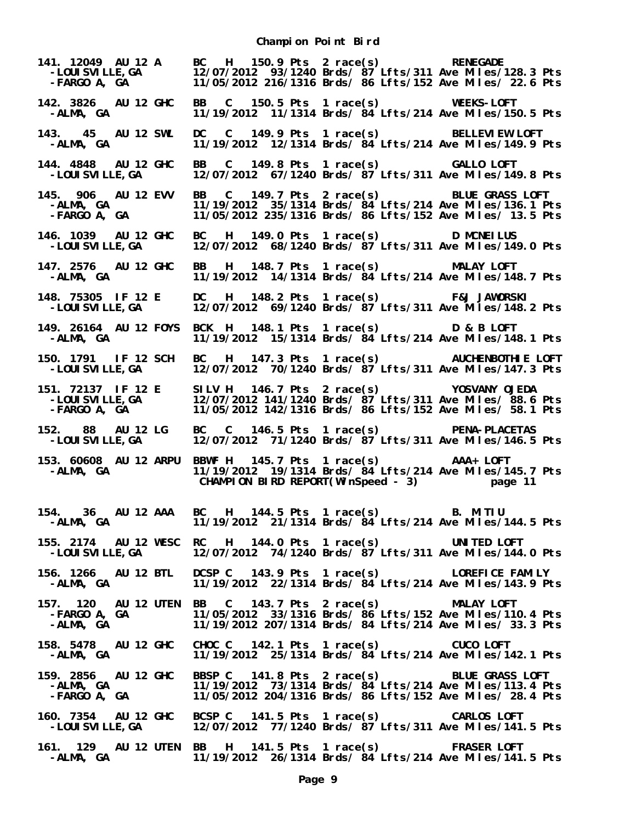**Champion Point Bird**

| 141. 12049 AU 12 A<br>-LOUI SVI LLE, GA<br>-FARGO A, GA | BC H 150.9 Pts 2 race(s) RENEGADE<br>12/07/2012 93/1240 Brds/ 87 Lfts/311 Ave Miles/128.3 Pts<br>11/05/2012 216/1316 Brds/ 86 Lfts/152 Ave Miles/ 22.6 Pts                                                                                                                         |
|---------------------------------------------------------|------------------------------------------------------------------------------------------------------------------------------------------------------------------------------------------------------------------------------------------------------------------------------------|
| 142. 3826 AU 12 GHC<br>-ALMA, GA                        | BB C 150.5 Pts 1 race(s) WEEKS-LOFT<br>11/19/2012 11/1314 Brds/ 84 Lfts/214 Ave Miles/150.5 Pts                                                                                                                                                                                    |
| 143. 45 AU 12 SWL<br>-ALMA, GA                          | DC C 149.9 Pts 1 race(s) BELLEVIEW LOFT<br>11/19/2012 12/1314 Brds/ 84 Lfts/214 Ave Miles/149.9 Pts                                                                                                                                                                                |
| 144. 4848 AU 12 GHC<br>- LOUI SVI LLE, GA               | BB C 149.8 Pts 1 race(s) GALLO LOFT<br>12/07/2012 67/1240 Brds/ $87$ Lfts/311 Ave Miles/149.8 Pts                                                                                                                                                                                  |
| 145. 906 AU 12 EVV<br>-ALMA, GA<br>-FARGO A, GA         | BB C 149.7 Pts 2 race(s) BLUE GRASS LOFT<br>11/19/2012 35/1314 Brds/ 84 Lfts/214 Ave Miles/136.1 Pts<br>11/05/2012 235/1316 Brds/ 86 Lfts/152 Ave Miles/ 13.5 Pts                                                                                                                  |
| 146. 1039 AU 12 GHC<br>-LOUI SVI LLE, GA                | BC H 149.0 Pts 1 race(s) D MCNEILUS<br>12/07/2012 68/1240 Brds/ 87 Lfts/311 Ave Miles/149.0 Pts                                                                                                                                                                                    |
| 147. 2576 AU 12 GHC<br>-ALMA, GA                        | BB H 148.7 Pts 1 race(s) MALAY LOFT<br>11/19/2012 14/1314 Brds/ 84 Lfts/214 Ave Miles/148.7 Pts                                                                                                                                                                                    |
| 148. 75305 IF 12 E<br>-LOUI SVI LLE, GA                 | DC H 148.2 Pts 1 race(s) F&J JAWORSKI<br>12/07/2012 69/1240 Brds/ $87$ Lfts/311 Ave Miles/148.2 Pts                                                                                                                                                                                |
| -ALMA, GA                                               | 149. 26164 AU 12 FOYS BCK H 148.1 Pts 1 race(s) D & B LOFT<br>11/19/2012 15/1314 Brds/ 84 Lfts/214 Ave Miles/148.1 Pts                                                                                                                                                             |
| 150. 1791 IF 12 SCH<br>- LOUI SVI LLE, GA               | BC H 147.3 Pts 1 race(s) AUCHENBOTHIE LOFT<br>12/07/2012 70/1240 Brds/ 87 Lfts/311 Ave Miles/147.3 Pts                                                                                                                                                                             |
|                                                         | 151. 72137 IF 12 E SILV H 146.7 Pts 2 race(s) YOSVANY OJEDA<br>-LOUISVILLE,GA 12/07/2012 141/1240 Brds/ 87 Lfts/311 Ave Miles/ 88.6 Pts<br>-FARGO A, GA 11/05/2012 142/1316 Brds/ 86 Lfts/152 Ave Miles/ 58.1 Pts                                                                  |
|                                                         | 152. 88 AU 12 LG BC C 146.5 Pts 1 race(s) PENA-PLACETAS<br>-LOUISVILLE, GA 12/07/2012 71/1240 Brds/ 87 Lfts/311 Ave Miles/146.5 Pts                                                                                                                                                |
| -ALMA, GA                                               | 153. 60608 AU 12 ARPU BBWF H 145.7 Pts 1 race(s) AAA+ LOFT<br>11/19/2012 19/1314 Brds/ 84 Lfts/214 Ave Miles/145.7 Pts<br>CHAMPION BIRD REPORT(WinSpeed - 3) page 11                                                                                                               |
| -ALMA, GA                                               | 154. 36 AU 12 AAA BC H 144.5 Pts 1 race(s) B. MITIU<br>11/19/2012 21/1314 Brds/ 84 Lfts/214 Ave Miles/144.5 Pts                                                                                                                                                                    |
| -LOUI SVI LLE, GA                                       | 155. 2174 AU 12 WESC RC H 144.0 Pts 1 race(s) UNITED LOFT<br>12/07/2012 74/1240 Brds/ $\frac{3}{7}$ Lfts/311 Ave Miles/144.0 Pts                                                                                                                                                   |
| -ALMA, GA                                               | 156. 1266 AU 12 BTL DCSP C 143.9 Pts 1 race(s) LOREFICE FAMILY<br>11/19/2012 22/1314 Brds/ 84 Lfts/214 Ave Miles/143.9 Pts                                                                                                                                                         |
| -ALMA, GA                                               | 157. 120 AU 12 UTEN BB C 143.7 Pts 2 race(s) MALAY LOFT<br>-FARGO A, GA                 11/05/2012   33/1316 Brds/ 86 Lfts/152 Ave Miles/110.4 Pts<br>-ALMA, GA                 11/19/2012 207/1314 Brds/ 84 Lfts/214 Ave Miles/ 33.3 Pts                                          |
| -ALMA, GA                                               | 158. 5478 AU 12 GHC CHOC C 142.1 Pts 1 race(s) CUCO LOFT<br>11/19/2012 25/1314 Brds/ 84 Lfts/214 Ave Miles/142.1 Pts                                                                                                                                                               |
| 159. 2856 AU 12 GHC                                     | BBSP C 141.8 Pts 2 race(s) BLUE GRASS LOFT<br>11/19/2012 73/1314 Brds/ 84 Lfts/214 Ave Miles/113.4 Pts<br>-ALMA, GA                  11/19/2012  73/1314 Brds/ 84 Lfts/214 Ave Miles/113.4 Pts<br>-FARGO A, GA           11/05/2012 204/1316 Brds/ 86 Lfts/152 Ave Miles/ 28.4 Pts |
| -LOUI SVI LLE, GA                                       | 160. 7354 AU 12 GHC BCSP C 141.5 Pts 1 race(s) CARLOS LOFT<br>12/07/2012 77/1240 Brds/ 87 Lfts/311 Ave Miles/141.5 Pts                                                                                                                                                             |
| -ALMA, GA                                               | 161. 129 AU 12 UTEN BB H 141.5 Pts 1 race(s) FRASER LOFT<br>11/19/2012 26/1314 Brds/ 84 Lfts/214 Ave Miles/141.5 Pts                                                                                                                                                               |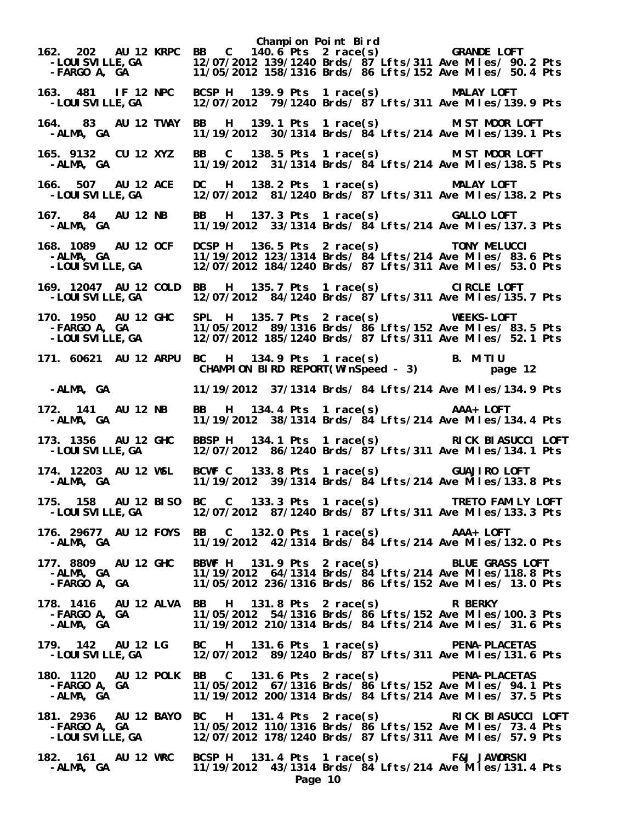**Champion Point Bird 162. 202 AU 12 KRPC BB C 140.6 Pts 2 race(s) GRANDE LOFT -LOUISVILLE,GA 12/07/2012 139/1240 Brds/ 87 Lfts/311 Ave Miles/ 90.2 Pts** 11/05/2012 158/1316 Brds/ 86 Lfts/152 Ave Miles/ 50.4 Pts **163. 481 IF 12 NPC BCSP H 139.9 Pts 1 race(s) MALAY LOFT -LOUISVILLE,GA 12/07/2012 79/1240 Brds/ 87 Lfts/311 Ave Miles/139.9 Pts 164. 83 AU 12 TWAY BB H 139.1 Pts 1 race(s) MIST MOOR LOFT -ALMA, GA 11/19/2012 30/1314 Brds/ 84 Lfts/214 Ave Miles/139.1 Pts 165. 9132 CU 12 XYZ BB C 138.5 Pts 1 race(s) MIST MOOR LOFT -ALMA, GA 11/19/2012 31/1314 Brds/ 84 Lfts/214 Ave Miles/138.5 Pts 166. 507 AU 12 ACE DC H 138.2 Pts 1 race(s) MALAY LOFT**  12/07/2012 81/1240 Brds/ 87 Lfts/311 Ave Miles/138.2 Pts **167. 84 AU 12 NB BB H 137.3 Pts 1 race(s) GALLO LOFT -ALMA, GA 11/19/2012 33/1314 Brds/ 84 Lfts/214 Ave Miles/137.3 Pts 168. 1089 AU 12 OCF DCSP H 136.5 Pts 2 race(s) TONY MELUCCI -ALMA, GA 11/19/2012 123/1314 Brds/ 84 Lfts/214 Ave Miles/ 83.6 Pts -LOUISVILLE,GA 12/07/2012 184/1240 Brds/ 87 Lfts/311 Ave Miles/ 53.0 Pts 169. 12047 AU 12 COLD BB H 135.7 Pts 1 race(s) CIRCLE LOFT**  12/07/2012 84/1240 Brds/ 87 Lfts/311 Ave Miles/135.7 Pts **170. 1950 AU 12 GHC SPL H 135.7 Pts 2 race(s) WEEKS-LOFT -FARGO A, GA 11/05/2012 89/1316 Brds/ 86 Lfts/152 Ave Miles/ 83.5 Pts -LOUISVILLE,GA 12/07/2012 185/1240 Brds/ 87 Lfts/311 Ave Miles/ 52.1 Pts 171. 60621 AU 12 ARPU BC H 134.9 Pts 1 race(s) B. MITIU CHAMPION BIRD REPORT(WinSpeed - 3) page 12 -ALMA, GA 11/19/2012 37/1314 Brds/ 84 Lfts/214 Ave Miles/134.9 Pts 172. 141 AU 12 NB BB H 134.4 Pts 1 race(s) AAA+ LOFT -ALMA, GA 11/19/2012 38/1314 Brds/ 84 Lfts/214 Ave Miles/134.4 Pts 173. 1356 AU 12 GHC BBSP H 134.1 Pts 1 race(s) RICK BIASUCCI LOFT -LOUISVILLE,GA 12/07/2012 86/1240 Brds/ 87 Lfts/311 Ave Miles/134.1 Pts 174. 12203 AU 12 WSL BCWF C 133.8 Pts 1 race(s) GUAJIRO LOFT -ALMA, GA 11/19/2012 39/1314 Brds/ 84 Lfts/214 Ave Miles/133.8 Pts 175. 158 AU 12 BISO BC C 133.3 Pts 1 race(s) TRETO FAMILY LOFT -LOUISVILLE,GA 12/07/2012 87/1240 Brds/ 87 Lfts/311 Ave Miles/133.3 Pts 176. 29677 AU 12 FOYS BB C 132.0 Pts 1 race(s) AAA+ LOFT -ALMA, GA 11/19/2012 42/1314 Brds/ 84 Lfts/214 Ave Miles/132.0 Pts 177. 8809 AU 12 GHC BBWF H 131.9 Pts 2 race(s) BLUE GRASS LOFT -ALMA, GA 11/19/2012 64/1314 Brds/ 84 Lfts/214 Ave Miles/118.8 Pts -FARGO A, GA 11/05/2012 236/1316 Brds/ 86 Lfts/152 Ave Miles/ 13.0 Pts 178. 1416 AU 12 ALVA BB H 131.8 Pts 2 race(s) R BERKY -FARGO A, GA 11/05/2012 54/1316 Brds/ 86 Lfts/152 Ave Miles/100.3 Pts -ALMA, GA 11/19/2012 210/1314 Brds/ 84 Lfts/214 Ave Miles/ 31.6 Pts 179. 142 AU 12 LG BC H 131.6 Pts 1 race(s) PENA-PLACETAS -LOUISVILLE,GA 12/07/2012 89/1240 Brds/ 87 Lfts/311 Ave Miles/131.6 Pts 180. 1120 AU 12 POLK BB C 131.6 Pts 2 race(s) PENA-PLACETAS -FARGO A, GA 11/05/2012 67/1316 Brds/ 86 Lfts/152 Ave Miles/ 94.1 Pts -ALMA, GA 11/19/2012 200/1314 Brds/ 84 Lfts/214 Ave Miles/ 37.5 Pts 181. 2936 AU 12 BAYO BC H 131.4 Pts 2 race(s) RICK BIASUCCI LOFT -FARGO A, GA 11/05/2012 110/1316 Brds/ 86 Lfts/152 Ave Miles/ 73.4 Pts -LOUISVILLE,GA 12/07/2012 178/1240 Brds/ 87 Lfts/311 Ave Miles/ 57.9 Pts 182. 161 AU 12 WRC BCSP H 131.4 Pts 1 race(s) F&J JAWORSKI**  11/19/2012 43/1314 Brds/  $84$  Lfts/214 Ave Miles/131.4 Pts **Page 10**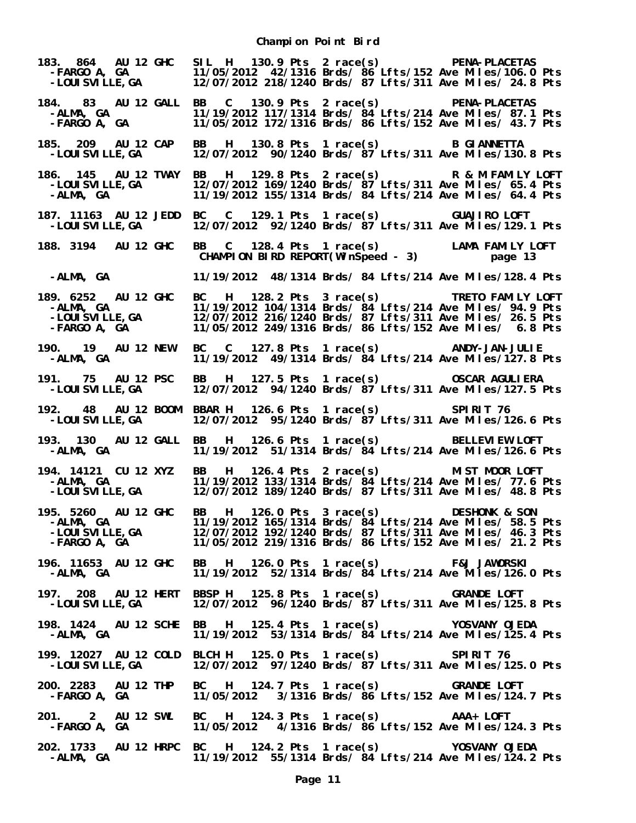**Champion Point Bird**

| 183. 864 AU 12 GHC<br>–FARGO A, GA<br>–LOUISVILLE,GA                                                                                                                                                                                                           | 12/07/2012 218/1240 Brds/ 87 Lfts/311 Ave Miles/ 24.8 Pts                                                                                                                                                                        |                                      | SIL H 130.9 Pts 2 race(s) PENA-PLACETAS<br>11/05/2012 42/1316 Brds/ 86 Lfts/152 Ave Miles/106.0 Pts                                                              |
|----------------------------------------------------------------------------------------------------------------------------------------------------------------------------------------------------------------------------------------------------------------|----------------------------------------------------------------------------------------------------------------------------------------------------------------------------------------------------------------------------------|--------------------------------------|------------------------------------------------------------------------------------------------------------------------------------------------------------------|
| 184. 83 AU 12 GALL<br>-ALMA, GA<br>-FARGO A, GA                                                                                                                                                                                                                |                                                                                                                                                                                                                                  |                                      | BB C 130.9 Pts 2 race(s) PENA-PLACETAS<br>11/19/2012 117/1314 Brds/ 84 Lfts/214 Ave Miles/ 87.1 Pts<br>11/05/2012 172/1316 Brds/ 86 Lfts/152 Ave Miles/ 43.7 Pts |
| 185. 209 AU 12 CAP<br>-LOUI SVI LLE, GA                                                                                                                                                                                                                        | BB H 130.8 Pts 1 race(s) B GIANNETTA<br>12/07/2012 90/1240 Brds/ $87$ Lfts/311 Ave Miles/130.8 Pts                                                                                                                               |                                      |                                                                                                                                                                  |
| 186. 145 AU 12 TWAY<br>-LOUI SVI LLE, GA<br>-ALMA, GA                                                                                                                                                                                                          | BB H 129.8 Pts 2 race(s) R & M FAMILY LOFT<br>12/07/2012 169/1240 Brds/ 87 Lfts/311 Ave Miles/ 65.4 Pts<br>11/19/2012 155/1314 Brds/ 84 Lfts/214 Ave Miles/ 64.4 Pts                                                             |                                      |                                                                                                                                                                  |
| 187. 11163 AU 12 JEDD BC C 129.1 Pts 1 race(s)       GUAJIRO LOFT<br>-LOUISVILLE,GA    12/07/2012 92/1240 Brds/ 87 Lfts/311 Ave Miles/129.1 Pts<br>- LOUI SVI LLE, GA                                                                                          |                                                                                                                                                                                                                                  |                                      |                                                                                                                                                                  |
| 188. 3194 AU 12 GHC                                                                                                                                                                                                                                            | BB C 128.4 Pts 1 race(s) LAMA FAMILY LOFT<br>CHAMPION BIRD REPORT(WinSpeed - 3) page 13                                                                                                                                          |                                      |                                                                                                                                                                  |
| -ALMA, GA                                                                                                                                                                                                                                                      | 11/19/2012 48/1314 Brds/ 84 Lfts/214 Ave Miles/128.4 Pts                                                                                                                                                                         |                                      |                                                                                                                                                                  |
| 189. 6252 AU 12 GHC<br>-ALMA, GA<br>-LOUISVILLE,GA<br>-FARGO A, GA                                                                                                                                                                                             | BC H 128.2 Pts 3 race(s) TRETO FAMILY LOFT<br>11/19/2012 104/1314 Brds/ 84 Lfts/214 Ave Miles/ 94.9 Pts<br>12/07/2012 216/1240 Brds/ 87 Lfts/311 Ave Miles/ 26.5 Pts<br>11/05/2012 249/1316 Brds/ 86 Lfts/152 Ave Miles/ 6.8 Pts |                                      |                                                                                                                                                                  |
| 190. 19 AU 12 NEW<br>-ALMA, GA                                                                                                                                                                                                                                 |                                                                                                                                                                                                                                  |                                      | BC C 127.8 Pts 1 race(s) ANDY-JAN-JULIE<br>11/19/2012 49/1314 Brds/ 84 Lfts/214 Ave Miles/127.8 Pts                                                              |
| 191. 75 AU 12 PSC<br>-LOUI SVI LLE, GA                                                                                                                                                                                                                         | BB H 127.5 Pts 1 race(s) OSCAR AGULIERA                                                                                                                                                                                          |                                      | 12/07/2012 94/1240 Brds/ 87 Lfts/311 Ave Miles/127.5 Pts                                                                                                         |
| 192. 48 AU 12 BOOM BBAR H 126.6 Pts 1 race(s) SPIRIT 76<br>-LOUI SVI LLE, GA                                                                                                                                                                                   | 12/07/2012 95/1240 Brds/ 87 Lfts/311 Ave Miles/126.6 Pts                                                                                                                                                                         |                                      |                                                                                                                                                                  |
| 193. 130 AU 12 GALL BB H 126.6 Pts 1 race(s) BELLEVIEW LOFT<br>-ALMA, GA                                                                                                                                                                                       | 11/19/2012 51/1314 Brds/ $\frac{3}{4}$ Lfts/214 Ave Miles/126.6 Pts                                                                                                                                                              |                                      |                                                                                                                                                                  |
| 194. 14121 CU 12 XYZ<br>-ALMA,   GA<br>-LOUI SVI LLE, GA                                                                                                                                                                                                       | <b>BB</b><br>12/07/2012 189/1240 Brds/ 87 Lfts/311 Ave Miles/ 48.8 Pts                                                                                                                                                           | H 126.4 Pts 2 race(s) MIST MOOR LOFT | 11/19/2012 133/1314 Brds/ 84 Lfts/214 Ave Miles/ 77.6 Pts                                                                                                        |
| 195. 5260 AU 12 GHC<br>-ALMA, GA<br>-LOUISVILLE, GA 12/07/2012 165/1314 Brds/ 84 Lfts/214 Ave Miles/ 58.5 Pts<br>-LOUISVILLE, GA 12/07/2012 192/1240 Brds/ 87 Lfts/311 Ave Miles/ 46.3 Pts<br>-FARGO A, GA 11/05/2012 219/1316 Brds/ 86 Lfts/152 Ave Miles/ 21 | BB H 126.0 Pts 3 race(s) DESHONK & SON                                                                                                                                                                                           |                                      |                                                                                                                                                                  |
| 196. 11653 AU 12 GHC BB H 126.0 Pts 1 race(s) F&J JAWORSKI<br>-ALMA, GA                                                                                                                                                                                        |                                                                                                                                                                                                                                  |                                      | 11/19/2012 52/1314 Brds/ 84 Lfts/214 Ave Miles/126.0 Pts                                                                                                         |
| 197. 208 AU 12 HERT BBSP H 125.8 Pts 1 race(s) GRANDE LOFT<br>-LOUI SVI LLE, GA                                                                                                                                                                                | 12/07/2012 96/1240 Brds/ 87 Lfts/311 Ave Miles/125.8 Pts                                                                                                                                                                         |                                      |                                                                                                                                                                  |
| 198. 1424 AU 12 SCHE BB H 125.4 Pts 1 race(s) YOSVANY OJEDA<br>-ALMA, GA                                                                                                                                                                                       |                                                                                                                                                                                                                                  |                                      | 11/19/2012 53/1314 Brds/ 84 Lfts/214 Ave Miles/125.4 Pts                                                                                                         |
| 199. 12027 AU 12 COLD BLCH H 125.0 Pts 1 race(s) SPIRIT 76<br>-LOUI SVI LLE, GA                                                                                                                                                                                | 12/07/2012 97/1240 Brds/ 87 Lfts/311 Ave Miles/125.0 Pts                                                                                                                                                                         |                                      |                                                                                                                                                                  |
| 200. 2283 AU 12 THP BC H 124.7 Pts 1 race(s) GRANDE LOFT<br>-FARGO A, GA                                                                                                                                                                                       |                                                                                                                                                                                                                                  |                                      | 11/05/2012 3/1316 Brds/ 86 Lfts/152 Ave Miles/124.7 Pts                                                                                                          |
| 201. 2 AU 12 SWL<br>-FARGO A, GA                                                                                                                                                                                                                               | BC H 124.3 Pts 1 race(s) AAA+ LOFT                                                                                                                                                                                               |                                      | 11/05/2012 4/1316 Brds/ 86 Lfts/152 Ave Miles/124.3 Pts                                                                                                          |
| 202. 1733 AU 12 HRPC BC H 124.2 Pts 1 race(s) YOSVANY OJEDA<br>-ALMA, GA                                                                                                                                                                                       |                                                                                                                                                                                                                                  |                                      | 11/19/2012 55/1314 Brds/ 84 Lfts/214 Ave Miles/124.2 Pts                                                                                                         |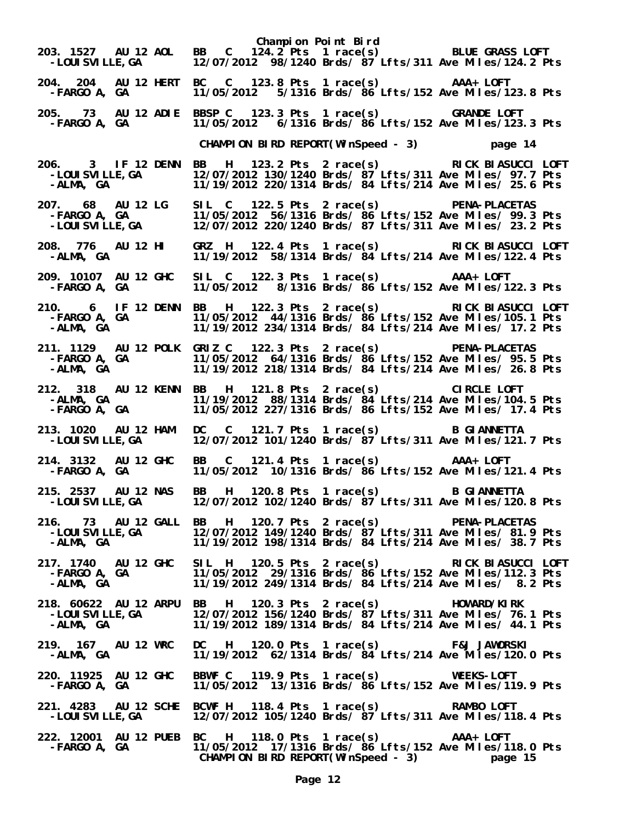| -LOUI SVI LLE, GA                                       | Champion Point Bird<br>203. 1527 AU 12 AOL BB C 124.2 Pts 1 race(s) BLUE GRASS LOFT<br>12/07/2012 98/1240 Brds/ 87 Lfts/311 Ave Miles/124.2 Pts                                                                                      |  |
|---------------------------------------------------------|--------------------------------------------------------------------------------------------------------------------------------------------------------------------------------------------------------------------------------------|--|
| -FARGO A, GA                                            | 204. 204 AU 12 HERT BC C 123.8 Pts 1 race(s) AAA+ LOFT<br>11/05/2012    5/1316 Brds/    86 Lfts/152 Ave Miles/123.8 Pts                                                                                                              |  |
| -FARGO A, GA                                            | 205. 73 AU 12 ADIE BBSP C 123.3 Pts 1 race(s) GRANDE LOFT<br>FARGO A, GA         11/05/2012   6/1316 Brds/ 86 Lfts/152 Ave Miles/123.3 Pts                                                                                           |  |
|                                                         | CHAMPION BIRD REPORT(WinSpeed - 3) page 14                                                                                                                                                                                           |  |
| 206. 3 IF 12 DENN<br>-LOUI SVI LLE, GA<br>-ALMA, GA     | BB H 123.2 Pts 2 race(s) RICK BIASUCCI LOFT<br>12/07/2012 130/1240 Brds/ 87 Lfts/311 Ave Miles/ 97.7 Pts<br>11/19/2012 220/1314 Brds/ 84 Lfts/214 Ave Miles/ 25.6 Pts                                                                |  |
|                                                         | 207. 68 AU 12 LG SIL C 122.5 Pts 2 race(s) PENA-PLACETAS<br>FARGO A, GA               11/05/2012 56/1316 Brds/ 86 Lfts/152 Ave Miles/ 99.3 Pts-<br>LOUISVILLE,GA           12/07/2012 220/1240 Brds/ 87 Lfts/311 Ave Miles/ 23.2 Pts |  |
| -ALMA, GA                                               | 208. 776 AU 12 HI GRZ H 122.4 Pts 1 race(s) RICK BIASUCCI LOFT<br>-ALMA, GA 11/19/2012 58/1314 Brds/ 84 Lfts/214 Ave Miles/122.4 Pts                                                                                                 |  |
| 209. 10107 AU 12 GHC<br>-FARGO A, GA                    | SIL C 122.3 Pts 1 race(s) AAA+ LOFT<br>11/05/2012 8/1316 Brds/ 86 Lfts/152 Ave Miles/122.3 Pts                                                                                                                                       |  |
|                                                         | 210. 6 IF 12 DENN BB H 122.3 Pts 2 race(s) RICK BIASUCCI LOFT<br>FARGO A, GA 11/05/2012 44/1316 Brds/ 86 Lfts/152 Ave Miles/105.1 Pts -ALMA, GA 11/19/2012 234/1314 Brds/ 84 Lfts/214 Ave Miles/ 17.2 Pts                            |  |
| -FARGO A, GA<br>-ALMA, GA                               | 211. 1129 AU 12 POLK GRIZ C 122.3 Pts 2 race(s) PENA-PLACETAS<br>11/05/2012 64/1316 Brds/ 86 Lfts/152 Ave Miles/ 95.5 Pts<br>11/19/2012 218/1314 Brds/ 84 Lfts/214 Ave Miles/ 26.8 Pts                                               |  |
| 212. 318 AU 12 KENN<br>-ALMA, GA<br>-FARGO A, GA        | BB H 121.8 Pts 2 race(s) CIRCLE LOFT<br>11/19/2012 88/1314 Brds/ 84 Lfts/214 Ave Miles/104.5 Pts<br>11/05/2012 227/1316 Brds/ 86 Lfts/152 Ave Miles/ 17.4 Pts                                                                        |  |
| 213. 1020 AU 12 HAM<br>-LOUI SVI LLE, GA                | DC C 121.7 Pts 1 race(s) B GIANNETTA<br>12/07/2012 101/1240 Brds/ 87 Lfts/311 Ave Miles/121.7 Pts                                                                                                                                    |  |
| 214. 3132 AU 12 GHC<br><b>-FARGO A, GA</b>              | BB C 121.4 Pts 1 race(s) AAA+ LOFT<br>11/05/2012 10/1316 Brds/ 86 Lfts/152 Ave Miles/121.4 Pts                                                                                                                                       |  |
| 215. 2537 AU 12 NAS                                     | BB H 120.8 Pts 1 race(s) B GIANNETTA<br>-LOUISVILLE, GA 12/07/2012 102/1240 Brds/ 87 Lfts/311 Ave Miles/120.8 Pts                                                                                                                    |  |
| -ALMA, GA                                               | 216. 73 AU 12 GALL BB H 120.7 Pts 2 race(s) PENA-PLACETAS<br>-LOUISVILLE, GA 12/07/2012 149/1240 Brds/ 87 Lfts/311 Ave Miles/ 81.9 Pts<br>11/19/2012 198/1314 Brds/ 84 Lfts/214 Ave Miles/ 38.7 Pts                                  |  |
| 217. 1740 AU 12 GHC<br>-FARGO A, GA<br>-ALMA, GA        | SIL H 120.5 Pts 2 race(s) RICK BIASUCCI LOFT<br>11/05/2012 29/1316 Brds/ 86 Lfts/152 Ave Miles/112.3 Pts<br>11/19/2012 249/1314 Brds/ 84 Lfts/214 Ave Miles/ 8.2 Pts                                                                 |  |
| 218. 60622 AU 12 ARPU<br>-LOUI SVI LLE, GA<br>-ALMA, GA | BB H 120.3 Pts 2 race(s) HOWARD/KIRK<br>12/07/2012 156/1240 Brds/ 87 Lfts/311 Ave Miles/ 76.1 Pts<br>11/19/2012 189/1314 Brds/ 84 Lfts/214 Ave Miles/ 44.1 Pts                                                                       |  |
| 219. 167 AU 12 WRC<br>-ALMA, GA                         | DC H 120.0 Pts 1 race(s) F&J JAWORSKI<br>11/19/2012 62/1314 Brds/ 84 Lfts/214 Ave Miles/120.0 Pts                                                                                                                                    |  |
| 220. 11925 AU 12 GHC<br>-FARGO A, GA                    | BBWF C 119.9 Pts 1 race(s) WEEKS-LOFT<br>11/05/2012 13/1316 Brds/ 86 Lfts/152 Ave Miles/119.9 Pts                                                                                                                                    |  |
| -LOUI SVI LLE, GA                                       | 221. 4283 AU 12 SCHE BCWF H 118.4 Pts 1 race(s) RAMBO LOFT<br>12/07/2012 105/1240 Brds/ 87 Lfts/311 Ave Miles/118.4 Pts                                                                                                              |  |
| --<br>-FARGO A, GA                                      | 222. 12001 AU 12 PUEB BC H 118.0 Pts 1 race(s)<br>AAA+ LOFT<br>11/05/2012 17/1316 Brds/ 86 Lfts/152 Ave Miles/118.0 Pts<br>CHAMPION BIRD REPORT(WinSpeed - 3)<br>page 15                                                             |  |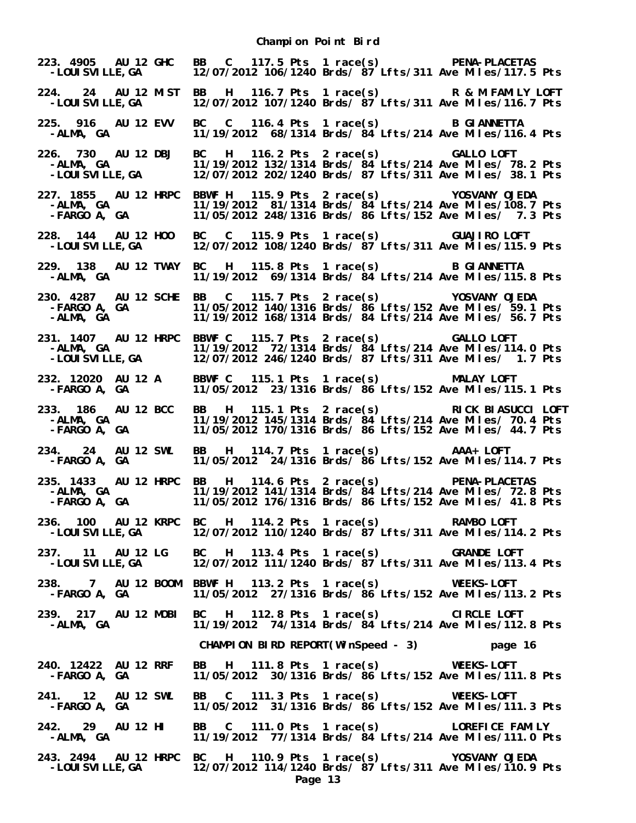| 223. 4905 AU 12 GHC<br>-LOUI SVI LLE, GA                                         |                                                                                                     |         | BB C 117.5 Pts 1 race(s) PENA-PLACETAS<br>12/07/2012 106/1240 Brds/ 87 Lfts/311 Ave Miles/117.5 Pts                                                                |
|----------------------------------------------------------------------------------|-----------------------------------------------------------------------------------------------------|---------|--------------------------------------------------------------------------------------------------------------------------------------------------------------------|
| 224. 24 AU 12 MIST<br>-LOUI SVI LLE, GA                                          |                                                                                                     |         | BB H 116.7 Pts 1 race(s) R & M FAMILY LOFT<br>12/07/2012 107/1240 Brds/ 87 Lfts/311 Ave Miles/116.7 Pts                                                            |
| 225. 916 AU 12 EVV<br>-ALMA, GA                                                  | BC C 116.4 Pts 1 race(s) B GIANNETTA                                                                |         | 11/19/2012 68/1314 Brds/ 84 Lfts/214 Ave Miles/116.4 Pts                                                                                                           |
| 226. 730 AU 12 DBJ<br>-ALMA, GA<br>-LOUISVILLE,GA                                | BC H 116.2 Pts 2 race(s) GALLO LOFT                                                                 |         | 11/19/2012 132/1314 Brds/ $\frac{3}{4}$ Lfts/214 Ave Miles/ 78.2 Pts<br>12/07/2012 202/1240 Brds/ 87 Lfts/311 Ave Miles/ 38.1 Pts                                  |
| 227. 1855 AU 12 HRPC<br>-ALMA, GA<br>-FARGO A, GA                                | BBWF H 115.9 Pts 2 race(s) YOSVANY OJEDA                                                            |         | 11/19/2012 81/1314 Brds/ 84 Lfts/214 Ave Miles/108.7 Pts<br>11/05/2012 248/1316 Brds/ 86 Lfts/152 Ave Miles/ 7.3 Pts                                               |
| 228. 144 AU 12 H00<br>-LOUI SVI LLE, GA                                          | BC C 115.9 Pts 1 race(s) GUAJIRO LOFT                                                               |         | 12/07/2012 108/1240 Brds/ 87 Lfts/311 Ave Miles/115.9 Pts                                                                                                          |
| 229. 138 AU 12 TWAY<br>-ALMA, GA                                                 | BC H 115.8 Pts 1 race(s) B GIANNETTA                                                                |         | 11/19/2012 69/1314 Brds/ 84 Lfts/214 Ave Miles/115.8 Pts                                                                                                           |
| 230. 4287 AU 12 SCHE<br>-FARGO A, GA<br>-ALMA, GA                                | BB C 115.7 Pts 2 race(s) YOSVANY OJEDA                                                              |         | 11/05/2012 140/1316 Brds/ 86 Lfts/152 Ave Miles/ 59.1 Pts<br>11/19/2012 168/1314 Brds/ 84 Lfts/214 Ave Miles/ 56.7 Pts                                             |
| 231. 1407 AU 12 HRPC<br>-ALMA, GA<br>-LOUISVILLE,GA                              | BBWF C 115.7 Pts 2 race(s) GALLO LOFT                                                               |         | 11/19/2012 72/1314 Brds/ 84 Lfts/214 Ave Miles/114.0 Pts<br>12/07/2012 246/1240 Brds/ 87 Lfts/311 Ave Miles/ 1.7 Pts                                               |
| 232. 12020 AU 12 A<br>-FARGO A, GA                                               | BBWF C 115.1 Pts 1 race(s) MALAY LOFT                                                               |         | 11/05/2012 23/1316 Brds/ 86 Lfts/152 Ave Miles/115.1 Pts                                                                                                           |
| 233. 186 AU 12 BCC<br>-ALMA, GA<br>-FARGO A, GA                                  | <b>BB</b>                                                                                           |         | H 115.1 Pts 2 race(s) RICK BIASUCCI LOFT<br>11/19/2012 145/1314 Brds/ 84 Lfts/214 Ave Miles/ 70.4 Pts<br>11/05/2012 170/1316 Brds/ 86 Lfts/152 Ave Miles/ 44.7 Pts |
| 234. 24 AU 12 SWL<br>-FARGO A, GA                                                | BB H 114.7 Pts 1 race(s) AAA+ LOFT                                                                  |         | 11/05/2012 24/1316 Brds/ 86 Lfts/152 Ave Miles/114.7 Pts                                                                                                           |
| 235. 1433 AU 12 HRPC<br>-ALMA, GA<br>-FARGO A, GA                                | BB H 114.6 Pts 2 race(s) PENA-PLACETAS<br>11/05/2012 176/1316 Brds/ 86 Lfts/152 Ave Miles/ 41.8 Pts |         | 11/19/2012 141/1314 Brds/ 84 Lfts/214 Ave Miles/ 72.8 Pts                                                                                                          |
| 236. 100 AU 12 KRPC<br>-LOUI SVI LLE, GA                                         | BC H 114.2 Pts 1 race(s) RAMBO LOFT                                                                 |         | 12/07/2012 110/1240 Brds/ 87 Lfts/311 Ave Miles/114.2 Pts                                                                                                          |
| 237. 11 AU 12 LG<br>-LOUI SVI LLE, GA                                            | BC H 113.4 Pts 1 race(s) GRANDE LOFT                                                                |         | 12/07/2012 111/1240 Brds/ 87 Lfts/311 Ave Miles/113.4 Pts                                                                                                          |
| 238. 7 AU 12 BOOM BBWF H 113.2 Pts 1 race(s) WEEKS-LOFT<br>-FARGO A, GA          |                                                                                                     |         | 11/05/2012 27/1316 Brds/ 86 Lfts/152 Ave Miles/113.2 Pts                                                                                                           |
| 239. 217 AU 12 MOBI<br>-ALMA, GA                                                 | BC H 112.8 Pts 1 race(s) CIRCLE LOFT                                                                |         | 11/19/2012 74/1314 Brds/ 84 Lfts/214 Ave Miles/112.8 Pts                                                                                                           |
|                                                                                  | CHAMPION BIRD REPORT(WinSpeed - 3) page 16                                                          |         |                                                                                                                                                                    |
| 240. 12422 AU 12 RRF<br>-FARGO A, GA                                             | BB H 111.8 Pts 1 race(s) WEEKS-LOFT                                                                 |         | 11/05/2012 30/1316 Brds/ 86 Lfts/152 Ave Miles/111.8 Pts                                                                                                           |
| 241. 12 AU 12 SWL<br>-FARGO A, GA                                                | BB C 111.3 Pts 1 race(s) WEEKS-LOFT                                                                 |         | 11/05/2012 31/1316 Brds/ 86 Lfts/152 Ave Miles/111.3 Pts                                                                                                           |
| 242. 29 AU 12 HI<br>-ALMA, GA                                                    | BB C 111.0 Pts 1 race(s) LOREFICE FAMILY                                                            |         | 11/19/2012 77/1314 Brds/ 84 Lfts/214 Ave Miles/111.0 Pts                                                                                                           |
| 243. 2494 AU 12 HRPC BC H 110.9 Pts 1 race(s) YOSVANY OJEDA<br>-LOUI SVI LLE, GA |                                                                                                     | Page 13 | 12/07/2012 114/1240 Brds/ 87 Lfts/311 Ave Miles/110.9 Pts                                                                                                          |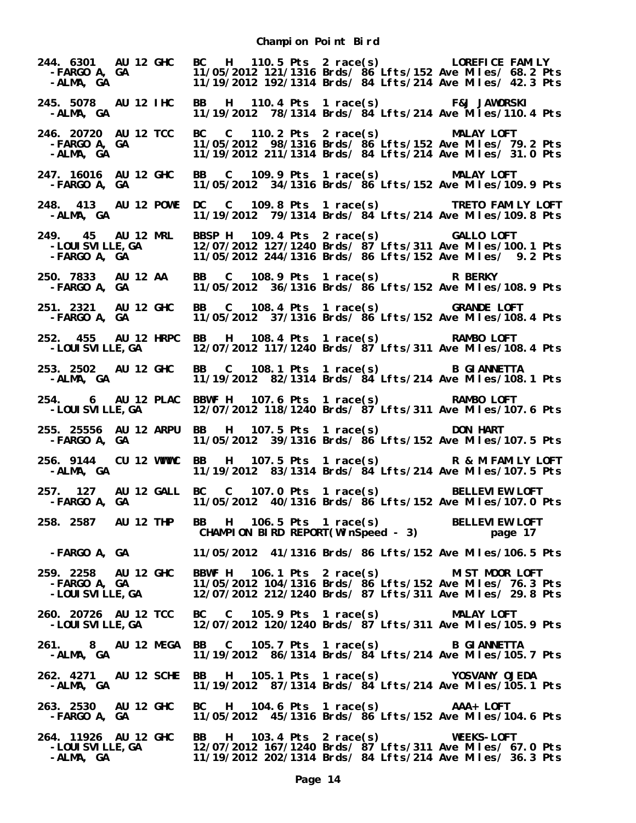**Champion Point Bird**

**244. 6301 AU 12 GHC BC H 110.5 Pts 2 race(s) LOREFICE FAMILY -FARGO A, GA 11/05/2012 121/1316 Brds/ 86 Lfts/152 Ave Miles/ 68.2 Pts -ALMA, GA 11/19/2012 192/1314 Brds/ 84 Lfts/214 Ave Miles/ 42.3 Pts 245. 5078 AU 12 IHC BB H 110.4 Pts 1 race(s) F&J JAWORSKI -ALMA, GA 11/19/2012 78/1314 Brds/ 84 Lfts/214 Ave Miles/110.4 Pts 246. 20720 AU 12 TCC BC C 110.2 Pts 2 race(s) MALAY LOFT -FARGO A, GA 11/05/2012 98/1316 Brds/ 86 Lfts/152 Ave Miles/ 79.2 Pts** 11/19/2012 211/1314 Brds/ 84 Lfts/214 Ave Miles/ 31.0 Pts **247. 16016 AU 12 GHC BB C 109.9 Pts 1 race(s) MALAY LOFT -FARGO A, GA 11/05/2012 34/1316 Brds/ 86 Lfts/152 Ave Miles/109.9 Pts 248. 413 AU 12 POWE DC C 109.8 Pts 1 race(s) TRETO FAMILY LOFT**  11/19/2012 79/1314 Brds/ 84 Lfts/214 Ave Miles/109.8 Pts **249. 45 AU 12 MRL BBSP H 109.4 Pts 2 race(s) GALLO LOFT -LOUISVILLE,GA 12/07/2012 127/1240 Brds/ 87 Lfts/311 Ave Miles/100.1 Pts -FARGO A, GA 11/05/2012 244/1316 Brds/ 86 Lfts/152 Ave Miles/ 9.2 Pts 250. 7833 AU 12 AA BB C 108.9 Pts 1 race(s) R BERKY -FARGO A, GA 11/05/2012 36/1316 Brds/ 86 Lfts/152 Ave Miles/108.9 Pts 251. 2321 AU 12 GHC BB C 108.4 Pts 1 race(s) GRANDE LOFT -FARGO A, GA 11/05/2012 37/1316 Brds/ 86 Lfts/152 Ave Miles/108.4 Pts 252. 455 AU 12 HRPC BB H 108.4 Pts 1 race(s) RAMBO LOFT**  12/07/2012 117/1240 Brds/  $87$  Lfts/311 Ave Miles/108.4 Pts **253. 2502 AU 12 GHC BB C 108.1 Pts 1 race(s) B GIANNETTA -ALMA, GA 11/19/2012 82/1314 Brds/ 84 Lfts/214 Ave Miles/108.1 Pts 254. 6 AU 12 PLAC BBWF H 107.6 Pts 1 race(s) RAMBO LOFT**  12/07/2012 118/1240 Brds/  $87$ <sup>'</sup>Lfts/311 Ave Miles/107.6 Pts **255. 25556 AU 12 ARPU BB H 107.5 Pts 1 race(s) DON HART -FARGO A, GA 11/05/2012 39/1316 Brds/ 86 Lfts/152 Ave Miles/107.5 Pts 256. 9144 CU 12 WWWC BB H 107.5 Pts 1 race(s) R & M FAMILY LOFT -ALMA, GA 11/19/2012 83/1314 Brds/ 84 Lfts/214 Ave Miles/107.5 Pts 257. 127 AU 12 GALL BC C 107.0 Pts 1 race(s) BELLEVIEW LOFT -FARGO A, GA 11/05/2012 40/1316 Brds/ 86 Lfts/152 Ave Miles/107.0 Pts 258. 2587 AU 12 THP BB H 106.5 Pts 1 race(s) BELLEVIEW LOFT CHAMPION BIRD REPORT(WinSpeed - 3) -FARGO A, GA 11/05/2012 41/1316 Brds/ 86 Lfts/152 Ave Miles/106.5 Pts 259. 2258 AU 12 GHC BBWF H 106.1 Pts 2 race(s) MIST MOOR LOFT -FARGO A, GA 11/05/2012 104/1316 Brds/ 86 Lfts/152 Ave Miles/ 76.3 Pts** 12/07/2012 212/1240 Brds/ 87 Lfts/311 Ave Miles/ 29.8 Pts **260. 20726 AU 12 TCC BC C 105.9 Pts 1 race(s) MALAY LOFT -LOUISVILLE,GA 12/07/2012 120/1240 Brds/ 87 Lfts/311 Ave Miles/105.9 Pts** 261. 8 AU 12 MEGA BB C 105.7 Pts 1 race(s) B GIANNETTA<br>-ALMA, GA 11/19/2012 86/1314 Brds/ 84 Lfts/214 Ave Miles/105.  **-ALMA, GA 11/19/2012 86/1314 Brds/ 84 Lfts/214 Ave Miles/105.7 Pts 262. 4271 AU 12 SCHE BB H 105.1 Pts 1 race(s) YOSVANY OJEDA -ALMA, GA 11/19/2012 87/1314 Brds/ 84 Lfts/214 Ave Miles/105.1 Pts 263. 2530 AU 12 GHC BC H 104.6 Pts 1 race(s) AAA+ LOFT -FARGO A, GA 11/05/2012 45/1316 Brds/ 86 Lfts/152 Ave Miles/104.6 Pts 264. 11926 AU 12 GHC BB H 103.4 Pts 2 race(s) WEEKS-LOFT -LOUISVILLE,GA 12/07/2012 167/1240 Brds/ 87 Lfts/311 Ave Miles/ 67.0 Pts -ALMA, GA 11/19/2012 202/1314 Brds/ 84 Lfts/214 Ave Miles/ 36.3 Pts**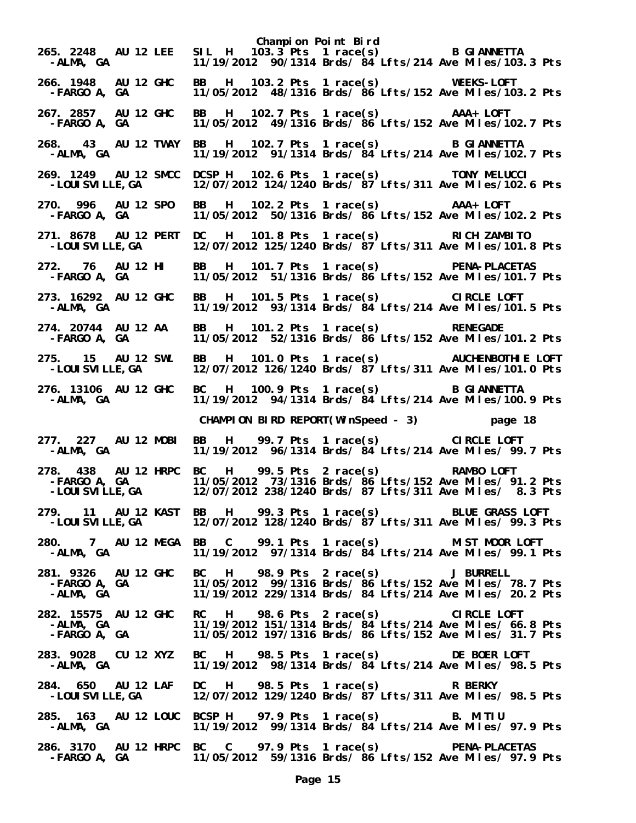**Champion Point Bird 265. 2248 AU 12 LEE SIL H 103.3 Pts 1 race(s)** B GIANNETTA<br>11/19/2012 90/1314 Brds/ 84 Lfts/214 Ave Miles/103.  **-ALMA, GA 11/19/2012 90/1314 Brds/ 84 Lfts/214 Ave Miles/103.3 Pts 266. 1948 AU 12 GHC BB H 103.2 Pts 1 race(s) WEEKS-LOFT -FARGO A, GA 11/05/2012 48/1316 Brds/ 86 Lfts/152 Ave Miles/103.2 Pts 267. 2857 AU 12 GHC BB H 102.7 Pts 1 race(s) AAA+ LOFT -FARGO A, GA 11/05/2012 49/1316 Brds/ 86 Lfts/152 Ave Miles/102.7 Pts 268. 43 AU 12 TWAY BB H 102.7 Pts 1 race(s) B GIANNETTA**  11/19/2012 91/1314 Brds/  $\frac{3}{4}$  Lfts/214 Ave Miles/102.7 Pts **269. 1249 AU 12 SMCC DCSP H 102.6 Pts 1 race(s) TONY MELUCCI**  12/07/2012 124/1240 Brds/ 87 Lfts/311 Ave Miles/102.6 Pts **270. 996 AU 12 SPO BB H 102.2 Pts 1 race(s) AAA+ LOFT**  11/05/2012 50/1316 Brds/ 86 Lfts/152 Ave Miles/102.2 Pts **271. 8678 AU 12 PERT DC H 101.8 Pts 1 race(s) RICH ZAMBITO -LOUISVILLE,GA 12/07/2012 125/1240 Brds/ 87 Lfts/311 Ave Miles/101.8 Pts 272. 76 AU 12 HI BB H 101.7 Pts 1 race(s) PENA-PLACETAS -FARGO A, GA 11/05/2012 51/1316 Brds/ 86 Lfts/152 Ave Miles/101.7 Pts 273. 16292 AU 12 GHC BB H 101.5 Pts 1 race(s) CIRCLE LOFT -ALMA, GA 11/19/2012 93/1314 Brds/ 84 Lfts/214 Ave Miles/101.5 Pts 274. 20744 AU 12 AA BB H 101.2 Pts 1 race(s) RENEGADE**  11/05/2012 52/1316 Brds/  $86$  Lfts/152 Ave Miles/101.2 Pts **275. 15 AU 12 SWL BB H 101.0 Pts 1 race(s) AUCHENBOTHIE LOFT**  12/07/2012 126/1240 Brds/ 87 Lfts/311 Ave Miles/101.0 Pts **276. 13106 AU 12 GHC BC H 100.9 Pts 1 race(s) B GIANNETTA -ALMA, GA 11/19/2012 94/1314 Brds/ 84 Lfts/214 Ave Miles/100.9 Pts CHAMPION BIRD REPORT(WinSpeed - 3) page 18 277. 227 AU 12 MOBI BB H 99.7 Pts 1 race(s) CIRCLE LOFT**  11/19/2012 96/1314 Brds/ 84 Lfts/214 Ave Miles/ 99.7 Pts **278. 438 AU 12 HRPC BC H 99.5 Pts 2 race(s) RAMBO LOFT -FARGO A, GA 11/05/2012 73/1316 Brds/ 86 Lfts/152 Ave Miles/ 91.2 Pts** 278. 438 AU 12 HRPC BC H 99.5 Pts 2 race(s) RAMBO LOFT<br>FARGO A, GA 11/05/2012 73/1316 Brds/ 86 Lfts/152 Ave Miles/ 91.2 Pts<br>LOUISVILLE,GA 12/07/2012 238/1240 Brds/ 87 Lfts/311 Ave Miles/ 8.3 Pts **279. 11 AU 12 KAST BB H 99.3 Pts 1 race(s) BLUE GRASS LOFT**  12/07/2012 128/1240 Brds/ 87 Lfts/311 Ave Miles/ 99.3 Pts **280. 7 AU 12 MEGA BB C 99.1 Pts 1 race(s) MIST MOOR LOFT -ALMA, GA 11/19/2012 97/1314 Brds/ 84 Lfts/214 Ave Miles/ 99.1 Pts 281. 9326 AU 12 GHC BC H 98.9 Pts 2 race(s) J BURRELL -FARGO A, GA 11/05/2012 99/1316 Brds/ 86 Lfts/152 Ave Miles/ 78.7 Pts** 11/19/2012 229/1314 Brds/ 84 Lfts/214 Ave Miles/ 20.2 Pts **282. 15575 AU 12 GHC RC H 98.6 Pts 2 race(s) CIRCLE LOFT -ALMA, GA 11/19/2012 151/1314 Brds/ 84 Lfts/214 Ave Miles/ 66.8 Pts -FARGO A, GA 11/05/2012 197/1316 Brds/ 86 Lfts/152 Ave Miles/ 31.7 Pts 283. 9028 CU 12 XYZ BC H 98.5 Pts 1 race(s) DE BOER LOFT -ALMA, GA 11/19/2012 98/1314 Brds/ 84 Lfts/214 Ave Miles/ 98.5 Pts 284. 650 AU 12 LAF DC H 98.5 Pts 1 race(s) R BERKY -LOUISVILLE,GA 12/07/2012 129/1240 Brds/ 87 Lfts/311 Ave Miles/ 98.5 Pts 285. 163 AU 12 LOUC BCSP H 97.9 Pts 1 race(s) B. MITIU -ALMA, GA 11/19/2012 99/1314 Brds/ 84 Lfts/214 Ave Miles/ 97.9 Pts 286. 3170 AU 12 HRPC BC C 97.9 Pts 1 race(s) PENA-PLACETAS -FARGO A, GA 11/05/2012 59/1316 Brds/ 86 Lfts/152 Ave Miles/ 97.9 Pts**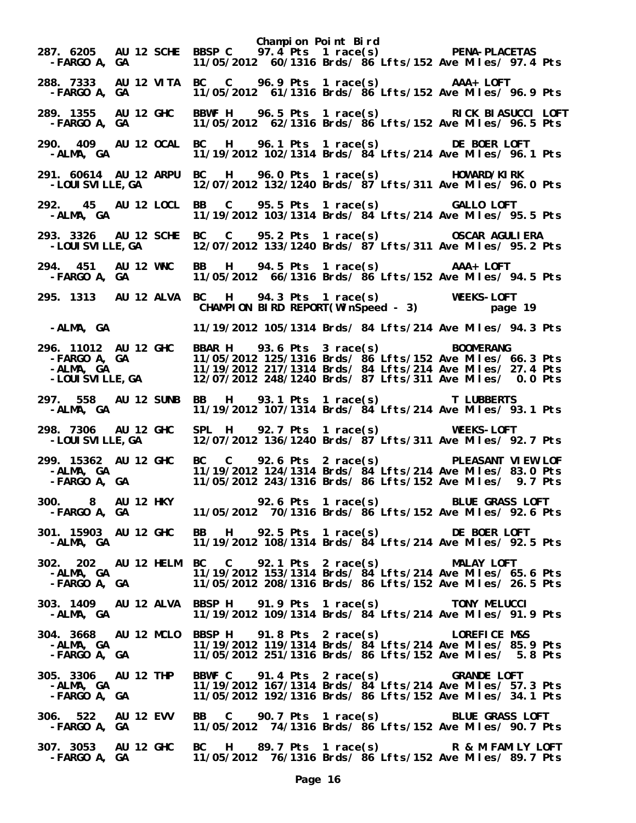**Champion Point Bird 287. 6205 AU 12 SCHE BBSP C 97.4 Pts 1 race(s) PENA-PLACETAS -FARGO A, GA 11/05/2012 60/1316 Brds/ 86 Lfts/152 Ave Miles/ 97.4 Pts 288. 7333 AU 12 VITA BC C 96.9 Pts 1 race(s) AAA+ LOFT -FARGO A, GA 11/05/2012 61/1316 Brds/ 86 Lfts/152 Ave Miles/ 96.9 Pts 289. 1355 AU 12 GHC BBWF H 96.5 Pts 1 race(s) RICK BIASUCCI LOFT -FARGO A, GA 11/05/2012 62/1316 Brds/ 86 Lfts/152 Ave Miles/ 96.5 Pts 290. 409 AU 12 OCAL BC H 96.1 Pts 1 race(s) DE BOER LOFT**  11/19/2012 102/1314 Brds/  $84$  Lfts/214 Ave Miles/ 96.1 Pts **291. 60614 AU 12 ARPU BC H 96.0 Pts 1 race(s) HOWARD/KIRK**  12/07/2012 132/1240 Brds/ 87 Lfts/311 Ave Miles/ 96.0 Pts **292. 45 AU 12 LOCL BB C 95.5 Pts 1 race(s) GALLO LOFT**  11/19/2012 103/1314 Brds/ 84 Lfts/214 Ave Miles/ 95.5 Pts **293. 3326 AU 12 SCHE BC C 95.2 Pts 1 race(s) OSCAR AGULIERA -LOUISVILLE,GA 12/07/2012 133/1240 Brds/ 87 Lfts/311 Ave Miles/ 95.2 Pts 294. 451 AU 12 WNC BB H 94.5 Pts 1 race(s) AAA+ LOFT**  11/05/2012 66/1316 Brds/ 86 Lfts/152 Ave Miles/ 94.5 Pts **295. 1313 AU 12 ALVA BC H 94.3 Pts 1 race(s) WEEKS-LOFT CHAMPION BIRD REPORT(WinSpeed - 3) page 19 -ALMA, GA 11/19/2012 105/1314 Brds/ 84 Lfts/214 Ave Miles/ 94.3 Pts 296. 11012 AU 12 GHC BBAR H 93.6 Pts 3 race(s) BOOMERANG -FARGO A, GA 11/05/2012 125/1316 Brds/ 86 Lfts/152 Ave Miles/ 66.3 Pts -ALMA, GA 11/19/2012 217/1314 Brds/ 84 Lfts/214 Ave Miles/ 27.4 Pts -LOUISVILLE,GA 12/07/2012 248/1240 Brds/ 87 Lfts/311 Ave Miles/ 0.0 Pts 297. 558 AU 12 SUNB BB H 93.1 Pts 1 race(s) T LUBBERTS**  11/19/2012 107/1314 Brds/  $\frac{3}{4}$  Lfts/214 Ave Miles/ 93.1 Pts **298. 7306 AU 12 GHC SPL H 92.7 Pts 1 race(s) WEEKS-LOFT -LOUISVILLE,GA 12/07/2012 136/1240 Brds/ 87 Lfts/311 Ave Miles/ 92.7 Pts 299. 15362 AU 12 GHC BC C 92.6 Pts 2 race(s) PLEASANT VIEW LOF -ALMA, GA 11/19/2012 124/1314 Brds/ 84 Lfts/214 Ave Miles/ 83.0 Pts -FARGO A, GA 11/05/2012 243/1316 Brds/ 86 Lfts/152 Ave Miles/ 9.7 Pts 300. 8 AU 12 HKY 92.6 Pts 1 race(s) BLUE GRASS LOFT**  11/05/2012 70/1316 Brds/ 86 Lfts/152 Ave Miles/ 92.6 Pts **301. 15903 AU 12 GHC BB H 92.5 Pts 1 race(s) DE BOER LOFT -ALMA, GA 11/19/2012 108/1314 Brds/ 84 Lfts/214 Ave Miles/ 92.5 Pts 302. 202 AU 12 HELM BC C 92.1 Pts 2 race(s) MALAY LOFT -ALMA, GA 11/19/2012 153/1314 Brds/ 84 Lfts/214 Ave Miles/ 65.6 Pts -FARGO A, GA 11/05/2012 208/1316 Brds/ 86 Lfts/152 Ave Miles/ 26.5 Pts 303. 1409 AU 12 ALVA BBSP H 91.9 Pts 1 race(s) TONY MELUCCI -ALMA, GA 11/19/2012 109/1314 Brds/ 84 Lfts/214 Ave Miles/ 91.9 Pts 304. 3668 AU 12 MCLO BBSP H 91.8 Pts 2 race(s) LOREFICE M&S -ALMA, GA 11/19/2012 119/1314 Brds/ 84 Lfts/214 Ave Miles/ 85.9 Pts -FARGO A, GA 11/05/2012 251/1316 Brds/ 86 Lfts/152 Ave Miles/ 5.8 Pts 305. 3306 AU 12 THP BBWF C 91.4 Pts 2 race(s) GRANDE LOFT -ALMA, GA 11/19/2012 167/1314 Brds/ 84 Lfts/214 Ave Miles/ 57.3 Pts -FARGO A, GA 11/05/2012 192/1316 Brds/ 86 Lfts/152 Ave Miles/ 34.1 Pts 306. 522 AU 12 EVV BB C 90.7 Pts 1 race(s) BLUE GRASS LOFT -FARGO A, GA 11/05/2012 74/1316 Brds/ 86 Lfts/152 Ave Miles/ 90.7 Pts 307. 3053 AU 12 GHC BC H 89.7 Pts 1 race(s) R & M FAMILY LOFT**  11/05/2012 76/1316 Brds/ 86 Lfts/152 Ave Miles/ 89.7 Pts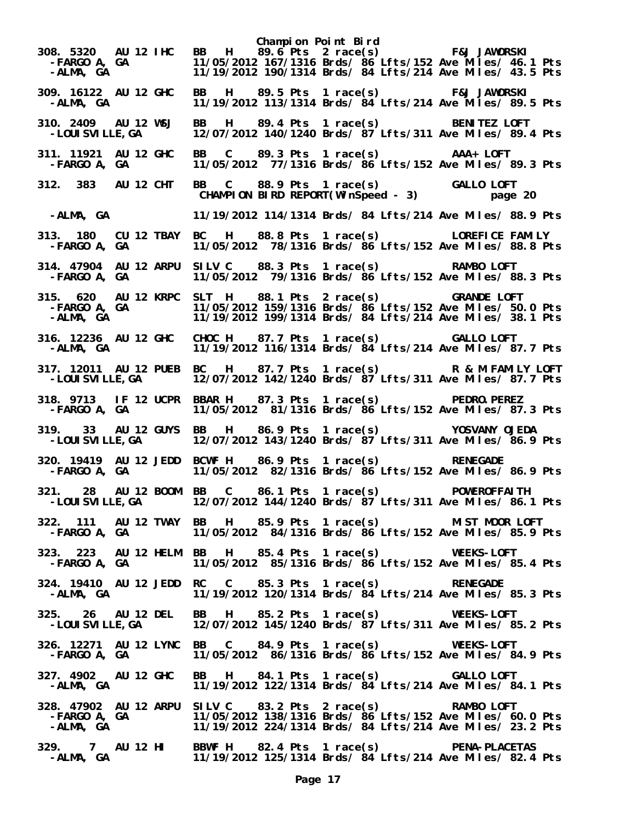**Champion Point Bird 308. 5320 AU 12 IHC BB H 89.6 Pts 2 race(s) F&J JAWORSKI -FARGO A, GA 11/05/2012 167/1316 Brds/ 86 Lfts/152 Ave Miles/ 46.1 Pts** 11/19/2012 190/1314 Brds/ 84 Lfts/214 Ave Miles/ 43.5 Pts **309. 16122 AU 12 GHC BB H 89.5 Pts 1 race(s) F&J JAWORSKI -ALMA, GA 11/19/2012 113/1314 Brds/ 84 Lfts/214 Ave Miles/ 89.5 Pts 310. 2409 AU 12 WSJ BB H 89.4 Pts 1 race(s) BENITEZ LOFT -LOUISVILLE,GA 12/07/2012 140/1240 Brds/ 87 Lfts/311 Ave Miles/ 89.4 Pts 311. 11921 AU 12 GHC BB C 89.3 Pts 1 race(s) AAA+ LOFT -FARGO A, GA 11/05/2012 77/1316 Brds/ 86 Lfts/152 Ave Miles/ 89.3 Pts 312. 383 AU 12 CHT BB C 88.9 Pts 1 race(s) GALLO LOFT CHAMPION BIRD REPORT(WinSpeed - 3) -ALMA, GA 11/19/2012 114/1314 Brds/ 84 Lfts/214 Ave Miles/ 88.9 Pts 313. 180 CU 12 TBAY BC H 88.8 Pts 1 race(s) LOREFICE FAMILY -FARGO A, GA 11/05/2012 78/1316 Brds/ 86 Lfts/152 Ave Miles/ 88.8 Pts 314. 47904 AU 12 ARPU SILV C 88.3 Pts 1 race(s) RAMBO LOFT**  11/05/2012 79/1316 Brds/  $86$ <sup>'</sup> Lfts/152 Ave Miles/ 88.3 Pts **315. 620 AU 12 KRPC SLT H 88.1 Pts 2 race(s) GRANDE LOFT -FARGO A, GA 11/05/2012 159/1316 Brds/ 86 Lfts/152 Ave Miles/ 50.0 Pts -ALMA, GA 11/19/2012 199/1314 Brds/ 84 Lfts/214 Ave Miles/ 38.1 Pts 316. 12236 AU 12 GHC CHOC H 87.7 Pts 1 race(s) GALLO LOFT**  11/19/2012 116/1314 Brds/  $\frac{34}{15}$  Lfts/214 Ave Miles/ 87.7 Pts **317. 12011 AU 12 PUEB BC H 87.7 Pts 1 race(s) R & M FAMILY LOFT -LOUISVILLE,GA 12/07/2012 142/1240 Brds/ 87 Lfts/311 Ave Miles/ 87.7 Pts 318. 9713 IF 12 UCPR BBAR H 87.3 Pts 1 race(s) PEDRO.PEREZ -FARGO A, GA 11/05/2012 81/1316 Brds/ 86 Lfts/152 Ave Miles/ 87.3 Pts 319. 33 AU 12 GUYS BB H 86.9 Pts 1 race(s) YOSVANY OJEDA -LOUISVILLE,GA 12/07/2012 143/1240 Brds/ 87 Lfts/311 Ave Miles/ 86.9 Pts 320. 19419 AU 12 JEDD BCWF H 86.9 Pts 1 race(s) RENEGADE -FARGO A, GA 11/05/2012 82/1316 Brds/ 86 Lfts/152 Ave Miles/ 86.9 Pts 321. 28 AU 12 BOOM BB C 86.1 Pts 1 race(s) POWEROFFAITH**  12/07/2012 144/1240 Brds/  $87$ <sup>'</sup>Lfts/311 Ave Miles/ 86.1 Pts **322. 111 AU 12 TWAY BB H 85.9 Pts 1 race(s) MIST MOOR LOFT -FARGO A, GA 11/05/2012 84/1316 Brds/ 86 Lfts/152 Ave Miles/ 85.9 Pts 323. 223 AU 12 HELM BB H 85.4 Pts 1 race(s) WEEKS-LOFT -FARGO A, GA 11/05/2012 85/1316 Brds/ 86 Lfts/152 Ave Miles/ 85.4 Pts 324. 19410 AU 12 JEDD RC C 85.3 Pts 1 race(s) RENEGADE -ALMA, GA 11/19/2012 120/1314 Brds/ 84 Lfts/214 Ave Miles/ 85.3 Pts 325. 26 AU 12 DEL BB H 85.2 Pts 1 race(s) WEEKS-LOFT -LOUISVILLE,GA 12/07/2012 145/1240 Brds/ 87 Lfts/311 Ave Miles/ 85.2 Pts 326. 12271 AU 12 LYNC BB C 84.9 Pts 1 race(s) WEEKS-LOFT -FARGO A, GA 11/05/2012 86/1316 Brds/ 86 Lfts/152 Ave Miles/ 84.9 Pts 327. 4902 AU 12 GHC BB H 84.1 Pts 1 race(s) GALLO LOFT -ALMA, GA 11/19/2012 122/1314 Brds/ 84 Lfts/214 Ave Miles/ 84.1 Pts 328. 47902 AU 12 ARPU SILV C 83.2 Pts 2 race(s) RAMBO LOFT -FARGO A, GA 11/05/2012 138/1316 Brds/ 86 Lfts/152 Ave Miles/ 60.0 Pts -ALMA, GA 12 ARPU SILV C 83.2 Pts 2 race(s)** RAMBO LOFT<br>FARGO A, GA 11/05/2012 138/1316 Brds/ 86 Lfts/152 Ave Miles/ 60.0 Pts -ALMA, GA 11/19/2012 224/1314 Brds/ 84 Lfts/214 Ave Miles/ 23.2 Pts **329. 7 AU 12 HI BBWF H 82.4 Pts 1 race(s) PENA-PLACETAS -ALMA, GA 11/19/2012 125/1314 Brds/ 84 Lfts/214 Ave Miles/ 82.4 Pts**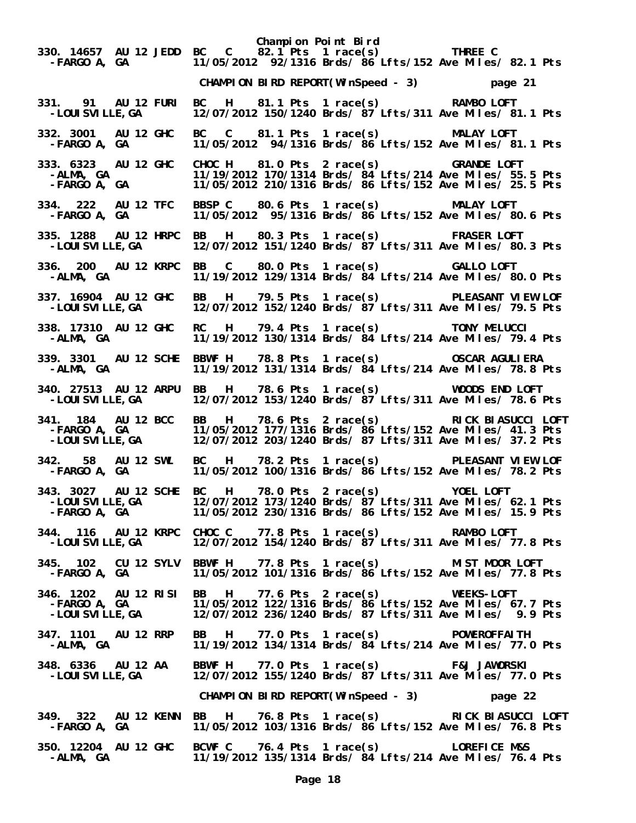**Champion Point Bird 330. 14657 AU 12 JEDD BC C 82.1 Pts 1 race(s) THREE C -FARGO A, GA 11/05/2012 92/1316 Brds/ 86 Lfts/152 Ave Miles/ 82.1 Pts CHAMPION BIRD REPORT(WinSpeed - 3) page 21 331. 91 AU 12 FURI BC H 81.1 Pts 1 race(s) RAMBO LOFT**  12/07/2012 150/1240 Brds/ 87 Lfts/311 Ave Miles/ 81.1 Pts **332. 3001 AU 12 GHC BC C 81.1 Pts 1 race(s) MALAY LOFT -FARGO A, GA 11/05/2012 94/1316 Brds/ 86 Lfts/152 Ave Miles/ 81.1 Pts 333. 6323 AU 12 GHC CHOC H 81.0 Pts 2 race(s) GRANDE LOFT -ALMA, GA 11/19/2012 170/1314 Brds/ 84 Lfts/214 Ave Miles/ 55.5 Pts -FARGO A, GA 11/05/2012 210/1316 Brds/ 86 Lfts/152 Ave Miles/ 25.5 Pts 334. 222 AU 12 TFC BBSP C 80.6 Pts 1 race(s) MALAY LOFT -FARGO A, GA 11/05/2012 95/1316 Brds/ 86 Lfts/152 Ave Miles/ 80.6 Pts 335. 1288 AU 12 HRPC BB H 80.3 Pts 1 race(s) FRASER LOFT -LOUISVILLE,GA 12/07/2012 151/1240 Brds/ 87 Lfts/311 Ave Miles/ 80.3 Pts 336. 200 AU 12 KRPC BB C 80.0 Pts 1 race(s) GALLO LOFT -ALMA, GA 11/19/2012 129/1314 Brds/ 84 Lfts/214 Ave Miles/ 80.0 Pts 337. 16904 AU 12 GHC BB H 79.5 Pts 1 race(s) PLEASANT VIEW LOF -LOUISVILLE,GA 12/07/2012 152/1240 Brds/ 87 Lfts/311 Ave Miles/ 79.5 Pts 338. 17310 AU 12 GHC RC H 79.4 Pts 1 race(s) TONY MELUCCI -ALMA, GA 11/19/2012 130/1314 Brds/ 84 Lfts/214 Ave Miles/ 79.4 Pts 339. 3301 AU 12 SCHE BBWF H 78.8 Pts 1 race(s) OSCAR AGULIERA**  11/19/2012 131/1314 Brds/ 84 Lfts/214 Ave Miles/ 78.8 Pts **340. 27513 AU 12 ARPU BB H 78.6 Pts 1 race(s) WOODS END LOFT -LOUISVILLE,GA 12/07/2012 153/1240 Brds/ 87 Lfts/311 Ave Miles/ 78.6 Pts 341. 184 AU 12 BCC BB H 78.6 Pts 2 race(s) RICK BIASUCCI LOFT -FARGO A, GA 11/05/2012 177/1316 Brds/ 86 Lfts/152 Ave Miles/ 41.3 Pts** 12/07/2012 203/1240 Brds/ 87 Lfts/311 Ave Miles/ 37.2 Pts **342. 58 AU 12 SWL BC H 78.2 Pts 1 race(s) PLEASANT VIEW LOF -FARGO A, GA 11/05/2012 100/1316 Brds/ 86 Lfts/152 Ave Miles/ 78.2 Pts 343. 3027 AU 12 SCHE BC H 78.0 Pts 2 race(s) YOEL LOFT -LOUISVILLE,GA 12/07/2012 173/1240 Brds/ 87 Lfts/311 Ave Miles/ 62.1 Pts -FARGO A, GA 11/05/2012 230/1316 Brds/ 86 Lfts/152 Ave Miles/ 15.9 Pts 344. 116 AU 12 KRPC CHOC C 77.8 Pts 1 race(s) RAMBO LOFT -LOUISVILLE,GA 12/07/2012 154/1240 Brds/ 87 Lfts/311 Ave Miles/ 77.8 Pts 345. 102 CU 12 SYLV BBWF H 77.8 Pts 1 race(s) MIST MOOR LOFT -FARGO A, GA 11/05/2012 101/1316 Brds/ 86 Lfts/152 Ave Miles/ 77.8 Pts 346. 1202 AU 12 RISI BB H 77.6 Pts 2 race(s) WEEKS-LOFT -FARGO A, GA 11/05/2012 122/1316 Brds/ 86 Lfts/152 Ave Miles/ 67.7 Pts -LOUISVILLE,GA 12/07/2012 236/1240 Brds/ 87 Lfts/311 Ave Miles/ 9.9 Pts 347. 1101 AU 12 RRP BB H 77.0 Pts 1 race(s) POWEROFFAITH -ALMA, GA 11/19/2012 134/1314 Brds/ 84 Lfts/214 Ave Miles/ 77.0 Pts 348. 6336 AU 12 AA BBWF H 77.0 Pts 1 race(s) F&J JAWORSKI**  12/07/2012 155/1240 Brds/  $87$  Lfts/311 Ave Miles/ 77.0 Pts  **CHAMPION BIRD REPORT(WinSpeed - 3) page 22 349. 322 AU 12 KENN BB H 76.8 Pts 1 race(s) RICK BIASUCCI LOFT**  11/05/2012 103/1316 Brds/ 86 Lfts/152 Ave Miles/ 76.8 Pts **350. 12204 AU 12 GHC BCWF C 76.4 Pts 1 race(s) LOREFICE M&S -ALMA, GA 11/19/2012 135/1314 Brds/ 84 Lfts/214 Ave Miles/ 76.4 Pts**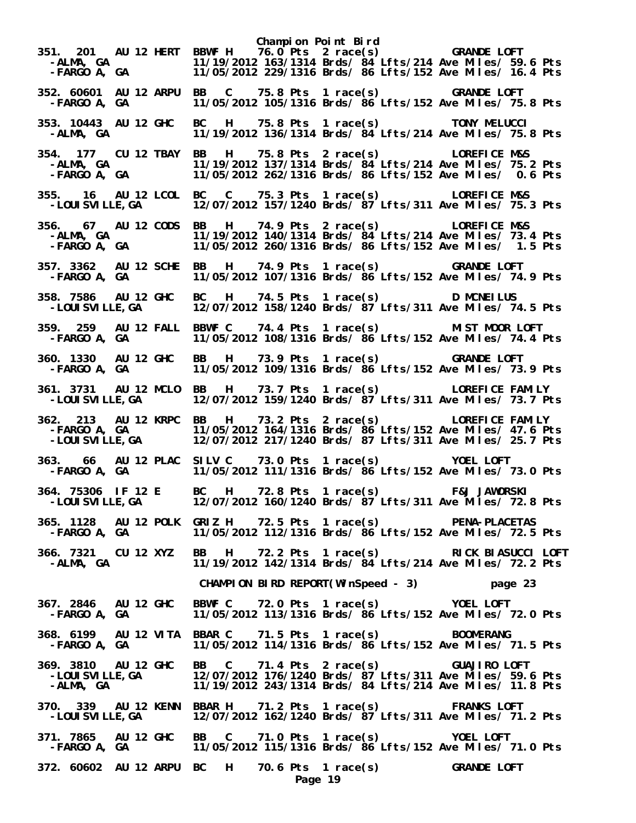**Champion Point Bird 351. 201 AU 12 HERT BBWF H 76.0 Pts 2 race(s) GRANDE LOFT -ALMA, GA 11/19/2012 163/1314 Brds/ 84 Lfts/214 Ave Miles/ 59.6 Pts -FARGO A, GA 11/05/2012 229/1316 Brds/ 86 Lfts/152 Ave Miles/ 16.4 Pts 352. 60601 AU 12 ARPU BB C 75.8 Pts 1 race(s) GRANDE LOFT -FARGO A, GA 11/05/2012 105/1316 Brds/ 86 Lfts/152 Ave Miles/ 75.8 Pts 353. 10443 AU 12 GHC BC H 75.8 Pts 1 race(s) TONY MELUCCI -ALMA, GA 11/19/2012 136/1314 Brds/ 84 Lfts/214 Ave Miles/ 75.8 Pts 354. 177 CU 12 TBAY BB H 75.8 Pts 2 race(s) LOREFICE M&S -ALMA, GA 11/19/2012 137/1314 Brds/ 84 Lfts/214 Ave Miles/ 75.2 Pts -FARGO A, GA 11/05/2012 262/1316 Brds/ 86 Lfts/152 Ave Miles/ 0.6 Pts 355. 16 AU 12 LCOL BC C 75.3 Pts 1 race(s) LOREFICE M&S -LOUISVILLE,GA 12/07/2012 157/1240 Brds/ 87 Lfts/311 Ave Miles/ 75.3 Pts 356. 67 AU 12 CODS BB H 74.9 Pts 2 race(s) LOREFICE M&S -ALMA, GA 11/19/2012 140/1314 Brds/ 84 Lfts/214 Ave Miles/ 73.4 Pts -FARGO A, GA 11/05/2012 260/1316 Brds/ 86 Lfts/152 Ave Miles/ 1.5 Pts 357. 3362 AU 12 SCHE BB H 74.9 Pts 1 race(s) GRANDE LOFT -FARGO A, GA 11/05/2012 107/1316 Brds/ 86 Lfts/152 Ave Miles/ 74.9 Pts 358. 7586 AU 12 GHC BC H 74.5 Pts 1 race(s) D MCNEILUS -LOUISVILLE,GA 12/07/2012 158/1240 Brds/ 87 Lfts/311 Ave Miles/ 74.5 Pts 359. 259 AU 12 FALL BBWF C 74.4 Pts 1 race(s) MIST MOOR LOFT -FARGO A, GA 11/05/2012 108/1316 Brds/ 86 Lfts/152 Ave Miles/ 74.4 Pts 360. 1330 AU 12 GHC BB H 73.9 Pts 1 race(s) GRANDE LOFT**  11/05/2012 109/1316 Brds/ 86 Lfts/152 Ave Miles/ 73.9 Pts **361. 3731 AU 12 MCLO BB H 73.7 Pts 1 race(s) LOREFICE FAMILY -LOUISVILLE,GA 12/07/2012 159/1240 Brds/ 87 Lfts/311 Ave Miles/ 73.7 Pts 362. 213 AU 12 KRPC BB H 73.2 Pts 2 race(s) LOREFICE FAMILY -FARGO A, GA 11/05/2012 164/1316 Brds/ 86 Lfts/152 Ave Miles/ 47.6 Pts** 12/07/2012 217/1240 Brds/ 87 Lfts/311 Ave Miles/ 25.7 Pts **363. 66 AU 12 PLAC SILV C 73.0 Pts 1 race(s) YOEL LOFT -FARGO A, GA 11/05/2012 111/1316 Brds/ 86 Lfts/152 Ave Miles/ 73.0 Pts 364. 75306 IF 12 E BC H 72.8 Pts 1 race(s) F&J JAWORSKI -LOUISVILLE,GA 12/07/2012 160/1240 Brds/ 87 Lfts/311 Ave Miles/ 72.8 Pts 365. 1128 AU 12 POLK GRIZ H 72.5 Pts 1 race(s) PENA-PLACETAS -FARGO A, GA 11/05/2012 112/1316 Brds/ 86 Lfts/152 Ave Miles/ 72.5 Pts 366. 7321 CU 12 XYZ BB H 72.2 Pts 1 race(s) RICK BIASUCCI LOFT -ALMA, GA 11/19/2012 142/1314 Brds/ 84 Lfts/214 Ave Miles/ 72.2 Pts CHAMPION BIRD REPORT(WinSpeed - 3) page 23 367. 2846 AU 12 GHC BBWF C 72.0 Pts 1 race(s) YOEL LOFT -FARGO A, GA 11/05/2012 113/1316 Brds/ 86 Lfts/152 Ave Miles/ 72.0 Pts 368. 6199 AU 12 VITA BBAR C 71.5 Pts 1 race(s) BOOMERANG -FARGO A, GA 11/05/2012 114/1316 Brds/ 86 Lfts/152 Ave Miles/ 71.5 Pts 369. 3810 AU 12 GHC BB C 71.4 Pts 2 race(s) GUAJIRO LOFT -LOUISVILLE,GA 12/07/2012 176/1240 Brds/ 87 Lfts/311 Ave Miles/ 59.6 Pts -ALMA, GA 11/19/2012 243/1314 Brds/ 84 Lfts/214 Ave Miles/ 11.8 Pts 370. 339 AU 12 KENN BBAR H 71.2 Pts 1 race(s) FRANKS LOFT**  12/07/2012 162/1240 Brds/  $87$  Lfts/311 Ave Miles/ 71.2 Pts **371. 7865 AU 12 GHC BB C 71.0 Pts 1 race(s) YOEL LOFT -FARGO A, GA 11/05/2012 115/1316 Brds/ 86 Lfts/152 Ave Miles/ 71.0 Pts 372. 60602 AU 12 ARPU BC H 70.6 Pts 1 race(s) GRANDE LOFT Page 19**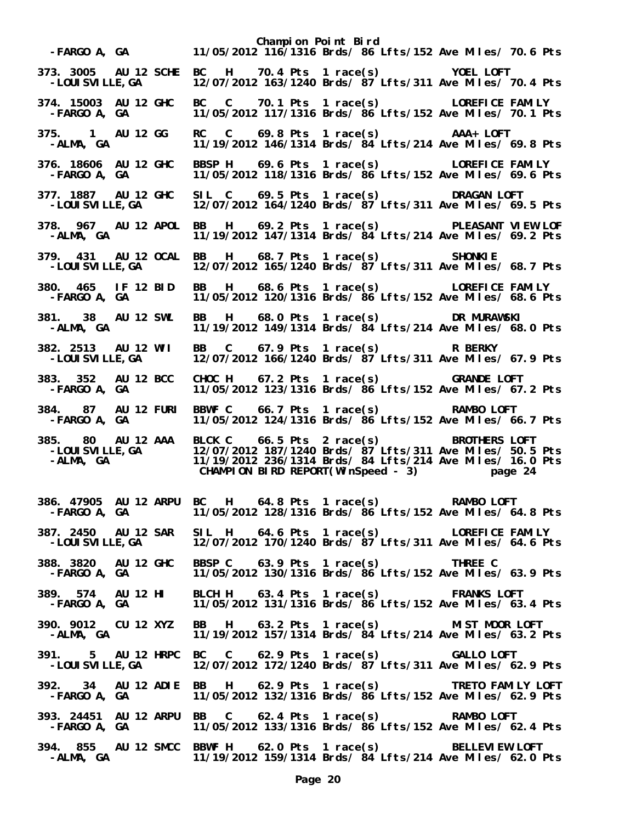**Champion Point Bird -FARGO A, GA 11/05/2012 116/1316 Brds/ 86 Lfts/152 Ave Miles/ 70.6 Pts 373. 3005 AU 12 SCHE BC H 70.4 Pts 1 race(s) YOEL LOFT -LOUISVILLE,GA 12/07/2012 163/1240 Brds/ 87 Lfts/311 Ave Miles/ 70.4 Pts 374. 15003 AU 12 GHC BC C 70.1 Pts 1 race(s) LOREFICE FAMILY -FARGO A, GA 11/05/2012 117/1316 Brds/ 86 Lfts/152 Ave Miles/ 70.1 Pts 375. 1 AU 12 GG RC C 69.8 Pts 1 race(s) AAA+ LOFT -ALMA, GA 11/19/2012 146/1314 Brds/ 84 Lfts/214 Ave Miles/ 69.8 Pts 376. 18606 AU 12 GHC BBSP H 69.6 Pts 1 race(s) LOREFICE FAMILY -FARGO A, GA 11/05/2012 118/1316 Brds/ 86 Lfts/152 Ave Miles/ 69.6 Pts 377. 1887 AU 12 GHC SIL C 69.5 Pts 1 race(s) DRAGAN LOFT -LOUISVILLE,GA 12/07/2012 164/1240 Brds/ 87 Lfts/311 Ave Miles/ 69.5 Pts 378. 967 AU 12 APOL BB H 69.2 Pts 1 race(s) PLEASANT VIEW LOF -ALMA, GA 11/19/2012 147/1314 Brds/ 84 Lfts/214 Ave Miles/ 69.2 Pts 379. 431 AU 12 OCAL BB H 68.7 Pts 1 race(s) SHONKIE -LOUISVILLE,GA 12/07/2012 165/1240 Brds/ 87 Lfts/311 Ave Miles/ 68.7 Pts 380. 465 IF 12 BID BB H 68.6 Pts 1 race(s) LOREFICE FAMILY -FARGO A, GA 11/05/2012 120/1316 Brds/ 86 Lfts/152 Ave Miles/ 68.6 Pts 381. 38 AU 12 SWL BB H 68.0 Pts 1 race(s) DR MURAWSKI -ALMA, GA 11/19/2012 149/1314 Brds/ 84 Lfts/214 Ave Miles/ 68.0 Pts 382. 2513 AU 12 WII BB C 67.9 Pts 1 race(s) R BERKY**  12/07/2012 166/1240 Brds/ 87 Lfts/311 Ave Miles/ 67.9 Pts **383. 352 AU 12 BCC CHOC H 67.2 Pts 1 race(s) GRANDE LOFT -FARGO A, GA 11/05/2012 123/1316 Brds/ 86 Lfts/152 Ave Miles/ 67.2 Pts 384. 87 AU 12 FURI BBWF C 66.7 Pts 1 race(s) RAMBO LOFT -FARGO A, GA 11/05/2012 124/1316 Brds/ 86 Lfts/152 Ave Miles/ 66.7 Pts 385. 80 AU 12 AAA BLCK C 66.5 Pts 2 race(s) BROTHERS LOFT -LOUISVILLE,GA 12/07/2012 187/1240 Brds/ 87 Lfts/311 Ave Miles/ 50.5 Pts -ALMA, GA 11/19/2012 236/1314 Brds/ 84 Lfts/214 Ave Miles/ 16.0 Pts CHAMPION BIRD REPORT(WinSpeed - 3) page 24 386. 47905 AU 12 ARPU BC H 64.8 Pts 1 race(s) RAMBO LOFT -FARGO A, GA 11/05/2012 128/1316 Brds/ 86 Lfts/152 Ave Miles/ 64.8 Pts 387. 2450 AU 12 SAR SIL H 64.6 Pts 1 race(s) LOREFICE FAMILY -LOUISVILLE,GA 12/07/2012 170/1240 Brds/ 87 Lfts/311 Ave Miles/ 64.6 Pts 388. 3820 AU 12 GHC BBSP C 63.9 Pts 1 race(s) THREE C -FARGO A, GA 11/05/2012 130/1316 Brds/ 86 Lfts/152 Ave Miles/ 63.9 Pts 389. 574 AU 12 HI BLCH H 63.4 Pts 1 race(s) FRANKS LOFT -FARGO A, GA 11/05/2012 131/1316 Brds/ 86 Lfts/152 Ave Miles/ 63.4 Pts 390. 9012 CU 12 XYZ BB H 63.2 Pts 1 race(s) MIST MOOR LOFT**  11/19/2012 157/1314 Brds/ 84 Lfts/214 Ave Miles/ 63.2 Pts **391. 5 AU 12 HRPC BC C 62.9 Pts 1 race(s) GALLO LOFT -LOUISVILLE,GA 12/07/2012 172/1240 Brds/ 87 Lfts/311 Ave Miles/ 62.9 Pts 392. 34 AU 12 ADIE BB H 62.9 Pts 1 race(s) TRETO FAMILY LOFT -FARGO A, GA 11/05/2012 132/1316 Brds/ 86 Lfts/152 Ave Miles/ 62.9 Pts 393. 24451 AU 12 ARPU BB C 62.4 Pts 1 race(s) RAMBO LOFT -FARGO A, GA 11/05/2012 133/1316 Brds/ 86 Lfts/152 Ave Miles/ 62.4 Pts 394. 855 AU 12 SMCC BBWF H 62.0 Pts 1 race(s) BELLEVIEW LOFT -ALMA, GA 11/19/2012 159/1314 Brds/ 84 Lfts/214 Ave Miles/ 62.0 Pts**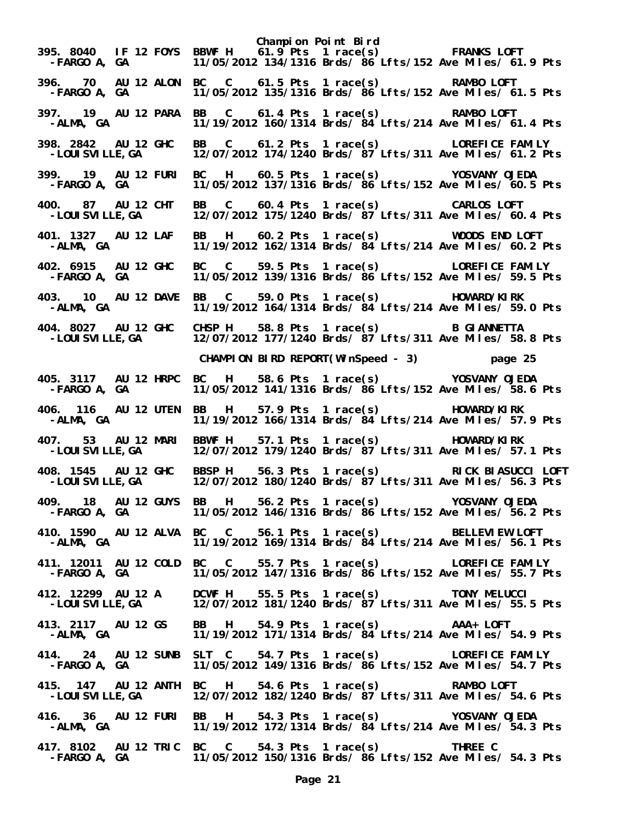**Champion Point Bird 395. 8040 IF 12 FOYS BBWF H 61.9 Pts 1 race(s) FRANKS LOFT -FARGO A, GA 11/05/2012 134/1316 Brds/ 86 Lfts/152 Ave Miles/ 61.9 Pts 396. 70 AU 12 ALON BC C 61.5 Pts 1 race(s) RAMBO LOFT -FARGO A, GA 11/05/2012 135/1316 Brds/ 86 Lfts/152 Ave Miles/ 61.5 Pts 397. 19 AU 12 PARA BB C 61.4 Pts 1 race(s) RAMBO LOFT -ALMA, GA 11/19/2012 160/1314 Brds/ 84 Lfts/214 Ave Miles/ 61.4 Pts 398. 2842 AU 12 GHC BB C 61.2 Pts 1 race(s) LOREFICE FAMILY**  12/07/2012 174/1240 Brds/  $87$  Lfts/311 Ave Miles/ 61.2 Pts **399. 19 AU 12 FURI BC H 60.5 Pts 1 race(s) YOSVANY OJEDA -FARGO A, GA 11/05/2012 137/1316 Brds/ 86 Lfts/152 Ave Miles/ 60.5 Pts 400. 87 AU 12 CHT BB C 60.4 Pts 1 race(s) CARLOS LOFT -LOUISVILLE,GA 12/07/2012 175/1240 Brds/ 87 Lfts/311 Ave Miles/ 60.4 Pts 401. 1327 AU 12 LAF BB H 60.2 Pts 1 race(s) WOODS END LOFT -ALMA, GA 11/19/2012 162/1314 Brds/ 84 Lfts/214 Ave Miles/ 60.2 Pts 402. 6915 AU 12 GHC BC C 59.5 Pts 1 race(s) LOREFICE FAMILY -FARGO A, GA 11/05/2012 139/1316 Brds/ 86 Lfts/152 Ave Miles/ 59.5 Pts 403. 10 AU 12 DAVE BB C 59.0 Pts 1 race(s) HOWARD/KIRK -ALMA, GA 11/19/2012 164/1314 Brds/ 84 Lfts/214 Ave Miles/ 59.0 Pts 404. 8027 AU 12 GHC CHSP H 58.8 Pts 1 race(s) B GIANNETTA**  12/07/2012 177/1240 Brds/  $87$ <sup>'</sup>Lfts/311 Ave Miles/ 58.8 Pts  **CHAMPION BIRD REPORT(WinSpeed - 3) page 25 405. 3117 AU 12 HRPC BC H 58.6 Pts 1 race(s) YOSVANY OJEDA -FARGO A, GA 11/05/2012 141/1316 Brds/ 86 Lfts/152 Ave Miles/ 58.6 Pts 406. 116 AU 12 UTEN BB H 57.9 Pts 1 race(s) HOWARD/KIRK -ALMA, GA 11/19/2012 166/1314 Brds/ 84 Lfts/214 Ave Miles/ 57.9 Pts 407. 53 AU 12 MARI BBWF H 57.1 Pts 1 race(s) HOWARD/KIRK -LOUISVILLE,GA 12/07/2012 179/1240 Brds/ 87 Lfts/311 Ave Miles/ 57.1 Pts 408. 1545 AU 12 GHC BBSP H 56.3 Pts 1 race(s) RICK BIASUCCI LOFT -LOUISVILLE,GA 12/07/2012 180/1240 Brds/ 87 Lfts/311 Ave Miles/ 56.3 Pts 409. 18 AU 12 GUYS BB H 56.2 Pts 1 race(s) YOSVANY OJEDA -FARGO A, GA 11/05/2012 146/1316 Brds/ 86 Lfts/152 Ave Miles/ 56.2 Pts 410. 1590 AU 12 ALVA BC C 56.1 Pts 1 race(s) BELLEVIEW LOFT -ALMA, GA 11/19/2012 169/1314 Brds/ 84 Lfts/214 Ave Miles/ 56.1 Pts 411. 12011 AU 12 COLD BC C 55.7 Pts 1 race(s) LOREFICE FAMILY -FARGO A, GA 11/05/2012 147/1316 Brds/ 86 Lfts/152 Ave Miles/ 55.7 Pts 412. 12299 AU 12 A DCWF H 55.5 Pts 1 race(s) TONY MELUCCI**  12/07/2012 181/1240 Brds/ 87 Lfts/311 Ave Miles/ 55.5 Pts **413. 2117 AU 12 GS BB H 54.9 Pts 1 race(s) AAA+ LOFT**  11/19/2012 171/1314 Brds/ 84 Lfts/214 Ave Miles/ 54.9 Pts **414. 24 AU 12 SUNB SLT C 54.7 Pts 1 race(s) LOREFICE FAMILY -FARGO A, GA 11/05/2012 149/1316 Brds/ 86 Lfts/152 Ave Miles/ 54.7 Pts 415. 147 AU 12 ANTH BC H 54.6 Pts 1 race(s) RAMBO LOFT -LOUISVILLE,GA 12/07/2012 182/1240 Brds/ 87 Lfts/311 Ave Miles/ 54.6 Pts 416. 36 AU 12 FURI BB H 54.3 Pts 1 race(s) YOSVANY OJEDA -ALMA, GA 11/19/2012 172/1314 Brds/ 84 Lfts/214 Ave Miles/ 54.3 Pts 417. 8102 AU 12 TRIC BC C 54.3 Pts 1 race(s) THREE C -FARGO A, GA 11/05/2012 150/1316 Brds/ 86 Lfts/152 Ave Miles/ 54.3 Pts**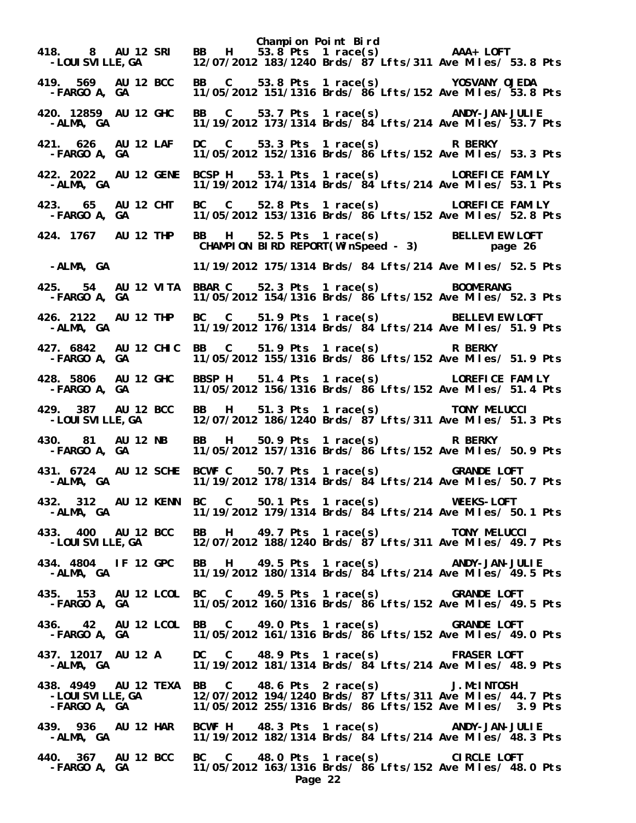**Champion Point Bird** لاء المسلمان المسلم المسلم المسلم بين المسلم بين المسلم بين المسلم بين المسلم بين المسلم بين المسلم بين المسلم<br>2 /12/07/2012 183/1240 Brds/ 87 Lfts/311 Ave Miles بين المسلم بين المسلم بين المسلم بين المسلم بين المسلم بين<br>  **-LOUISVILLE,GA 12/07/2012 183/1240 Brds/ 87 Lfts/311 Ave Miles/ 53.8 Pts 419. 569 AU 12 BCC BB C 53.8 Pts 1 race(s) YOSVANY OJEDA -FARGO A, GA 11/05/2012 151/1316 Brds/ 86 Lfts/152 Ave Miles/ 53.8 Pts 420. 12859 AU 12 GHC BB C 53.7 Pts 1 race(s) ANDY-JAN-JULIE -ALMA, GA 11/19/2012 173/1314 Brds/ 84 Lfts/214 Ave Miles/ 53.7 Pts 421. 626 AU 12 LAF DC C 53.3 Pts 1 race(s) R BERKY -FARGO A, GA 11/05/2012 152/1316 Brds/ 86 Lfts/152 Ave Miles/ 53.3 Pts 422. 2022 AU 12 GENE BCSP H 53.1 Pts 1 race(s) LOREFICE FAMILY -ALMA, GA 11/19/2012 174/1314 Brds/ 84 Lfts/214 Ave Miles/ 53.1 Pts 423. 65 AU 12 CHT BC C 52.8 Pts 1 race(s) LOREFICE FAMILY -FARGO A, GA 11/05/2012 153/1316 Brds/ 86 Lfts/152 Ave Miles/ 52.8 Pts 424. 1767 AU 12 THP BB H 52.5 Pts 1 race(s) BELLEVIEW LOFT CHAMPION BIRD REPORT(WinSpeed - 3) page 26 -ALMA, GA 11/19/2012 175/1314 Brds/ 84 Lfts/214 Ave Miles/ 52.5 Pts 425. 54 AU 12 VITA BBAR C 52.3 Pts 1 race(s) BOOMERANG -FARGO A, GA 11/05/2012 154/1316 Brds/ 86 Lfts/152 Ave Miles/ 52.3 Pts 426. 2122 AU 12 THP BC C 51.9 Pts 1 race(s) BELLEVIEW LOFT -ALMA, GA 11/19/2012 176/1314 Brds/ 84 Lfts/214 Ave Miles/ 51.9 Pts 427. 6842 AU 12 CHIC BB C 51.9 Pts 1 race(s) R BERKY -FARGO A, GA 11/05/2012 155/1316 Brds/ 86 Lfts/152 Ave Miles/ 51.9 Pts 428. 5806 AU 12 GHC BBSP H 51.4 Pts 1 race(s) LOREFICE FAMILY -FARGO A, GA 11/05/2012 156/1316 Brds/ 86 Lfts/152 Ave Miles/ 51.4 Pts 429. 387 AU 12 BCC BB H 51.3 Pts 1 race(s) TONY MELUCCI -LOUISVILLE,GA 12/07/2012 186/1240 Brds/ 87 Lfts/311 Ave Miles/ 51.3 Pts 430. 81 AU 12 NB BB H 50.9 Pts 1 race(s) R BERKY -FARGO A, GA 11/05/2012 157/1316 Brds/ 86 Lfts/152 Ave Miles/ 50.9 Pts 431. 6724 AU 12 SCHE BCWF C 50.7 Pts 1 race(s) GRANDE LOFT -ALMA, GA 11/19/2012 178/1314 Brds/ 84 Lfts/214 Ave Miles/ 50.7 Pts 432. 312 AU 12 KENN BC C 50.1 Pts 1 race(s) WEEKS-LOFT -ALMA, GA 11/19/2012 179/1314 Brds/ 84 Lfts/214 Ave Miles/ 50.1 Pts 433. 400 AU 12 BCC BB H 49.7 Pts 1 race(s) TONY MELUCCI -LOUISVILLE,GA 12/07/2012 188/1240 Brds/ 87 Lfts/311 Ave Miles/ 49.7 Pts 434. 4804 IF 12 GPC BB H 49.5 Pts 1 race(s) ANDY-JAN-JULIE -ALMA, GA 11/19/2012 180/1314 Brds/ 84 Lfts/214 Ave Miles/ 49.5 Pts 435. 153 AU 12 LCOL BC C 49.5 Pts 1 race(s) GRANDE LOFT -FARGO A, GA 11/05/2012 160/1316 Brds/ 86 Lfts/152 Ave Miles/ 49.5 Pts 436. 42 AU 12 LCOL BB C 49.0 Pts 1 race(s) GRANDE LOFT -FARGO A, GA 11/05/2012 161/1316 Brds/ 86 Lfts/152 Ave Miles/ 49.0 Pts 437. 12017 AU 12 A DC C 48.9 Pts 1 race(s) FRASER LOFT -ALMA, GA 11/19/2012 181/1314 Brds/ 84 Lfts/214 Ave Miles/ 48.9 Pts 438. 4949 AU 12 TEXA BB C 48.6 Pts 2 race(s) J.McINTOSH -LOUISVILLE,GA 12/07/2012 194/1240 Brds/ 87 Lfts/311 Ave Miles/ 44.7 Pts -FARGO A, GA 11/05/2012 255/1316 Brds/ 86 Lfts/152 Ave Miles/ 3.9 Pts 439. 936 AU 12 HAR BCWF H 48.3 Pts 1 race(s) ANDY-JAN-JULIE -ALMA, GA 11/19/2012 182/1314 Brds/ 84 Lfts/214 Ave Miles/ 48.3 Pts 440. 367 AU 12 BCC BC C 48.0 Pts 1 race(s) CIRCLE LOFT**  11/05/2012 163/1316 Brds/  $86$  Lfts/152 Ave Miles/ 48.0 Pts **Page 22**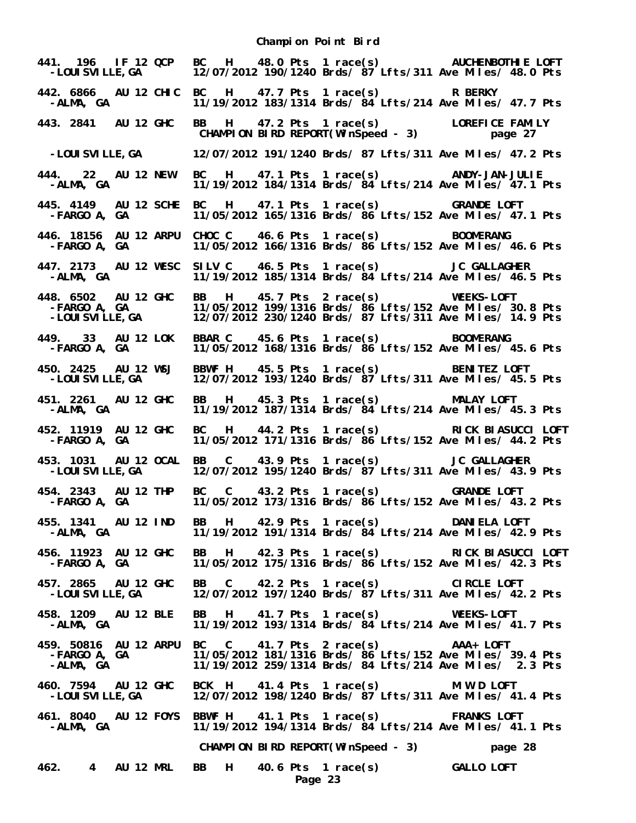| 441. 196 IF 12 QCP<br>-LOUI SVI LLE, GA               |  | BC H 48.0 Pts 1 race(s) AUCHENBOTHIE LOFT<br>12/07/2012 190/1240 Brds/ 87 Lfts/311 Ave Miles/ 48.0 Pts                                                                           |  |
|-------------------------------------------------------|--|----------------------------------------------------------------------------------------------------------------------------------------------------------------------------------|--|
| -ALMA, GA                                             |  | 442. 6866 AU 12 CHIC BC H 47.7 Pts 1 race(s) R BERKY<br>11/19/2012 183/1314 Brds/ $\frac{3}{4}$ Lfts/214 Ave Miles/ 47.7 Pts                                                     |  |
| 443. 2841 AU 12 GHC                                   |  | BB H 47.2 Pts 1 race(s) LOREFICE FAMILY<br>CHAMPION BIRD REPORT(WinSpeed - 3) page 27                                                                                            |  |
| -LOUI SVI LLE, GA                                     |  | 12/07/2012 191/1240 Brds/ 87 Lfts/311 Ave Miles/ 47.2 Pts                                                                                                                        |  |
| 444. 22 AU 12 NEW<br>-ALMA, GA                        |  | BC H 47.1 Pts 1 race(s) ANDY-JAN-JULIE<br>11/19/2012 184/1314 Brds/ 84 Lfts/214 Ave Miles/ 47.1 Pts                                                                              |  |
| 445. 4149 AU 12 SCHE<br>-FARGO A, GA                  |  | BC H 47.1 Pts 1 race(s) GRANDE LOFT<br>11/05/2012 165/1316 Brds/ 86 Lfts/152 Ave Miles/ 47.1 Pts                                                                                 |  |
| 446. 18156 AU 12 ARPU<br>-FARGO A, GA                 |  | CHOC C 46.6 Pts 1 race(s) BOOMERANG<br>11/05/2012 166/1316 Brds/ 86 Lfts/152 Ave Miles/ 46.6 Pts                                                                                 |  |
| 447. 2173 AU 12 WESC<br>-ALMA, GA                     |  | SILV C 46.5 Pts 1 race(s) JC GALLAGHER<br>11/19/2012 185/1314 Brds/ 84 Lfts/214 Ave Miles/ 46.5 Pts                                                                              |  |
| 448. 6502 AU 12 GHC<br>-FARGO A, GA<br>-LOUISVILLE,GA |  | BB H 45.7 Pts 2 race(s) WEEKS-LOFT<br>11/05/2012 199/1316 Brds/ 86 Lfts/152 Ave Miles/ 30.8 Pts<br>12/07/2012 230/1240 Brds/ 87 Lfts/311 Ave Miles/ 14.9 Pts                     |  |
| 449. 33 AU 12 LOK<br>-FARGO A, GA                     |  | BBAR C 45.6 Pts 1 race(s) BOOMERANG<br>11/05/2012 168/1316 Brds/ 86 Lfts/152 Ave Miles/ 45.6 Pts                                                                                 |  |
| 450. 2425 AU 12 WSJ<br>-LOUI SVI LLE, GA              |  | BBWF H 45.5 Pts 1 race(s) BENITEZ LOFT<br>12/07/2012 193/1240 Brds/ $\frac{3}{7}$ Lfts/311 Ave Miles/ 45.5 Pts                                                                   |  |
| 451. 2261 AU 12 GHC<br>-ALMA, GA                      |  | BB H 45.3 Pts 1 race(s) MALAY LOFT<br>11/19/2012 187/1314 Brds/ 84 Lfts/214 Ave Miles/ 45.3 Pts                                                                                  |  |
| 452. 11919 AU 12 GHC<br>-FARGO A, GA                  |  | BC H 44.2 Pts 1 race(s) RICK BIASUCCI LOFT<br>11/05/2012 171/1316 Brds/ 86 Lfts/152 Ave Miles/ 44.2 Pts                                                                          |  |
| 453. 1031 AU 12 OCAL<br>-LOUI SVI LLE, GA             |  | BB C 43.9 Pts 1 race(s) JC GALLAGHER<br>12/07/2012 195/1240 Brds/ 87 Lfts/311 Ave Miles/ 43.9 Pts                                                                                |  |
|                                                       |  | 454. 2343 AU 12 THP BC C 43.2 Pts 1 race(s) GRANDE LOFT<br>FARGO A, GA 11/05/2012 173/1316 Brds/ 86 Lfts/152 Ave Miles/ 43.2 Pts                                                 |  |
| 455. 1341 AU 12 IND<br>-ALMA, GA                      |  | BB H 42.9 Pts 1 race(s) DANIELA LOFT<br>11/19/2012 191/1314 Brds/ 84 Lfts/214 Ave Miles/ 42.9 Pts                                                                                |  |
| 456. 11923 AU 12 GHC<br>-FARGO A, GA                  |  | BB H 42.3 Pts 1 race(s) RICK BIASUCCI LOFT<br>11/05/2012 175/1316 Brds/ 86 Lfts/152 Ave Miles/ 42.3 Pts                                                                          |  |
| 457. 2865 AU 12 GHC<br>-LOUI SVI LLE, GA              |  | BB C 42.2 Pts 1 race(s) CIRCLE LOFT<br>12/07/2012 197/1240 Brds/ 87 Lfts/311 Ave Miles/ 42.2 Pts                                                                                 |  |
| 458. 1209 AU 12 BLE<br>-ALMA, GA                      |  | BB H 41.7 Pts 1 race(s) WEEKS-LOFT<br>11/19/2012 193/1314 Brds/ 84 Lfts/214 Ave Miles/ 41.7 Pts                                                                                  |  |
| $-FARGO A, GA$<br>$-MMA GA$<br>-ALMA, GA              |  | 459. 50816 AU 12 ARPU BC C 41.7 Pts 2 race(s) AAA+ LOFT<br>11/05/2012 181/1316 Brds/ 86 Lfts/152 Ave Miles/ 39.4 Pts<br>11/19/2012 259/1314 Brds/ 84 Lfts/214 Ave Miles/ 2.3 Pts |  |
| 460. 7594 AU 12 GHC<br>-LOUI SVI LLE, GA              |  | BCK H 41.4 Pts 1 race(s) M W D LOFT<br>12/07/2012 198/1240 Brds/ 87 Lfts/311 Ave Miles/ 41.4 Pts                                                                                 |  |
| -ALMA, GA                                             |  | 461. 8040 AU 12 FOYS BBWF H 41.1 Pts 1 race(s) FRANKS LOFT<br>11/19/2012 194/1314 Brds/ 84 Lfts/214 Ave Miles/ 41.1 Pts                                                          |  |
|                                                       |  | CHAMPION BIRD REPORT(WinSpeed - 3)<br>page 28                                                                                                                                    |  |
| 462. 4 AU 12 MRL                                      |  | BB H 40.6 Pts 1 race(s) GALLO LOFT<br>Page 23                                                                                                                                    |  |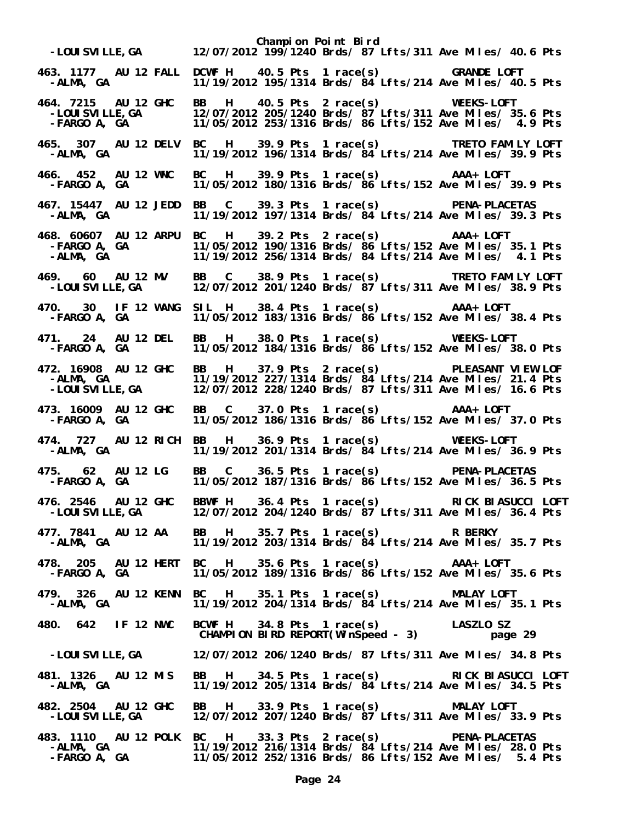|                                                               | Champion Point Bird<br>-LOUISVILLE,GA 12/07/2012 199/1240 Brds/ 87 Lfts/311 Ave Miles/ 40.6 Pts                                                                     |
|---------------------------------------------------------------|---------------------------------------------------------------------------------------------------------------------------------------------------------------------|
| 463. 1177 AU 12 FALL<br>-ALMA, GA                             | DCWF H  40.5 Pts  1 race(s)   6RANDE LOFT<br>11/19/2012 195/1314 Brds/ 84 Lfts/214 Ave Miles/ 40.5 Pts                                                              |
| 464. 7215 AU 12 GHC<br>-LOUI SVI LLE, GA<br>-FARGO   A,    GA | BB H 40.5 Pts 2 race(s) WEEKS-LOFT<br>12/07/2012 205/1240 Brds/ 87 Lfts/311 Ave Miles/ 35.6 Pts<br>11/05/2012 253/1316 Brds/ 86 Lfts/152 Ave Miles/ 4.9 Pts         |
| 465. 307 AU 12 DELV<br>-ALMA, GA                              | BC H 39.9 Pts 1 race(s) TRETO FAMILY LOFT<br>11/19/2012 196/1314 Brds/ 84 Lfts/214 Ave Miles/ 39.9 Pts                                                              |
| 466. 452 AU 12 WNC<br>-FARGO A, GA                            | BC H 39.9 Pts 1 race(s) AAA+ LOFT<br>11/05/2012 180/1316 Brds/ 86 Lfts/152 Ave Miles/ 39.9 Pts                                                                      |
| 467. 15447 AU 12 JEDD<br>-ALMA, GA                            | BB C 39.3 Pts 1 race(s) PENA-PLACETAS<br>11/19/2012 197/1314 Brds/ 84 Lfts/214 Ave Miles/ 39.3 Pts                                                                  |
| 468. 60607 AU 12 ARPU<br>-FARGO A, GA<br>-ALMA, GA            | BC H 39.2 Pts 2 race(s) AAA+ LOFT<br>11/05/2012 190/1316 Brds/ 86 Lfts/152 Ave Miles/ 35.1 Pts<br>11/19/2012 256/1314 Brds/ 84 Lfts/214 Ave Miles/ 4.1 Pts          |
| 469. 60 AU 12 MV<br>-LOUI SVI LLE, GA                         | BB C 38.9 Pts 1 race(s) TRETO FAMILY LOFT<br>12/07/2012 201/1240 Brds/ $\frac{3}{2}$ Lfts/311 Ave Miles/ 38.9 Pts                                                   |
| <b>-FARGO A, GA</b>                                           | 470. 30 IF 12 WANG SIL H 38.4 Pts 1 race(s) AAA+ LOFT<br>FARGO A, GA 11/05/2012 183/1316 Brds/ 86 Lfts/152 Ave Miles/ 38.4 Pts                                      |
| 471. 24 AU 12 DEL<br>-FARGO A, GA                             | BB H 38.0 Pts 1 race(s) WEEKS-LOFT<br>11/05/2012 184/1316 Brds/ 86 Lfts/152 Ave Miles/ 38.0 Pts                                                                     |
| 472. 16908 AU 12 GHC<br>-ALMA, GA<br>-LOUISVILLE,GA           | BB H 37.9 Pts 2 race(s) PLEASANT VIEW LOF<br>11/19/2012 227/1314 Brds/ 84 Lfts/214 Ave Miles/ 21.4 Pts<br>12/07/2012 228/1240 Brds/ 87 Lfts/311 Ave Miles/ 16.6 Pts |
| 473. 16009 AU 12 GHC<br>-FARGO A, GA                          | BB C 37.0 Pts 1 race(s) AAA+ LOFT<br>11/05/2012 186/1316 Brds/ 86 Lfts/152 Ave Miles/ 37.0 Pts                                                                      |
| 474. 727 AU 12 RICH<br>-ALMA, GA                              | BB H 36.9 Pts 1 race(s) WEEKS-LOFT<br>11/19/2012 201/1314 Brds/ 84 Lfts/214 Ave Miles/ 36.9 Pts                                                                     |
|                                                               | BB C 36.5 Pts 1 race(s) PENA-PLACETAS<br>11/05/2012 187/1316 Brds/ 86 Lfts/152 Ave Miles/ 36.5 Pts                                                                  |
| -LOUI SVI LLE, GA                                             | 476. 2546 AU 12 GHC BBWF H 36.4 Pts 1 race(s) RICK BIASUCCI LOFT<br>12/07/2012 204/1240 Brds/ 87 Lfts/311 Ave Miles/ 36.4 Pts                                       |
| 477. 7841 AU 12 AA<br>-ALMA, GA                               | BB H 35.7 Pts 1 race(s) R BERKY<br>11/19/2012 203/1314 Brds/ 84 Lfts/214 Ave Miles/ 35.7 Pts                                                                        |
| 478. 205 AU 12 HERT<br>-FARGO A, GA                           | BC H 35.6 Pts 1 race(s) AAA+ LOFT<br>11/05/2012 189/1316 Brds/ 86 Lfts/152 Ave Miles/ 35.6 Pts                                                                      |
| -ALMA, GA                                                     | 479. 326 AU 12 KENN BC H 35.1 Pts 1 race(s) MALAY LOFT<br>11/19/2012 204/1314 Brds/ 84 Lfts/214 Ave Miles/ 35.1 Pts                                                 |
| 480. 642 IF 12 NWC                                            |                                                                                                                                                                     |
|                                                               | BCWF H 34.8 Pts 1 race(s) LASZLO SZ<br>CHAMPION BIRD REPORT(WinSpeed - 3) page<br>page 29                                                                           |
| -LOUI SVI LLE, GA                                             | 12/07/2012 206/1240 Brds/ 87 Lfts/311 Ave Miles/ 34.8 Pts                                                                                                           |
| 481. 1326 AU 12 MIS<br>-ALMA, GA                              | BB H 34.5 Pts 1 race(s) RICK BIASUCCI LOFT<br>11/19/2012 205/1314 Brds/ 84 Lfts/214 Ave Miles/ 34.5 Pts                                                             |
| 482. 2504 AU 12 GHC<br>-LOUI SVI LLE, GA                      | BB H 33.9 Pts 1 race(s) MALAY LOFT<br>12/07/2012 207/1240 Brds/ 87 Lfts/311 Ave Miles/ 33.9 Pts                                                                     |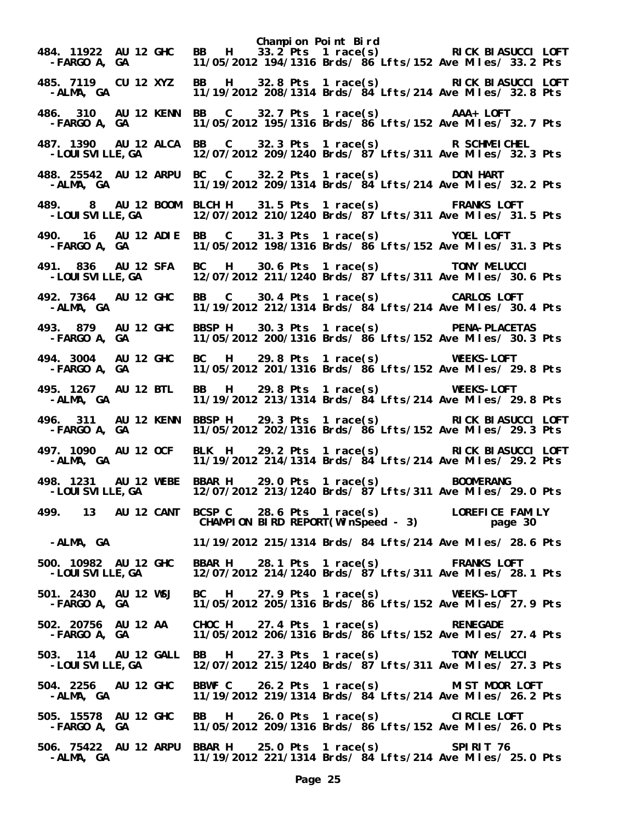**Champion Point Bird 484. 11922 AU 12 GHC BB H 33.2 Pts 1 race(s) RICK BIASUCCI LOFT -FARGO A, GA 11/05/2012 194/1316 Brds/ 86 Lfts/152 Ave Miles/ 33.2 Pts 485. 7119 CU 12 XYZ BB H 32.8 Pts 1 race(s) RICK BIASUCCI LOFT -ALMA, GA 11/19/2012 208/1314 Brds/ 84 Lfts/214 Ave Miles/ 32.8 Pts 486. 310 AU 12 KENN BB C 32.7 Pts 1 race(s) AAA+ LOFT -FARGO A, GA 11/05/2012 195/1316 Brds/ 86 Lfts/152 Ave Miles/ 32.7 Pts 487. 1390 AU 12 ALCA BB C 32.3 Pts 1 race(s) R SCHMEICHEL**  12/07/2012 209/1240 Brds/  $87$ <sup>'</sup>Lfts/311 Ave Miles/ 32.3 Pts **488. 25542 AU 12 ARPU BC C 32.2 Pts 1 race(s) DON HART -ALMA, GA 11/19/2012 209/1314 Brds/ 84 Lfts/214 Ave Miles/ 32.2 Pts 489. 8 AU 12 BOOM BLCH H 31.5 Pts 1 race(s) FRANKS LOFT**  12/07/2012 210/1240 Brds/ 87 Lfts/311 Ave Miles/ 31.5 Pts **490. 16 AU 12 ADIE BB C 31.3 Pts 1 race(s) YOEL LOFT -FARGO A, GA 11/05/2012 198/1316 Brds/ 86 Lfts/152 Ave Miles/ 31.3 Pts 491. 836 AU 12 SFA BC H 30.6 Pts 1 race(s) TONY MELUCCI -LOUISVILLE,GA 12/07/2012 211/1240 Brds/ 87 Lfts/311 Ave Miles/ 30.6 Pts 492. 7364 AU 12 GHC BB C 30.4 Pts 1 race(s) CARLOS LOFT -ALMA, GA 11/19/2012 212/1314 Brds/ 84 Lfts/214 Ave Miles/ 30.4 Pts 493. 879 AU 12 GHC BBSP H 30.3 Pts 1 race(s) PENA-PLACETAS -FARGO A, GA 11/05/2012 200/1316 Brds/ 86 Lfts/152 Ave Miles/ 30.3 Pts 494. 3004 AU 12 GHC BC H 29.8 Pts 1 race(s) WEEKS-LOFT**  11/05/2012 201/1316 Brds/ 86 Lfts/152 Ave Miles/ 29.8 Pts **495. 1267 AU 12 BTL BB H 29.8 Pts 1 race(s) WEEKS-LOFT -ALMA, GA 11/19/2012 213/1314 Brds/ 84 Lfts/214 Ave Miles/ 29.8 Pts 496. 311 AU 12 KENN BBSP H 29.3 Pts 1 race(s) RICK BIASUCCI LOFT -FARGO A, GA 11/05/2012 202/1316 Brds/ 86 Lfts/152 Ave Miles/ 29.3 Pts 497. 1090 AU 12 OCF BLK H 29.2 Pts 1 race(s) RICK BIASUCCI LOFT -ALMA, GA 11/19/2012 214/1314 Brds/ 84 Lfts/214 Ave Miles/ 29.2 Pts 498. 1231 AU 12 WEBE BBAR H 29.0 Pts 1 race(s) BOOMERANG**  12/07/2012 213/1240 Brds/  $87$ <sup>'</sup>Lfts/311 Ave Miles/ 29.0 Pts **499. 13 AU 12 CANT BCSP C 28.6 Pts 1 race(s) LOREFICE FAMILY CHAMPION BIRD REPORT(WinSpeed - 3) page 30 -ALMA, GA 11/19/2012 215/1314 Brds/ 84 Lfts/214 Ave Miles/ 28.6 Pts 500. 10982 AU 12 GHC BBAR H 28.1 Pts 1 race(s) FRANKS LOFT -LOUISVILLE,GA 12/07/2012 214/1240 Brds/ 87 Lfts/311 Ave Miles/ 28.1 Pts 501. 2430 AU 12 WSJ BC H 27.9 Pts 1 race(s) WEEKS-LOFT -FARGO A, GA 11/05/2012 205/1316 Brds/ 86 Lfts/152 Ave Miles/ 27.9 Pts 502. 20756 AU 12 AA CHOC H 27.4 Pts 1 race(s) RENEGADE -FARGO A, GA 11/05/2012 206/1316 Brds/ 86 Lfts/152 Ave Miles/ 27.4 Pts 503. 114 AU 12 GALL BB H 27.3 Pts 1 race(s) TONY MELUCCI -LOUISVILLE,GA 12/07/2012 215/1240 Brds/ 87 Lfts/311 Ave Miles/ 27.3 Pts 504. 2256 AU 12 GHC BBWF C 26.2 Pts 1 race(s) MIST MOOR LOFT -ALMA, GA 11/19/2012 219/1314 Brds/ 84 Lfts/214 Ave Miles/ 26.2 Pts 505. 15578 AU 12 GHC BB H 26.0 Pts 1 race(s) CIRCLE LOFT -FARGO A, GA 11/05/2012 209/1316 Brds/ 86 Lfts/152 Ave Miles/ 26.0 Pts 506. 75422 AU 12 ARPU BBAR H 25.0 Pts 1 race(s) SPIRIT 76 -ALMA, GA 11/19/2012 221/1314 Brds/ 84 Lfts/214 Ave Miles/ 25.0 Pts**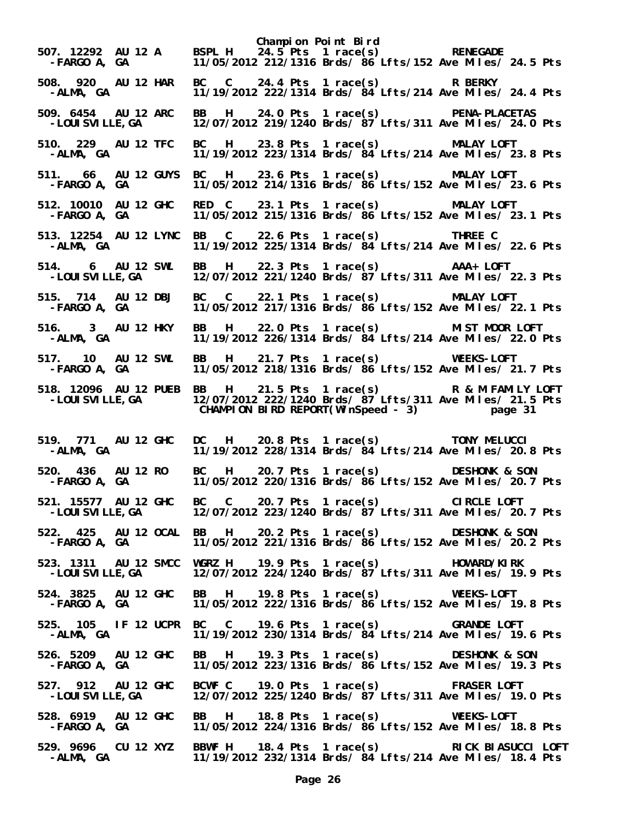**Champion Point Bird 507. 12292 AU 12 A BSPL H 24.5 Pts 1 race(s) RENEGADE -FARGO A, GA 11/05/2012 212/1316 Brds/ 86 Lfts/152 Ave Miles/ 24.5 Pts 508. 920 AU 12 HAR BC C 24.4 Pts 1 race(s) R BERKY -ALMA, GA 11/19/2012 222/1314 Brds/ 84 Lfts/214 Ave Miles/ 24.4 Pts 509. 6454 AU 12 ARC BB H 24.0 Pts 1 race(s) PENA-PLACETAS -LOUISVILLE,GA 12/07/2012 219/1240 Brds/ 87 Lfts/311 Ave Miles/ 24.0 Pts 510. 229 AU 12 TFC BC H 23.8 Pts 1 race(s) MALAY LOFT**  11/19/2012 223/1314 Brds/  $\frac{3}{4}$  Lfts/214 Ave Miles/ 23.8 Pts **511. 66 AU 12 GUYS BC H 23.6 Pts 1 race(s) MALAY LOFT -FARGO A, GA 11/05/2012 214/1316 Brds/ 86 Lfts/152 Ave Miles/ 23.6 Pts 512. 10010 AU 12 GHC RED C 23.1 Pts 1 race(s) MALAY LOFT**  11/05/2012 215/1316 Brds/ 86 Lfts/152 Ave Miles/ 23.1 Pts **513. 12254 AU 12 LYNC BB C 22.6 Pts 1 race(s) THREE C -ALMA, GA 11/19/2012 225/1314 Brds/ 84 Lfts/214 Ave Miles/ 22.6 Pts 514. 6 AU 12 SWL BB H 22.3 Pts 1 race(s) AAA+ LOFT -LOUISVILLE,GA 12/07/2012 221/1240 Brds/ 87 Lfts/311 Ave Miles/ 22.3 Pts 515. 714 AU 12 DBJ BC C 22.1 Pts 1 race(s) MALAY LOFT -FARGO A, GA 11/05/2012 217/1316 Brds/ 86 Lfts/152 Ave Miles/ 22.1 Pts 516. 3 AU 12 HKY BB H 22.0 Pts 1 race(s) MIST MOOR LOFT -ALMA, GA 11/19/2012 226/1314 Brds/ 84 Lfts/214 Ave Miles/ 22.0 Pts 517. 10 AU 12 SWL BB H 21.7 Pts 1 race(s) WEEKS-LOFT**  11/05/2012 218/1316 Brds/ 86 Lfts/152 Ave Miles/ 21.7 Pts **518. 12096 AU 12 PUEB BB H 21.5 Pts 1 race(s) R & M FAMILY LOFT -LOUISVILLE,GA 12/07/2012 222/1240 Brds/ 87 Lfts/311 Ave Miles/ 21.5 Pts CHAMPION BIRD REPORT(WinSpeed - 3) page 31 519. 771 AU 12 GHC DC H 20.8 Pts 1 race(s) TONY MELUCCI**  11/19/2012 228/1314 Brds/  $\frac{34}{21}$  Lfts/214 Ave Miles/ 20.8 Pts **520. 436 AU 12 RO BC H 20.7 Pts 1 race(s) DESHONK & SON -FARGO A, GA 11/05/2012 220/1316 Brds/ 86 Lfts/152 Ave Miles/ 20.7 Pts 521. 15577 AU 12 GHC BC C 20.7 Pts 1 race(s) CIRCLE LOFT -LOUISVILLE,GA 12/07/2012 223/1240 Brds/ 87 Lfts/311 Ave Miles/ 20.7 Pts 522. 425 AU 12 OCAL BB H 20.2 Pts 1 race(s) DESHONK & SON -FARGO A, GA 11/05/2012 221/1316 Brds/ 86 Lfts/152 Ave Miles/ 20.2 Pts 523. 1311 AU 12 SMCC WGRZ H 19.9 Pts 1 race(s) HOWARD/KIRK -LOUISVILLE,GA 12/07/2012 224/1240 Brds/ 87 Lfts/311 Ave Miles/ 19.9 Pts 524. 3825 AU 12 GHC BB H 19.8 Pts 1 race(s) WEEKS-LOFT -FARGO A, GA 11/05/2012 222/1316 Brds/ 86 Lfts/152 Ave Miles/ 19.8 Pts 525. 105 IF 12 UCPR BC C 19.6 Pts 1 race(s) GRANDE LOFT -ALMA, GA 11/19/2012 230/1314 Brds/ 84 Lfts/214 Ave Miles/ 19.6 Pts 526. 5209 AU 12 GHC BB H 19.3 Pts 1 race(s) DESHONK & SON -FARGO A, GA 11/05/2012 223/1316 Brds/ 86 Lfts/152 Ave Miles/ 19.3 Pts 527. 912 AU 12 GHC BCWF C 19.0 Pts 1 race(s) FRASER LOFT -LOUISVILLE,GA 12/07/2012 225/1240 Brds/ 87 Lfts/311 Ave Miles/ 19.0 Pts 528. 6919 AU 12 GHC BB H 18.8 Pts 1 race(s) WEEKS-LOFT -FARGO A, GA 11/05/2012 224/1316 Brds/ 86 Lfts/152 Ave Miles/ 18.8 Pts 529. 9696 CU 12 XYZ BBWF H 18.4 Pts 1 race(s) RICK BIASUCCI LOFT -ALMA, GA 11/19/2012 232/1314 Brds/ 84 Lfts/214 Ave Miles/ 18.4 Pts**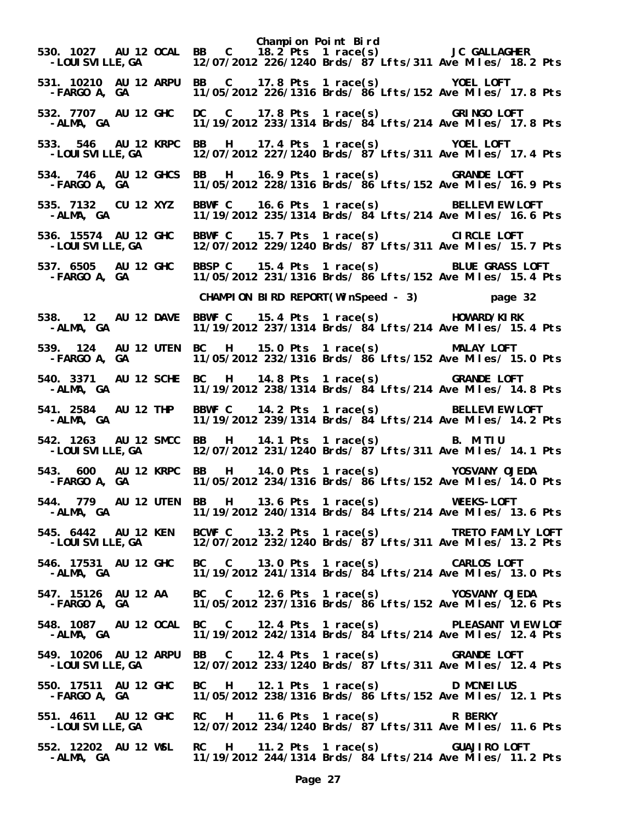**Champion Point Bird 530. 1027 AU 12 OCAL BB C 18.2 Pts 1 race(s) JC GALLAGHER -LOUISVILLE,GA 12/07/2012 226/1240 Brds/ 87 Lfts/311 Ave Miles/ 18.2 Pts 531. 10210 AU 12 ARPU BB C 17.8 Pts 1 race(s) YOEL LOFT -FARGO A, GA 11/05/2012 226/1316 Brds/ 86 Lfts/152 Ave Miles/ 17.8 Pts 532. 7707 AU 12 GHC DC C 17.8 Pts 1 race(s) GRINGO LOFT -ALMA, GA 11/19/2012 233/1314 Brds/ 84 Lfts/214 Ave Miles/ 17.8 Pts 533. 546 AU 12 KRPC BB H 17.4 Pts 1 race(s) YOEL LOFT**  12/07/2012 227/1240 Brds/  $87$ <sup>'</sup>Lfts/311 Ave Miles/ 17.4 Pts **534. 746 AU 12 GHCS BB H 16.9 Pts 1 race(s) GRANDE LOFT -FARGO A, GA 11/05/2012 228/1316 Brds/ 86 Lfts/152 Ave Miles/ 16.9 Pts 535. 7132 CU 12 XYZ BBWF C 16.6 Pts 1 race(s) BELLEVIEW LOFT**  11/19/2012 235/1314 Brds/ 84 Lfts/214 Ave Miles/ 16.6 Pts **536. 15574 AU 12 GHC BBWF C 15.7 Pts 1 race(s) CIRCLE LOFT -LOUISVILLE,GA 12/07/2012 229/1240 Brds/ 87 Lfts/311 Ave Miles/ 15.7 Pts 537. 6505 AU 12 GHC BBSP C 15.4 Pts 1 race(s) BLUE GRASS LOFT -FARGO A, GA 11/05/2012 231/1316 Brds/ 86 Lfts/152 Ave Miles/ 15.4 Pts CHAMPION BIRD REPORT(WinSpeed - 3) page 32 538. 12 AU 12 DAVE BBWF C 15.4 Pts 1 race(s) HOWARD/KIRK**  11/19/2012 237/1314 Brds/  $\frac{34}{155}$  Lfts/214 Ave Miles/ 15.4 Pts **539. 124 AU 12 UTEN BC H 15.0 Pts 1 race(s) MALAY LOFT -FARGO A, GA 11/05/2012 232/1316 Brds/ 86 Lfts/152 Ave Miles/ 15.0 Pts 540. 3371 AU 12 SCHE BC H 14.8 Pts 1 race(s) GRANDE LOFT -ALMA, GA 11/19/2012 238/1314 Brds/ 84 Lfts/214 Ave Miles/ 14.8 Pts 541. 2584 AU 12 THP BBWF C 14.2 Pts 1 race(s) BELLEVIEW LOFT -ALMA, GA 11/19/2012 239/1314 Brds/ 84 Lfts/214 Ave Miles/ 14.2 Pts 542. 1263 AU 12 SMCC BB H 14.1 Pts 1 race(s) B. MITIU**  12/07/2012 231/1240 Brds/ 87 Lfts/311 Ave Miles/ 14.1 Pts **543. 600 AU 12 KRPC BB H 14.0 Pts 1 race(s) YOSVANY OJEDA -FARGO A, GA 11/05/2012 234/1316 Brds/ 86 Lfts/152 Ave Miles/ 14.0 Pts 544. 779 AU 12 UTEN BB H 13.6 Pts 1 race(s) WEEKS-LOFT -ALMA, GA 11/19/2012 240/1314 Brds/ 84 Lfts/214 Ave Miles/ 13.6 Pts 545. 6442 AU 12 KEN BCWF C 13.2 Pts 1 race(s) TRETO FAMILY LOFT -LOUISVILLE,GA 12/07/2012 232/1240 Brds/ 87 Lfts/311 Ave Miles/ 13.2 Pts 546. 17531 AU 12 GHC BC C 13.0 Pts 1 race(s) CARLOS LOFT -ALMA, GA 11/19/2012 241/1314 Brds/ 84 Lfts/214 Ave Miles/ 13.0 Pts 547. 15126 AU 12 AA BC C 12.6 Pts 1 race(s) YOSVANY OJEDA -FARGO A, GA 11/05/2012 237/1316 Brds/ 86 Lfts/152 Ave Miles/ 12.6 Pts 548. 1087 AU 12 OCAL BC C 12.4 Pts 1 race(s) PLEASANT VIEW LOF**  11/19/2012 242/1314 Brds/ 84 Lfts/214 Ave Miles/ 12.4 Pts **549. 10206 AU 12 ARPU BB C 12.4 Pts 1 race(s) GRANDE LOFT -LOUISVILLE,GA 12/07/2012 233/1240 Brds/ 87 Lfts/311 Ave Miles/ 12.4 Pts 550. 17511 AU 12 GHC BC H 12.1 Pts 1 race(s) D MCNEILUS -FARGO A, GA 11/05/2012 238/1316 Brds/ 86 Lfts/152 Ave Miles/ 12.1 Pts 551. 4611 AU 12 GHC RC H 11.6 Pts 1 race(s) R BERKY -LOUISVILLE,GA 12/07/2012 234/1240 Brds/ 87 Lfts/311 Ave Miles/ 11.6 Pts 552. 12202 AU 12 WSL RC H 11.2 Pts 1 race(s) GUAJIRO LOFT -ALMA, GA 11/19/2012 244/1314 Brds/ 84 Lfts/214 Ave Miles/ 11.2 Pts**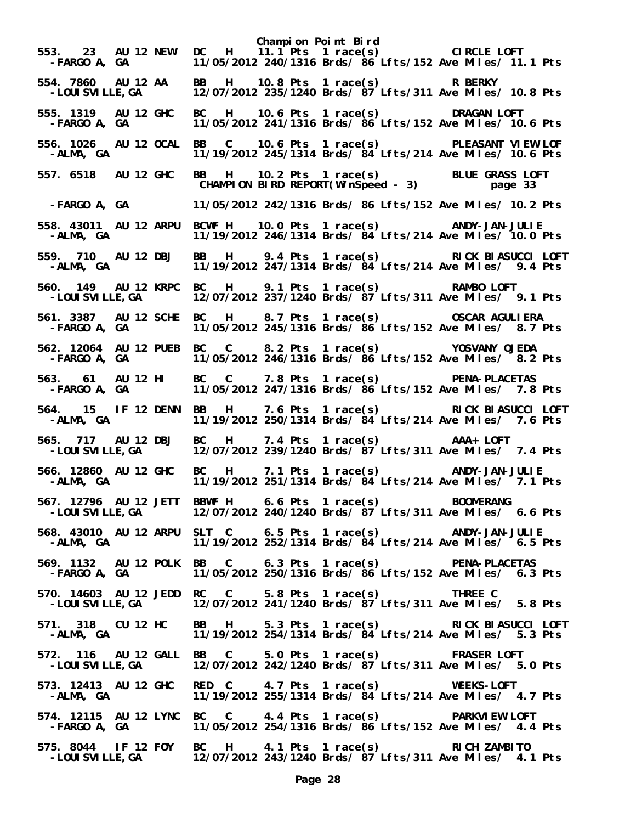**Champion Point Bird 553. 23 AU 12 NEW DC H 11.1 Pts 1 race(s) CIRCLE LOFT -FARGO A, GA 11/05/2012 240/1316 Brds/ 86 Lfts/152 Ave Miles/ 11.1 Pts 554. 7860 AU 12 AA BB H 10.8 Pts 1 race(s) R BERKY -LOUISVILLE,GA 12/07/2012 235/1240 Brds/ 87 Lfts/311 Ave Miles/ 10.8 Pts 555. 1319 AU 12 GHC BC H 10.6 Pts 1 race(s) DRAGAN LOFT -FARGO A, GA 11/05/2012 241/1316 Brds/ 86 Lfts/152 Ave Miles/ 10.6 Pts 556. 1026 AU 12 OCAL BB C 10.6 Pts 1 race(s) PLEASANT VIEW LOF**  11/19/2012 245/1314 Brds/  $\frac{3}{4}$  Lfts/214 Ave Miles/ 10.6 Pts **557. 6518 AU 12 GHC BB H 10.2 Pts 1 race(s) BLUE GRASS LOFT CHAMPION BIRD REPORT(WinSpeed - 3) page 33 -FARGO A, GA 11/05/2012 242/1316 Brds/ 86 Lfts/152 Ave Miles/ 10.2 Pts 558. 43011 AU 12 ARPU BCWF H 10.0 Pts 1 race(s) ANDY-JAN-JULIE -ALMA, GA 11/19/2012 246/1314 Brds/ 84 Lfts/214 Ave Miles/ 10.0 Pts 559. 710 AU 12 DBJ BB H 9.4 Pts 1 race(s) RICK BIASUCCI LOFT**  11/19/2012 247/1314 Brds/ 84 Lfts/214 Ave Miles/ 9.4 Pts **560. 149 AU 12 KRPC BC H 9.1 Pts 1 race(s) RAMBO LOFT**  12/07/2012 237/1240 Brds/ 87 Lfts/311 Ave Miles/ 9.1 Pts **561. 3387 AU 12 SCHE BC H 8.7 Pts 1 race(s) OSCAR AGULIERA -FARGO A, GA 11/05/2012 245/1316 Brds/ 86 Lfts/152 Ave Miles/ 8.7 Pts 562. 12064 AU 12 PUEB BC C 8.2 Pts 1 race(s) YOSVANY OJEDA**  11/05/2012 246/1316 Brds/ 86 Lfts/152 Ave Miles/ 8.2 Pts **563. 61 AU 12 HI BC C 7.8 Pts 1 race(s) PENA-PLACETAS -FARGO A, GA 11/05/2012 247/1316 Brds/ 86 Lfts/152 Ave Miles/ 7.8 Pts 564. 15 IF 12 DENN BB H 7.6 Pts 1 race(s) RICK BIASUCCI LOFT**  11/19/2012 250/1314 Brds/  $\frac{34}{15}$  Lfts/214 Ave Miles/ 7.6 Pts **565. 717 AU 12 DBJ BC H 7.4 Pts 1 race(s) AAA+ LOFT -LOUISVILLE,GA 12/07/2012 239/1240 Brds/ 87 Lfts/311 Ave Miles/ 7.4 Pts 566. 12860 AU 12 GHC BC H 7.1 Pts 1 race(s) ANDY-JAN-JULIE -ALMA, GA 11/19/2012 251/1314 Brds/ 84 Lfts/214 Ave Miles/ 7.1 Pts 567. 12796 AU 12 JETT BBWF H 6.6 Pts 1 race(s) BOOMERANG**  12/07/2012 240/1240 Brds/  $87$ <sup>'</sup>Lfts/311 Ave Miles/ 6.6 Pts **568. 43010 AU 12 ARPU SLT C 6.5 Pts 1 race(s) ANDY-JAN-JULIE -ALMA, GA 11/19/2012 252/1314 Brds/ 84 Lfts/214 Ave Miles/ 6.5 Pts 569. 1132 AU 12 POLK BB C 6.3 Pts 1 race(s) PENA-PLACETAS -FARGO A, GA 11/05/2012 250/1316 Brds/ 86 Lfts/152 Ave Miles/ 6.3 Pts 570. 14603 AU 12 JEDD RC C 5.8 Pts 1 race(s) THREE C -LOUISVILLE,GA 12/07/2012 241/1240 Brds/ 87 Lfts/311 Ave Miles/ 5.8 Pts 571. 318 CU 12 HC BB H 5.3 Pts 1 race(s) RICK BIASUCCI LOFT**  11/19/2012 254/1314 Brds/ 84 Lfts/214 Ave Miles/ 5.3 Pts **572. 116 AU 12 GALL BB C 5.0 Pts 1 race(s) FRASER LOFT -LOUISVILLE,GA 12/07/2012 242/1240 Brds/ 87 Lfts/311 Ave Miles/ 5.0 Pts 573. 12413 AU 12 GHC RED C 4.7 Pts 1 race(s) WEEKS-LOFT -ALMA, GA 11/19/2012 255/1314 Brds/ 84 Lfts/214 Ave Miles/ 4.7 Pts 574. 12115 AU 12 LYNC BC C 4.4 Pts 1 race(s) PARKVIEW LOFT -FARGO A, GA 11/05/2012 254/1316 Brds/ 86 Lfts/152 Ave Miles/ 4.4 Pts 575. 8044 IF 12 FOY BC H 4.1 Pts 1 race(s) RICH ZAMBITO -LOUISVILLE,GA 12/07/2012 243/1240 Brds/ 87 Lfts/311 Ave Miles/ 4.1 Pts**